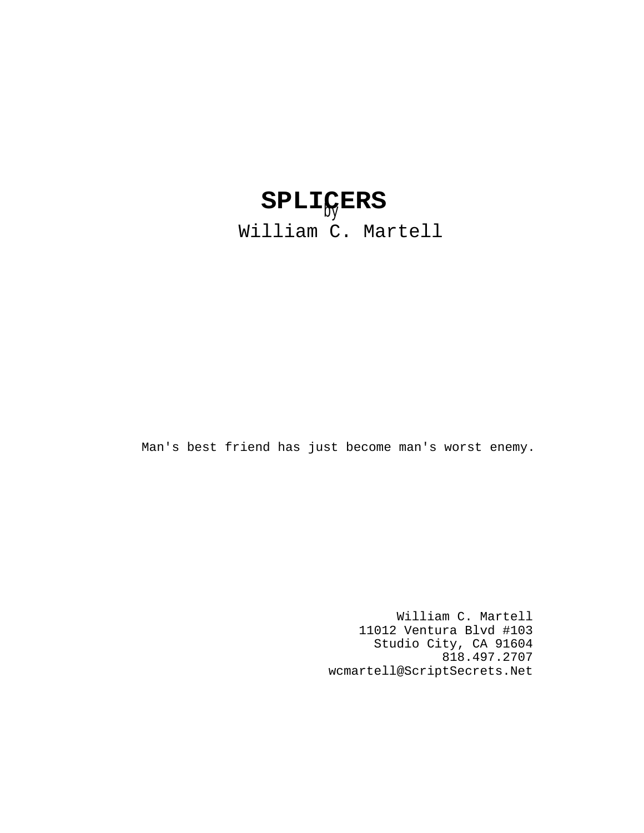# by **SPLICERS**

William C. Martell

Man's best friend has just become man's worst enemy.

William C. Martell 11012 Ventura Blvd #103 Studio City, CA 91604 818.497.2707 wcmartell@ScriptSecrets.Net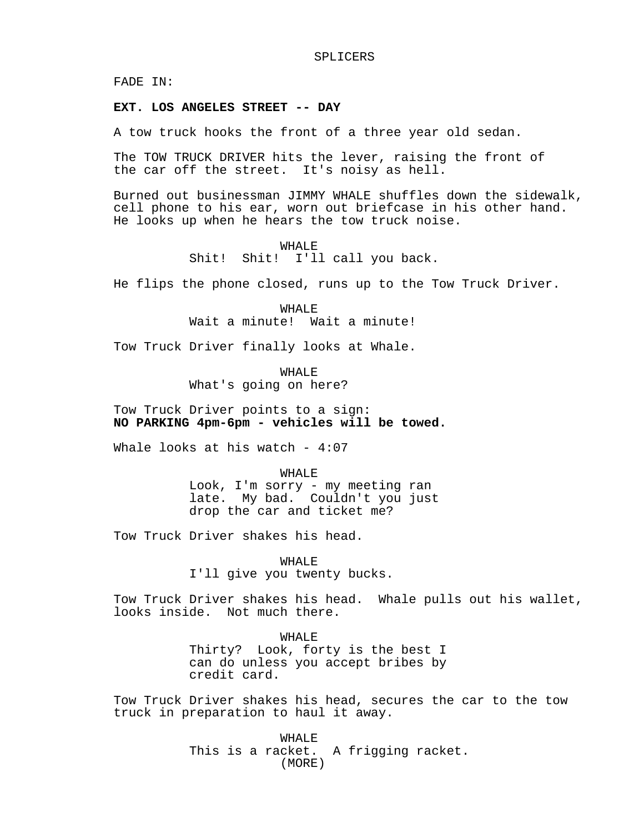FADE IN:

## **EXT. LOS ANGELES STREET -- DAY**

A tow truck hooks the front of a three year old sedan.

The TOW TRUCK DRIVER hits the lever, raising the front of the car off the street. It's noisy as hell.

Burned out businessman JIMMY WHALE shuffles down the sidewalk, cell phone to his ear, worn out briefcase in his other hand. He looks up when he hears the tow truck noise.

> WHALE Shit! Shit! I'll call you back.

He flips the phone closed, runs up to the Tow Truck Driver.

WHALE Wait a minute! Wait a minute!

Tow Truck Driver finally looks at Whale.

WHALE What's going on here?

Tow Truck Driver points to a sign: **NO PARKING 4pm-6pm - vehicles will be towed.**

Whale looks at his watch -  $4:07$ 

WHALE

Look, I'm sorry - my meeting ran late. My bad. Couldn't you just drop the car and ticket me?

Tow Truck Driver shakes his head.

WHALE

I'll give you twenty bucks.

Tow Truck Driver shakes his head. Whale pulls out his wallet, looks inside. Not much there.

> WHALE Thirty? Look, forty is the best I can do unless you accept bribes by credit card.

Tow Truck Driver shakes his head, secures the car to the tow truck in preparation to haul it away.

> WHALE This is a racket. A frigging racket. (MORE)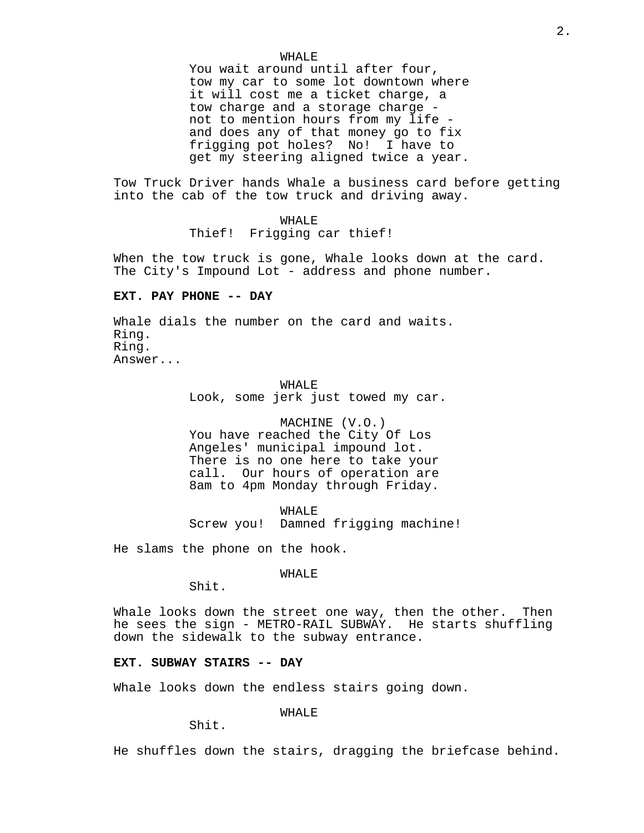## WHALE

You wait around until after four, tow my car to some lot downtown where it will cost me a ticket charge, a tow charge and a storage charge not to mention hours from my life and does any of that money go to fix frigging pot holes? No! I have to get my steering aligned twice a year.

Tow Truck Driver hands Whale a business card before getting into the cab of the tow truck and driving away.

## WHALE

Thief! Frigging car thief!

When the tow truck is gone, Whale looks down at the card. The City's Impound Lot - address and phone number.

## **EXT. PAY PHONE -- DAY**

Whale dials the number on the card and waits. Ring. Ring. Answer...

> WHALE Look, some jerk just towed my car.

> MACHINE (V.O.) You have reached the City Of Los Angeles' municipal impound lot. There is no one here to take your call. Our hours of operation are 8am to 4pm Monday through Friday.

WHALE Screw you! Damned frigging machine!

He slams the phone on the hook.

WHALE

Shit.

Whale looks down the street one way, then the other. Then he sees the sign - METRO-RAIL SUBWAY. He starts shuffling down the sidewalk to the subway entrance.

#### **EXT. SUBWAY STAIRS -- DAY**

Whale looks down the endless stairs going down.

WHALE

Shit.

He shuffles down the stairs, dragging the briefcase behind.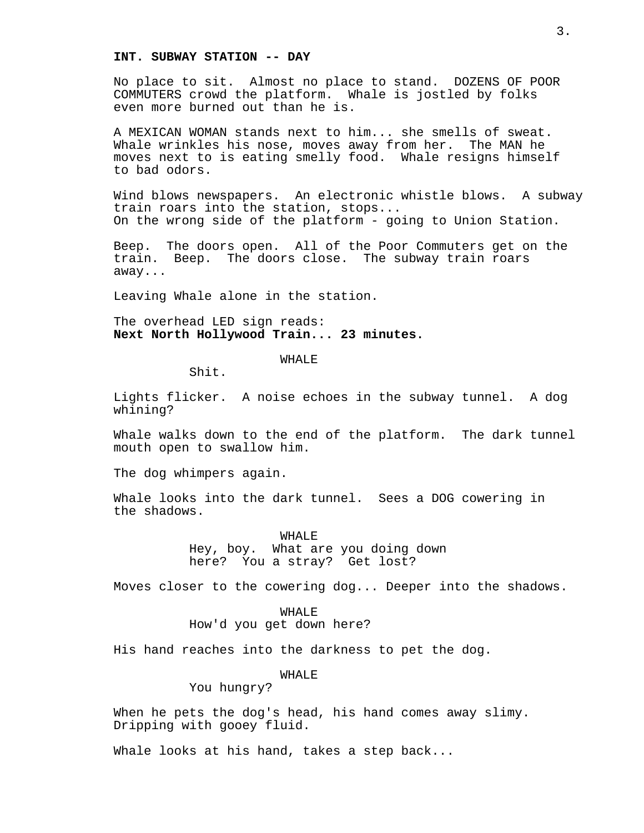#### **INT. SUBWAY STATION -- DAY**

No place to sit. Almost no place to stand. DOZENS OF POOR COMMUTERS crowd the platform. Whale is jostled by folks even more burned out than he is.

A MEXICAN WOMAN stands next to him... she smells of sweat. Whale wrinkles his nose, moves away from her. The MAN he moves next to is eating smelly food. Whale resigns himself to bad odors.

Wind blows newspapers. An electronic whistle blows. A subway train roars into the station, stops... On the wrong side of the platform - going to Union Station.

Beep. The doors open. All of the Poor Commuters get on the train. Beep. The doors close. The subway train roars away...

Leaving Whale alone in the station.

The overhead LED sign reads: **Next North Hollywood Train... 23 minutes.**

WHALE

Shit.

Lights flicker. A noise echoes in the subway tunnel. A dog whining?

Whale walks down to the end of the platform. The dark tunnel mouth open to swallow him.

The dog whimpers again.

Whale looks into the dark tunnel. Sees a DOG cowering in the shadows.

> WHALE Hey, boy. What are you doing down here? You a stray? Get lost?

Moves closer to the cowering dog... Deeper into the shadows.

WHALE How'd you get down here?

His hand reaches into the darkness to pet the dog.

WHALE

You hungry?

When he pets the dog's head, his hand comes away slimy. Dripping with gooey fluid.

Whale looks at his hand, takes a step back...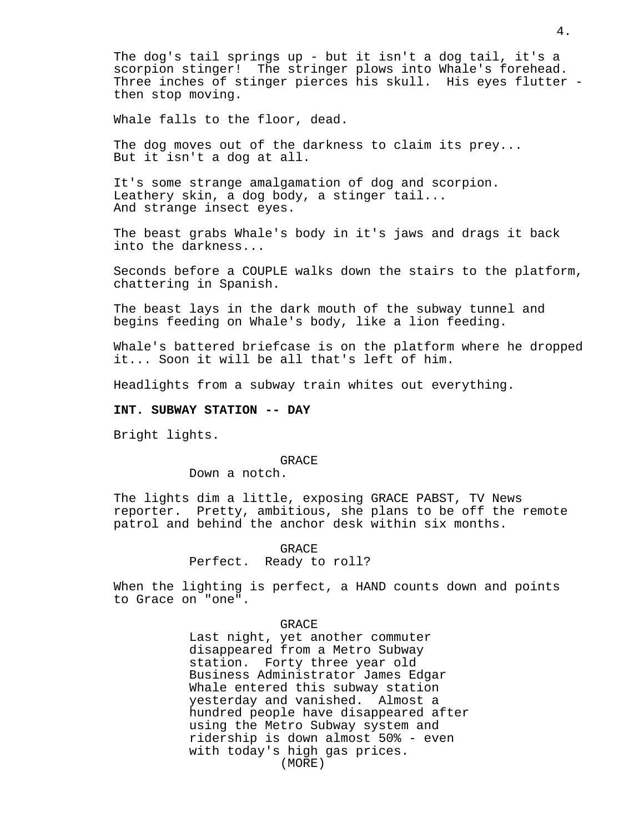The dog's tail springs up - but it isn't a dog tail, it's a scorpion stinger! The stringer plows into Whale's forehead. Three inches of stinger pierces his skull. His eyes flutter then stop moving.

Whale falls to the floor, dead.

The dog moves out of the darkness to claim its prey... But it isn't a dog at all.

It's some strange amalgamation of dog and scorpion. Leathery skin, a dog body, a stinger tail... And strange insect eyes.

The beast grabs Whale's body in it's jaws and drags it back into the darkness...

Seconds before a COUPLE walks down the stairs to the platform, chattering in Spanish.

The beast lays in the dark mouth of the subway tunnel and begins feeding on Whale's body, like a lion feeding.

Whale's battered briefcase is on the platform where he dropped it... Soon it will be all that's left of him.

Headlights from a subway train whites out everything.

# **INT. SUBWAY STATION -- DAY**

Bright lights.

#### GRACE

Down a notch.

The lights dim a little, exposing GRACE PABST, TV News reporter. Pretty, ambitious, she plans to be off the remote patrol and behind the anchor desk within six months.

## GRACE

# Perfect. Ready to roll?

When the lighting is perfect, a HAND counts down and points to Grace on "one".

## GRACE

Last night, yet another commuter disappeared from a Metro Subway station. Forty three year old Business Administrator James Edgar Whale entered this subway station yesterday and vanished. Almost a hundred people have disappeared after using the Metro Subway system and ridership is down almost 50% - even with today's high gas prices. (MORE)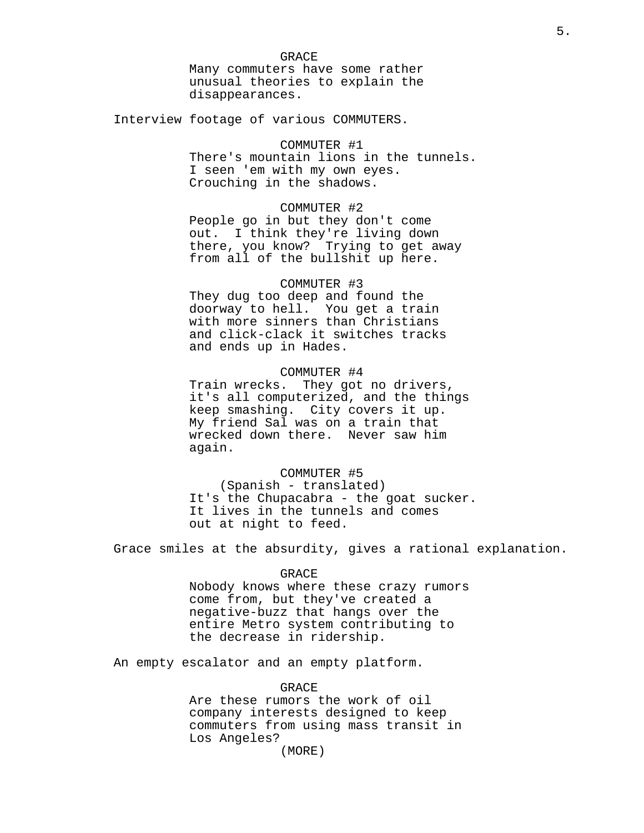GRACE Many commuters have some rather unusual theories to explain the disappearances.

Interview footage of various COMMUTERS.

# COMMUTER #1

There's mountain lions in the tunnels. I seen 'em with my own eyes. Crouching in the shadows.

## COMMUTER #2

People go in but they don't come out. I think they're living down there, you know? Trying to get away from all of the bullshit up here.

## COMMUTER #3

They dug too deep and found the doorway to hell. You get a train with more sinners than Christians and click-clack it switches tracks and ends up in Hades.

# COMMUTER #4

Train wrecks. They got no drivers, it's all computerized, and the things keep smashing. City covers it up. My friend Sal was on a train that wrecked down there. Never saw him again.

## COMMUTER #5

(Spanish - translated) It's the Chupacabra - the goat sucker. It lives in the tunnels and comes out at night to feed.

Grace smiles at the absurdity, gives a rational explanation.

#### GRACE

Nobody knows where these crazy rumors come from, but they've created a negative-buzz that hangs over the entire Metro system contributing to the decrease in ridership.

An empty escalator and an empty platform.

# GRACE

Are these rumors the work of oil company interests designed to keep commuters from using mass transit in Los Angeles?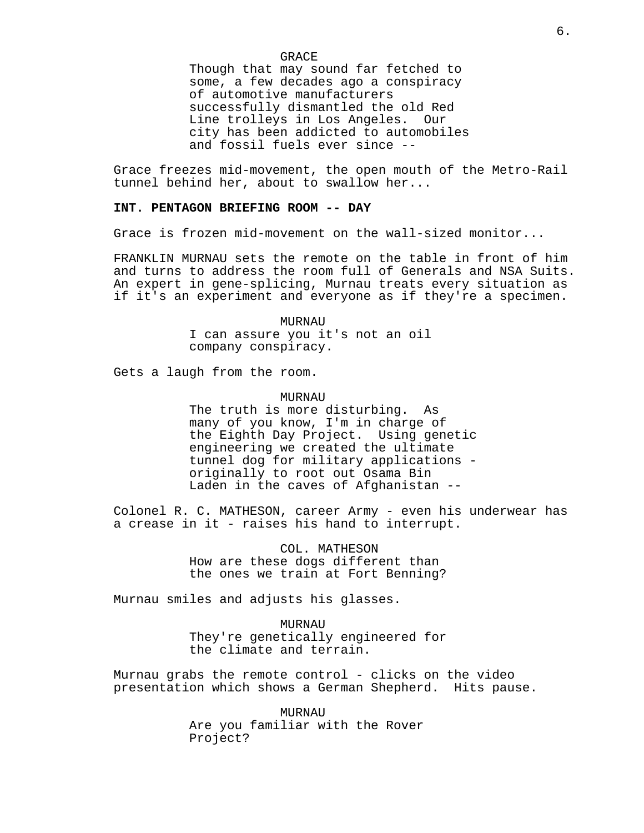GRACE

Though that may sound far fetched to some, a few decades ago a conspiracy of automotive manufacturers successfully dismantled the old Red Line trolleys in Los Angeles. Our city has been addicted to automobiles and fossil fuels ever since --

Grace freezes mid-movement, the open mouth of the Metro-Rail tunnel behind her, about to swallow her...

## **INT. PENTAGON BRIEFING ROOM -- DAY**

Grace is frozen mid-movement on the wall-sized monitor...

FRANKLIN MURNAU sets the remote on the table in front of him and turns to address the room full of Generals and NSA Suits. An expert in gene-splicing, Murnau treats every situation as if it's an experiment and everyone as if they're a specimen.

> MURNAU I can assure you it's not an oil company conspiracy.

Gets a laugh from the room.

## MURNAU

The truth is more disturbing. As many of you know, I'm in charge of the Eighth Day Project. Using genetic engineering we created the ultimate tunnel dog for military applications originally to root out Osama Bin Laden in the caves of Afghanistan --

Colonel R. C. MATHESON, career Army - even his underwear has a crease in it - raises his hand to interrupt.

> COL. MATHESON How are these dogs different than the ones we train at Fort Benning?

Murnau smiles and adjusts his glasses.

MURNAU They're genetically engineered for the climate and terrain.

Murnau grabs the remote control - clicks on the video presentation which shows a German Shepherd. Hits pause.

> MURNAU Are you familiar with the Rover Project?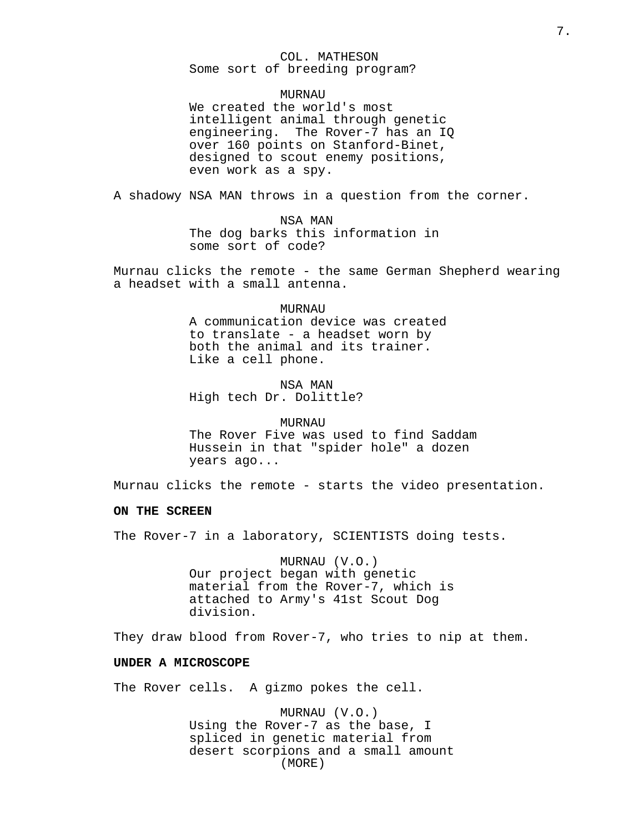# COL. MATHESON Some sort of breeding program?

## **MURNAU**

We created the world's most intelligent animal through genetic engineering. The Rover-7 has an IQ over 160 points on Stanford-Binet, designed to scout enemy positions, even work as a spy.

A shadowy NSA MAN throws in a question from the corner.

NSA MAN The dog barks this information in some sort of code?

Murnau clicks the remote - the same German Shepherd wearing a headset with a small antenna.

#### **MURNAU**

A communication device was created to translate - a headset worn by both the animal and its trainer. Like a cell phone.

NSA MAN High tech Dr. Dolittle?

#### MURNAU

The Rover Five was used to find Saddam Hussein in that "spider hole" a dozen years ago...

Murnau clicks the remote - starts the video presentation.

# **ON THE SCREEN**

The Rover-7 in a laboratory, SCIENTISTS doing tests.

MURNAU (V.O.) Our project began with genetic material from the Rover-7, which is attached to Army's 41st Scout Dog division.

They draw blood from Rover-7, who tries to nip at them.

# **UNDER A MICROSCOPE**

The Rover cells. A gizmo pokes the cell.

MURNAU (V.O.) Using the Rover-7 as the base, I spliced in genetic material from desert scorpions and a small amount (MORE)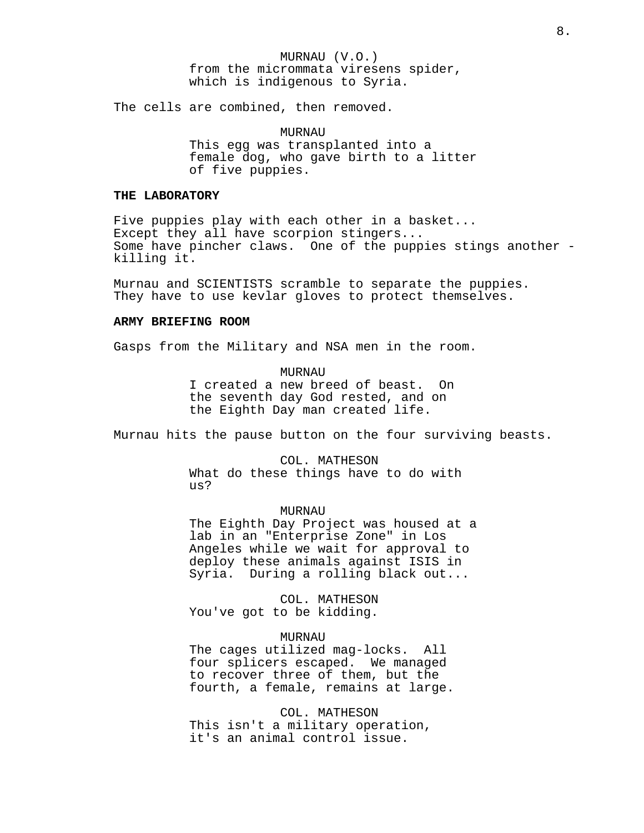MURNAU (V.O.) from the micrommata viresens spider, which is indigenous to Syria.

The cells are combined, then removed.

MURNAU This egg was transplanted into a female dog, who gave birth to a litter of five puppies.

# **THE LABORATORY**

Five puppies play with each other in a basket... Except they all have scorpion stingers... Some have pincher claws. One of the puppies stings another killing it.

Murnau and SCIENTISTS scramble to separate the puppies. They have to use kevlar gloves to protect themselves.

## **ARMY BRIEFING ROOM**

Gasps from the Military and NSA men in the room.

**MURNAU** I created a new breed of beast. On the seventh day God rested, and on the Eighth Day man created life.

Murnau hits the pause button on the four surviving beasts.

COL. MATHESON What do these things have to do with us?

MURNAU The Eighth Day Project was housed at a lab in an "Enterprise Zone" in Los Angeles while we wait for approval to deploy these animals against ISIS in Syria. During a rolling black out...

COL. MATHESON You've got to be kidding.

# MURNAU

The cages utilized mag-locks. All four splicers escaped. We managed to recover three of them, but the fourth, a female, remains at large.

COL. MATHESON This isn't a military operation, it's an animal control issue.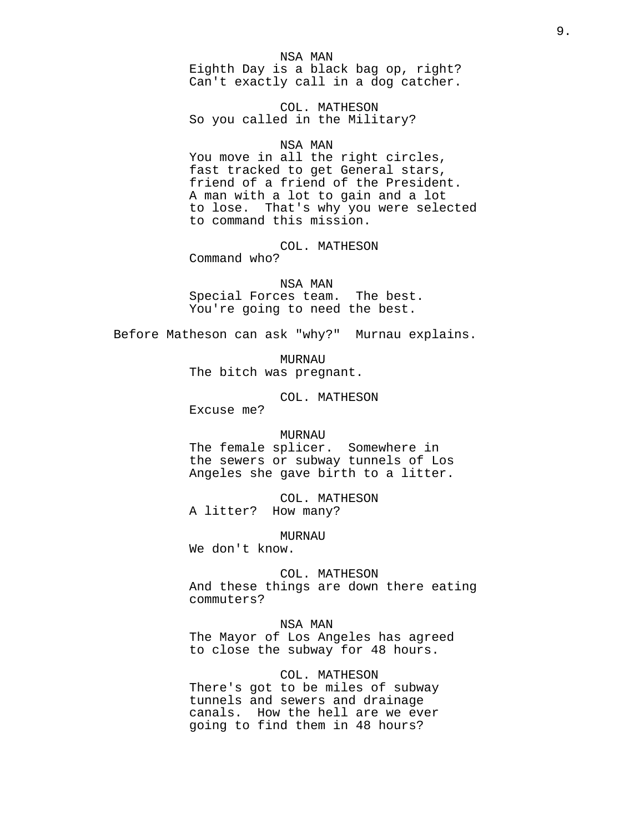#### NSA MAN

Eighth Day is a black bag op, right? Can't exactly call in a dog catcher.

COL. MATHESON So you called in the Military?

# NSA MAN

You move in all the right circles, fast tracked to get General stars, friend of a friend of the President. A man with a lot to gain and a lot to lose. That's why you were selected to command this mission.

# COL. MATHESON

Command who?

#### NSA MAN

Special Forces team. The best. You're going to need the best.

Before Matheson can ask "why?" Murnau explains.

MURNAU

The bitch was pregnant.

COL. MATHESON

Excuse me?

## MURNAU

The female splicer. Somewhere in the sewers or subway tunnels of Los Angeles she gave birth to a litter.

COL. MATHESON A litter? How many?

MURNAU

We don't know.

COL. MATHESON And these things are down there eating commuters?

## NSA MAN

The Mayor of Los Angeles has agreed to close the subway for 48 hours.

# COL. MATHESON

There's got to be miles of subway tunnels and sewers and drainage canals. How the hell are we ever going to find them in 48 hours?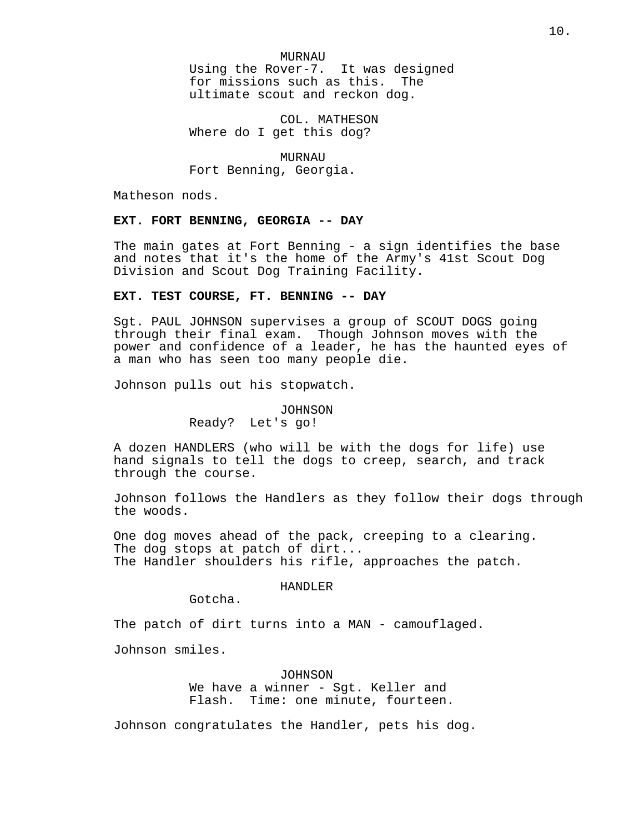MURNAU Using the Rover-7. It was designed for missions such as this. The ultimate scout and reckon dog.

COL. MATHESON Where do I get this dog?

MURNAU Fort Benning, Georgia.

Matheson nods.

# **EXT. FORT BENNING, GEORGIA -- DAY**

The main gates at Fort Benning - a sign identifies the base and notes that it's the home of the Army's 41st Scout Dog Division and Scout Dog Training Facility.

## **EXT. TEST COURSE, FT. BENNING -- DAY**

Sgt. PAUL JOHNSON supervises a group of SCOUT DOGS going through their final exam. Though Johnson moves with the power and confidence of a leader, he has the haunted eyes of a man who has seen too many people die.

Johnson pulls out his stopwatch.

## JOHNSON

Ready? Let's go!

A dozen HANDLERS (who will be with the dogs for life) use hand signals to tell the dogs to creep, search, and track through the course.

Johnson follows the Handlers as they follow their dogs through the woods.

One dog moves ahead of the pack, creeping to a clearing. The dog stops at patch of dirt... The Handler shoulders his rifle, approaches the patch.

# HANDLER

Gotcha.

The patch of dirt turns into a MAN - camouflaged.

Johnson smiles.

JOHNSON

We have a winner - Sgt. Keller and Flash. Time: one minute, fourteen.

Johnson congratulates the Handler, pets his dog.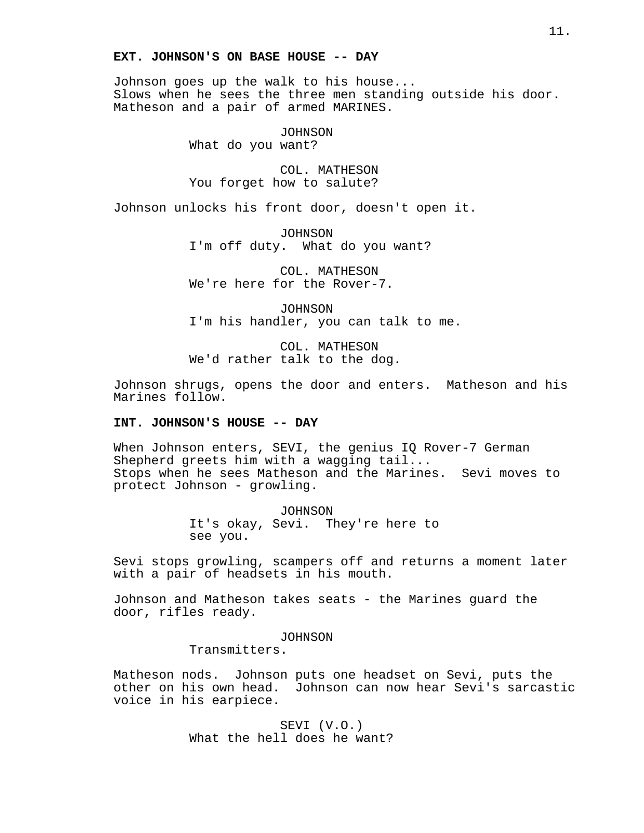## **EXT. JOHNSON'S ON BASE HOUSE -- DAY**

Johnson goes up the walk to his house... Slows when he sees the three men standing outside his door. Matheson and a pair of armed MARINES.

> JOHNSON What do you want?

COL. MATHESON You forget how to salute?

Johnson unlocks his front door, doesn't open it.

JOHNSON I'm off duty. What do you want?

COL. MATHESON We're here for the Rover-7.

JOHNSON I'm his handler, you can talk to me.

COL. MATHESON We'd rather talk to the dog.

Johnson shrugs, opens the door and enters. Matheson and his Marines follow.

# **INT. JOHNSON'S HOUSE -- DAY**

When Johnson enters, SEVI, the genius IQ Rover-7 German Shepherd greets him with a wagging tail... Stops when he sees Matheson and the Marines. Sevi moves to protect Johnson - growling.

> JOHNSON It's okay, Sevi. They're here to see you.

Sevi stops growling, scampers off and returns a moment later with a pair of headsets in his mouth.

Johnson and Matheson takes seats - the Marines guard the door, rifles ready.

JOHNSON

Transmitters.

Matheson nods. Johnson puts one headset on Sevi, puts the other on his own head. Johnson can now hear Sevi's sarcastic voice in his earpiece.

> SEVI (V.O.) What the hell does he want?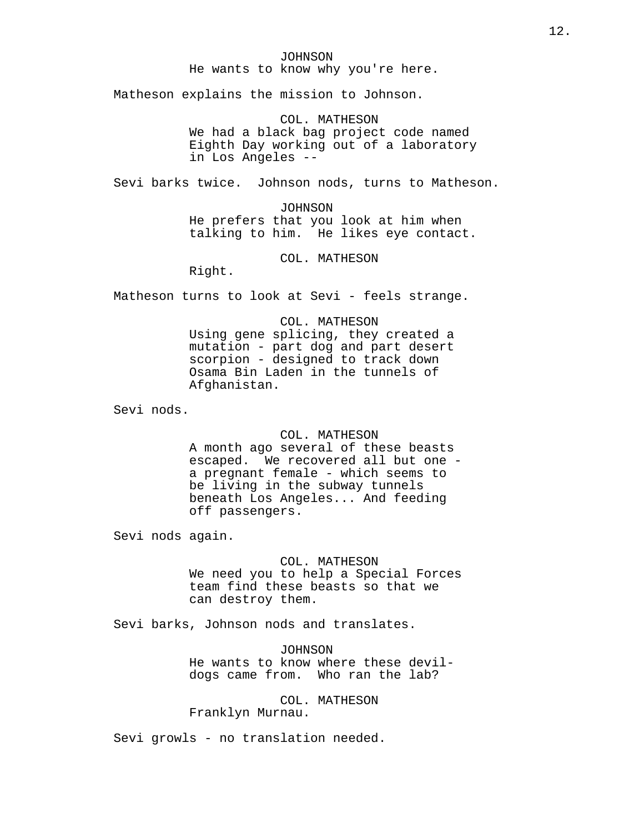# JOHNSON He wants to know why you're here.

Matheson explains the mission to Johnson.

COL. MATHESON We had a black bag project code named Eighth Day working out of a laboratory in Los Angeles --

Sevi barks twice. Johnson nods, turns to Matheson.

JOHNSON He prefers that you look at him when talking to him. He likes eye contact.

COL. MATHESON

Right.

Matheson turns to look at Sevi - feels strange.

COL. MATHESON Using gene splicing, they created a mutation - part dog and part desert scorpion - designed to track down Osama Bin Laden in the tunnels of Afghanistan.

Sevi nods.

#### COL. MATHESON

A month ago several of these beasts escaped. We recovered all but one a pregnant female - which seems to be living in the subway tunnels beneath Los Angeles... And feeding off passengers.

Sevi nods again.

# COL. MATHESON

We need you to help a Special Forces team find these beasts so that we can destroy them.

Sevi barks, Johnson nods and translates.

JOHNSON He wants to know where these devildogs came from. Who ran the lab?

COL. MATHESON Franklyn Murnau.

Sevi growls - no translation needed.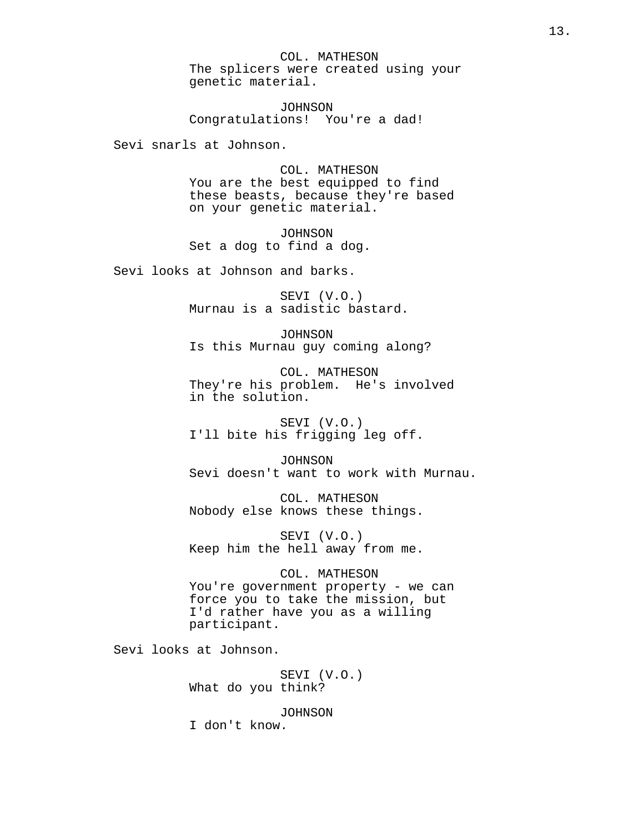COL. MATHESON The splicers were created using your genetic material.

JOHNSON Congratulations! You're a dad!

Sevi snarls at Johnson.

COL. MATHESON You are the best equipped to find these beasts, because they're based on your genetic material.

JOHNSON Set a dog to find a dog.

Sevi looks at Johnson and barks.

SEVI (V.O.) Murnau is a sadistic bastard.

JOHNSON Is this Murnau guy coming along?

COL. MATHESON They're his problem. He's involved in the solution.

SEVI (V.O.) I'll bite his frigging leg off.

JOHNSON Sevi doesn't want to work with Murnau.

COL. MATHESON Nobody else knows these things.

SEVI (V.O.) Keep him the hell away from me.

COL. MATHESON You're government property - we can force you to take the mission, but I'd rather have you as a willing participant.

Sevi looks at Johnson.

SEVI (V.O.) What do you think?

JOHNSON

I don't know.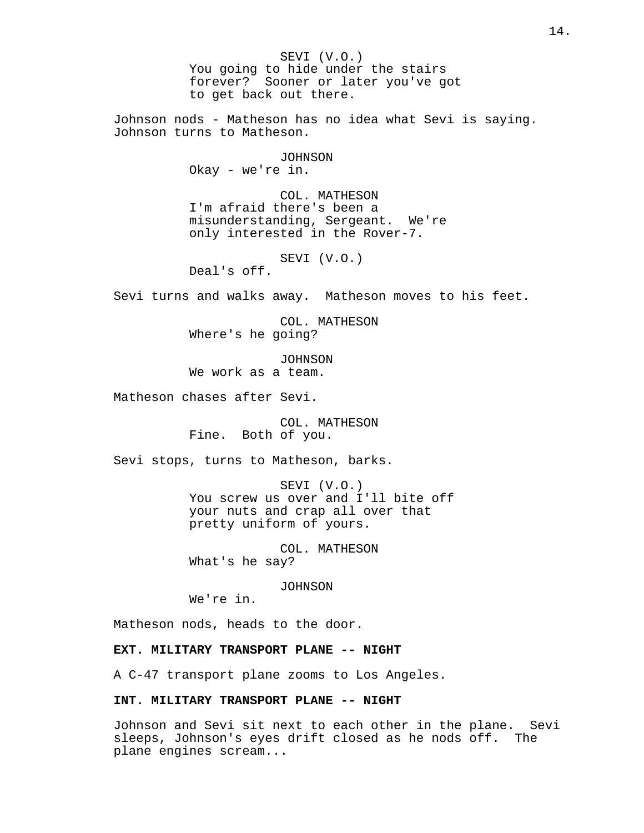SEVI (V.O.) You going to hide under the stairs forever? Sooner or later you've got to get back out there. Johnson nods - Matheson has no idea what Sevi is saying. Johnson turns to Matheson. JOHNSON Okay - we're in. COL. MATHESON I'm afraid there's been a misunderstanding, Sergeant. We're only interested in the Rover-7. SEVI (V.O.) Deal's off. Sevi turns and walks away. Matheson moves to his feet. COL. MATHESON Where's he going? JOHNSON We work as a team. Matheson chases after Sevi. COL. MATHESON Fine. Both of you. Sevi stops, turns to Matheson, barks. SEVI (V.O.) You screw us over and I'll bite off your nuts and crap all over that pretty uniform of yours. COL. MATHESON What's he say? JOHNSON We're in. Matheson nods, heads to the door. **EXT. MILITARY TRANSPORT PLANE -- NIGHT** A C-47 transport plane zooms to Los Angeles. **INT. MILITARY TRANSPORT PLANE -- NIGHT**

Johnson and Sevi sit next to each other in the plane. Sevi sleeps, Johnson's eyes drift closed as he nods off. The plane engines scream...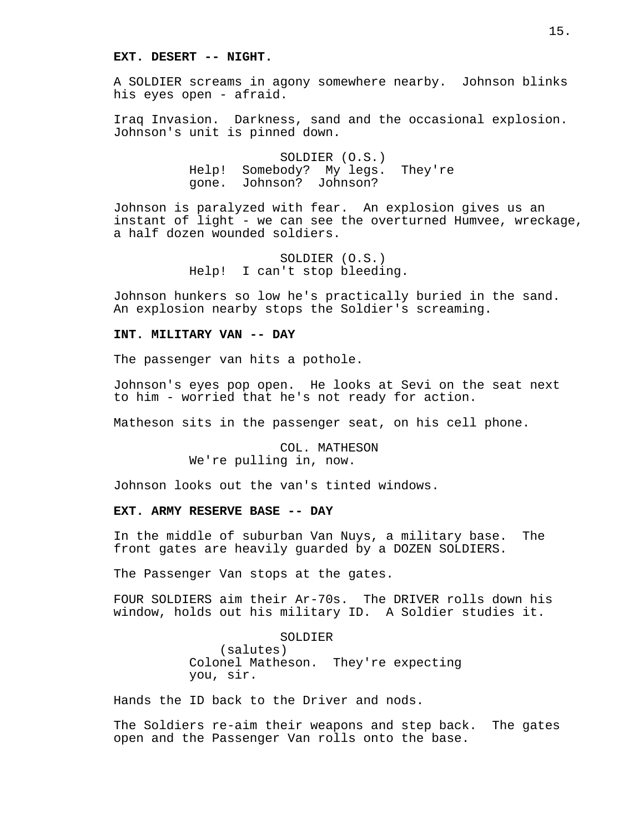#### **EXT. DESERT -- NIGHT.**

A SOLDIER screams in agony somewhere nearby. Johnson blinks his eyes open - afraid.

Iraq Invasion. Darkness, sand and the occasional explosion. Johnson's unit is pinned down.

> SOLDIER (O.S.) Help! Somebody? My legs. They're gone. Johnson? Johnson?

Johnson is paralyzed with fear. An explosion gives us an instant of light - we can see the overturned Humvee, wreckage, a half dozen wounded soldiers.

> SOLDIER (O.S.) Help! I can't stop bleeding.

Johnson hunkers so low he's practically buried in the sand. An explosion nearby stops the Soldier's screaming.

# **INT. MILITARY VAN -- DAY**

The passenger van hits a pothole.

Johnson's eyes pop open. He looks at Sevi on the seat next to him - worried that he's not ready for action.

Matheson sits in the passenger seat, on his cell phone.

COL. MATHESON We're pulling in, now.

Johnson looks out the van's tinted windows.

## **EXT. ARMY RESERVE BASE -- DAY**

In the middle of suburban Van Nuys, a military base. The front gates are heavily guarded by a DOZEN SOLDIERS.

The Passenger Van stops at the gates.

FOUR SOLDIERS aim their Ar-70s. The DRIVER rolls down his window, holds out his military ID. A Soldier studies it.

> SOLDIER (salutes) Colonel Matheson. They're expecting you, sir.

Hands the ID back to the Driver and nods.

The Soldiers re-aim their weapons and step back. The gates open and the Passenger Van rolls onto the base.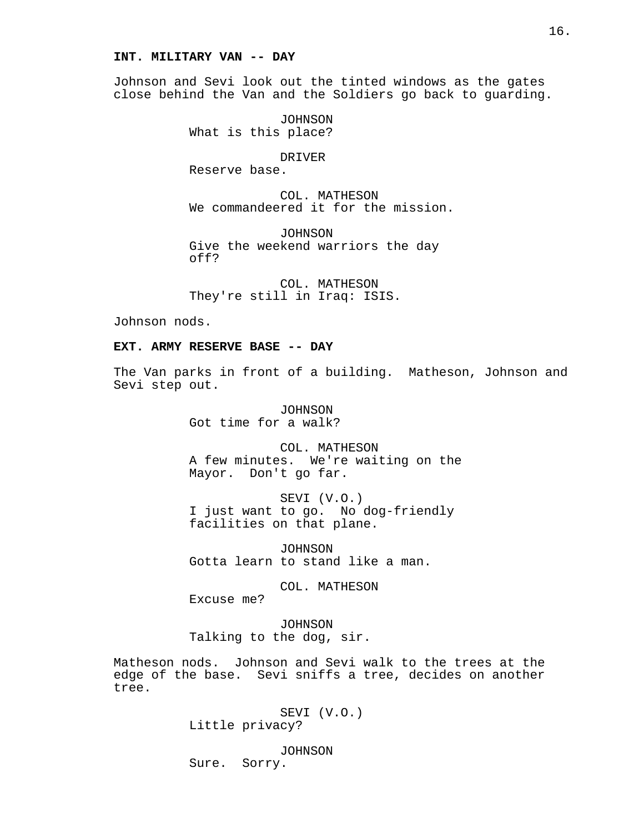#### **INT. MILITARY VAN -- DAY**

Johnson and Sevi look out the tinted windows as the gates close behind the Van and the Soldiers go back to guarding.

> JOHNSON What is this place?

> > DRIVER

Reserve base.

COL. MATHESON We commandeered it for the mission.

JOHNSON Give the weekend warriors the day off?

COL. MATHESON They're still in Iraq: ISIS.

Johnson nods.

# **EXT. ARMY RESERVE BASE -- DAY**

The Van parks in front of a building. Matheson, Johnson and Sevi step out.

> JOHNSON Got time for a walk?

COL. MATHESON A few minutes. We're waiting on the Mayor. Don't go far.

SEVI (V.O.) I just want to go. No dog-friendly facilities on that plane.

JOHNSON Gotta learn to stand like a man.

COL. MATHESON

Excuse me?

JOHNSON Talking to the dog, sir.

Matheson nods. Johnson and Sevi walk to the trees at the edge of the base. Sevi sniffs a tree, decides on another tree.

> SEVI (V.O.) Little privacy?

JOHNSON Sure. Sorry.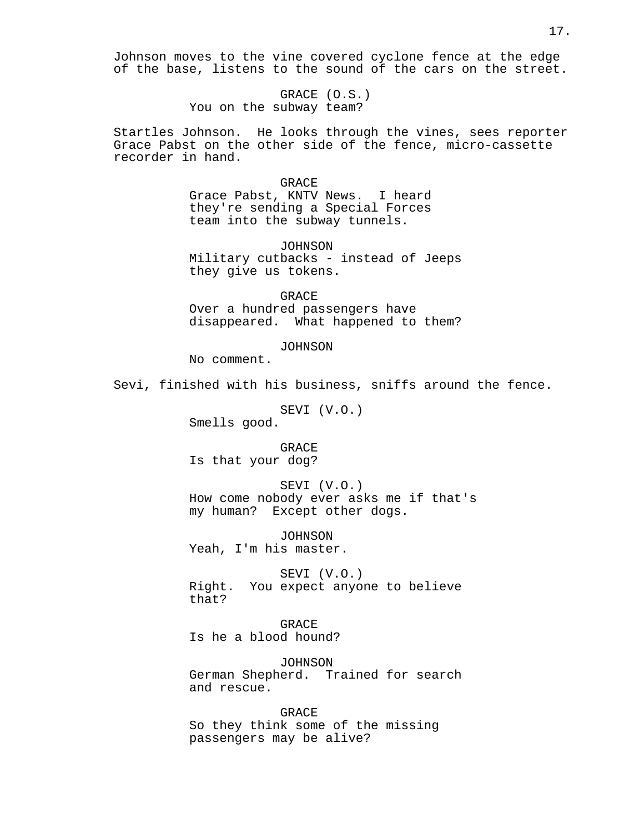Johnson moves to the vine covered cyclone fence at the edge of the base, listens to the sound of the cars on the street.

> GRACE (O.S.) You on the subway team?

Startles Johnson. He looks through the vines, sees reporter Grace Pabst on the other side of the fence, micro-cassette recorder in hand.

#### GRACE

Grace Pabst, KNTV News. I heard they're sending a Special Forces team into the subway tunnels.

JOHNSON Military cutbacks - instead of Jeeps they give us tokens.

GRACE Over a hundred passengers have disappeared. What happened to them?

## JOHNSON

No comment.

Sevi, finished with his business, sniffs around the fence.

SEVI (V.O.)

Smells good.

**GRACE** Is that your dog?

SEVI (V.O.) How come nobody ever asks me if that's my human? Except other dogs.

JOHNSON Yeah, I'm his master.

SEVI (V.O.) Right. You expect anyone to believe that?

GRACE Is he a blood hound?

JOHNSON German Shepherd. Trained for search and rescue.

GRACE So they think some of the missing passengers may be alive?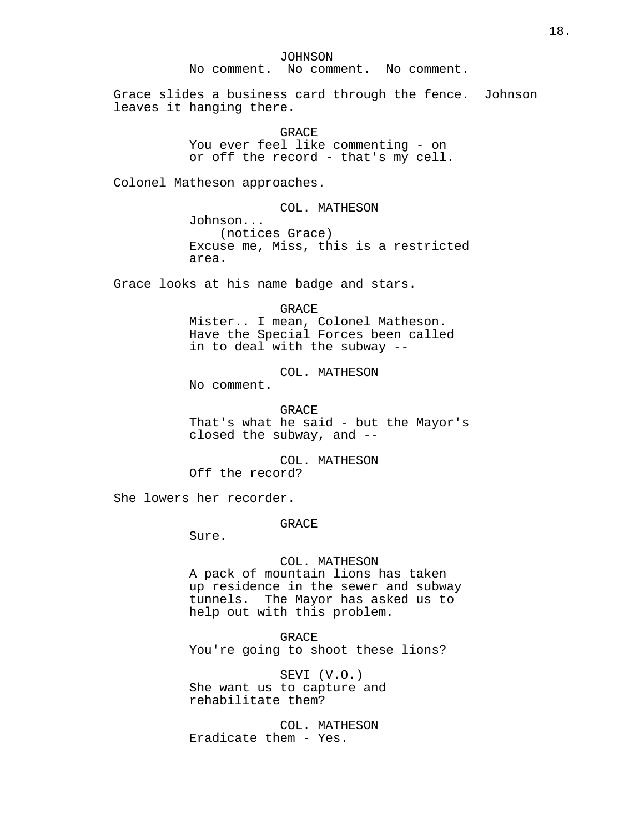JOHNSON

No comment. No comment. No comment.

Grace slides a business card through the fence. Johnson leaves it hanging there.

> GRACE You ever feel like commenting - on or off the record - that's my cell.

Colonel Matheson approaches.

COL. MATHESON

Johnson... (notices Grace) Excuse me, Miss, this is a restricted area.

Grace looks at his name badge and stars.

GRACE

Mister.. I mean, Colonel Matheson. Have the Special Forces been called in to deal with the subway --

COL. MATHESON

No comment.

GRACE That's what he said - but the Mayor's closed the subway, and --

COL. MATHESON Off the record?

She lowers her recorder.

GRACE

Sure.

## COL. MATHESON

A pack of mountain lions has taken up residence in the sewer and subway tunnels. The Mayor has asked us to help out with this problem.

GRACE

You're going to shoot these lions?

SEVI (V.O.) She want us to capture and rehabilitate them?

COL. MATHESON Eradicate them - Yes.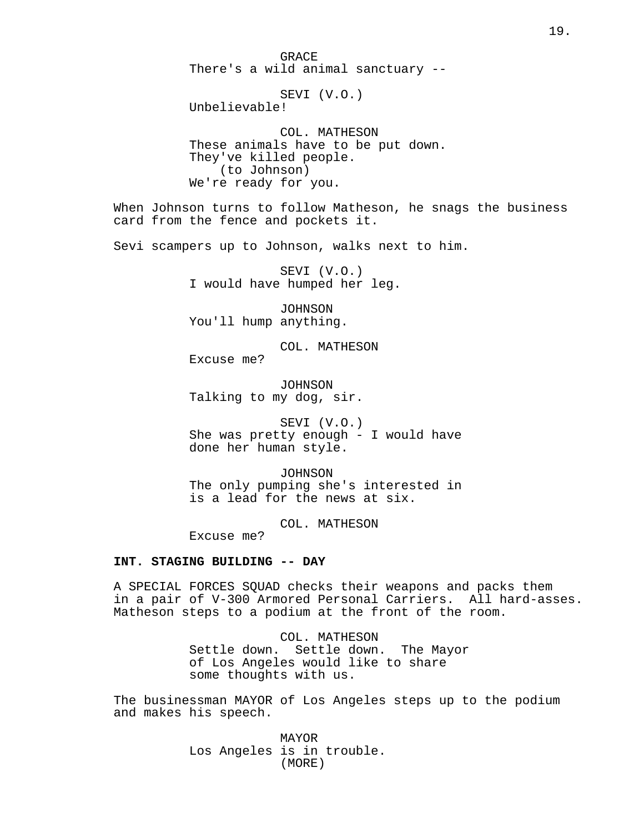GRACE There's a wild animal sanctuary --

SEVI (V.O.) Unbelievable!

COL. MATHESON These animals have to be put down. They've killed people. (to Johnson) We're ready for you.

When Johnson turns to follow Matheson, he snags the business card from the fence and pockets it.

Sevi scampers up to Johnson, walks next to him.

SEVI (V.O.) I would have humped her leg.

JOHNSON You'll hump anything.

COL. MATHESON

Excuse me?

JOHNSON Talking to my dog, sir.

SEVI (V.O.) She was pretty enough - I would have done her human style.

JOHNSON The only pumping she's interested in is a lead for the news at six.

COL. MATHESON

Excuse me?

# **INT. STAGING BUILDING -- DAY**

A SPECIAL FORCES SQUAD checks their weapons and packs them in a pair of V-300 Armored Personal Carriers. All hard-asses. Matheson steps to a podium at the front of the room.

> COL. MATHESON Settle down. Settle down. The Mayor of Los Angeles would like to share some thoughts with us.

The businessman MAYOR of Los Angeles steps up to the podium and makes his speech.

> MAYOR Los Angeles is in trouble. (MORE)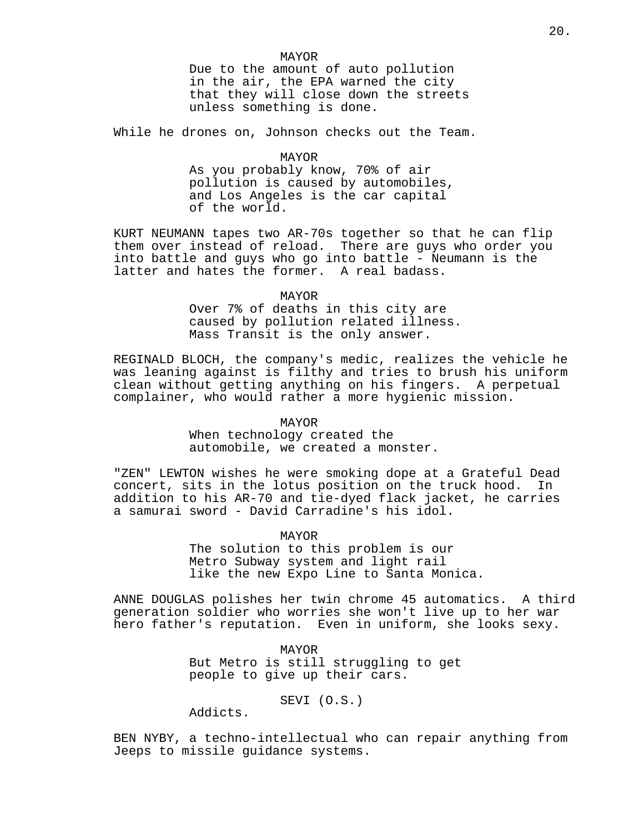20.

MAYOR Due to the amount of auto pollution in the air, the EPA warned the city that they will close down the streets unless something is done.

While he drones on, Johnson checks out the Team.

MAYOR As you probably know, 70% of air pollution is caused by automobiles, and Los Angeles is the car capital of the world.

KURT NEUMANN tapes two AR-70s together so that he can flip them over instead of reload. There are guys who order you into battle and guys who go into battle - Neumann is the latter and hates the former. A real badass.

#### MAYOR

Over 7% of deaths in this city are caused by pollution related illness. Mass Transit is the only answer.

REGINALD BLOCH, the company's medic, realizes the vehicle he was leaning against is filthy and tries to brush his uniform clean without getting anything on his fingers. A perpetual complainer, who would rather a more hygienic mission.

# MAYOR

When technology created the automobile, we created a monster.

"ZEN" LEWTON wishes he were smoking dope at a Grateful Dead concert, sits in the lotus position on the truck hood. In addition to his AR-70 and tie-dyed flack jacket, he carries a samurai sword - David Carradine's his idol.

MAYOR

The solution to this problem is our Metro Subway system and light rail like the new Expo Line to Santa Monica.

ANNE DOUGLAS polishes her twin chrome 45 automatics. A third generation soldier who worries she won't live up to her war hero father's reputation. Even in uniform, she looks sexy.

> MAYOR But Metro is still struggling to get people to give up their cars.

> > SEVI (O.S.)

Addicts.

BEN NYBY, a techno-intellectual who can repair anything from Jeeps to missile guidance systems.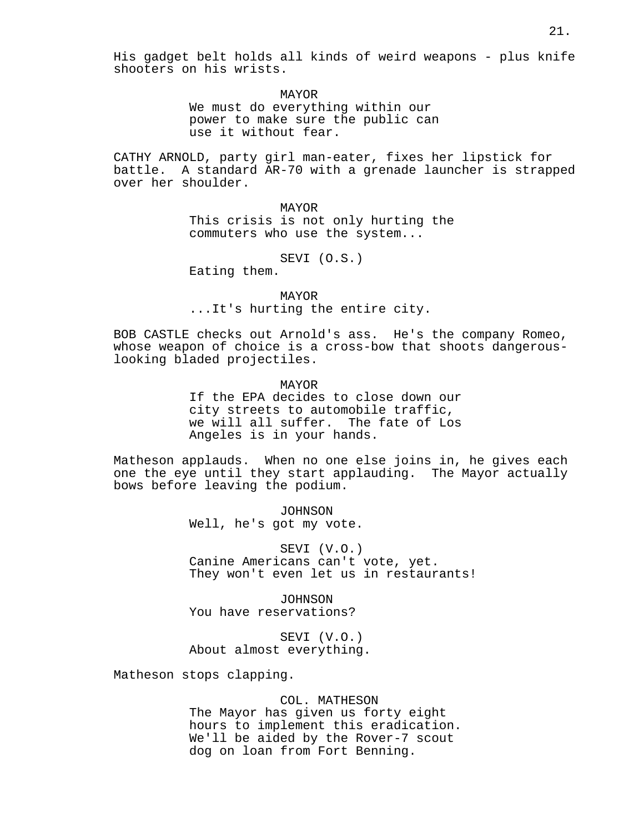His gadget belt holds all kinds of weird weapons - plus knife shooters on his wrists.

> MAYOR We must do everything within our power to make sure the public can use it without fear.

CATHY ARNOLD, party girl man-eater, fixes her lipstick for battle. A standard AR-70 with a grenade launcher is strapped over her shoulder.

> MAYOR This crisis is not only hurting the commuters who use the system...

> > SEVI (O.S.)

Eating them.

MAYOR ...It's hurting the entire city.

BOB CASTLE checks out Arnold's ass. He's the company Romeo, whose weapon of choice is a cross-bow that shoots dangerouslooking bladed projectiles.

> MAYOR If the EPA decides to close down our city streets to automobile traffic, we will all suffer. The fate of Los Angeles is in your hands.

Matheson applauds. When no one else joins in, he gives each one the eye until they start applauding. The Mayor actually bows before leaving the podium.

> JOHNSON Well, he's got my vote.

SEVI (V.O.) Canine Americans can't vote, yet. They won't even let us in restaurants!

JOHNSON You have reservations?

SEVI (V.O.) About almost everything.

Matheson stops clapping.

#### COL. MATHESON

The Mayor has given us forty eight hours to implement this eradication. We'll be aided by the Rover-7 scout dog on loan from Fort Benning.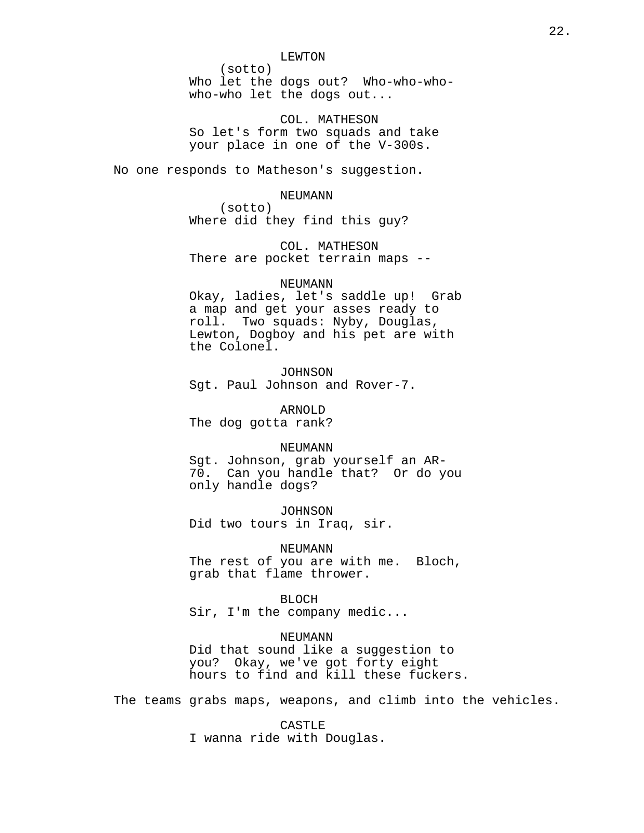#### LEWTON

(sotto) Who let the dogs out? Who-who-whowho-who let the dogs out...

COL. MATHESON So let's form two squads and take your place in one of the V-300s.

No one responds to Matheson's suggestion.

#### NEUMANN

(sotto) Where did they find this guy?

COL. MATHESON There are pocket terrain maps --

#### NEUMANN

Okay, ladies, let's saddle up! Grab a map and get your asses ready to roll. Two squads: Nyby, Douglas, Lewton, Dogboy and his pet are with the Colonel.

JOHNSON Sgt. Paul Johnson and Rover-7.

ARNOLD The dog gotta rank?

#### NEUMANN

Sgt. Johnson, grab yourself an AR-70. Can you handle that? Or do you only handle dogs?

JOHNSON Did two tours in Iraq, sir.

NEUMANN

The rest of you are with me. Bloch, grab that flame thrower.

BLOCH

Sir, I'm the company medic...

NEUMANN

Did that sound like a suggestion to you? Okay, we've got forty eight hours to find and kill these fuckers.

The teams grabs maps, weapons, and climb into the vehicles.

CASTLE I wanna ride with Douglas.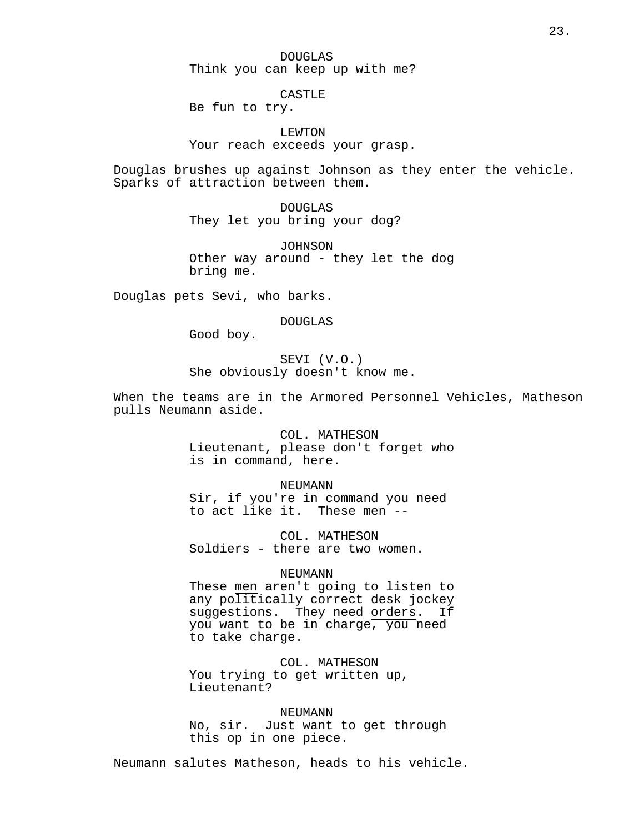DOUGLAS Think you can keep up with me?

**CASTLE** 

Be fun to try.

LEWTON Your reach exceeds your grasp.

Douglas brushes up against Johnson as they enter the vehicle. Sparks of attraction between them.

> DOUGLAS They let you bring your dog?

JOHNSON Other way around - they let the dog bring me.

Douglas pets Sevi, who barks.

DOUGLAS

Good boy.

SEVI (V.O.) She obviously doesn't know me.

When the teams are in the Armored Personnel Vehicles, Matheson pulls Neumann aside.

> COL. MATHESON Lieutenant, please don't forget who is in command, here.

> > NEUMANN

Sir, if you're in command you need to act like it. These men --

COL. MATHESON Soldiers - there are two women.

## NEUMANN

These men aren't going to listen to any politically correct desk jockey suggestions. They need orders. If you want to be in charge, you need to take charge.

COL. MATHESON You trying to get written up, Lieutenant?

NEUMANN No, sir. Just want to get through this op in one piece.

Neumann salutes Matheson, heads to his vehicle.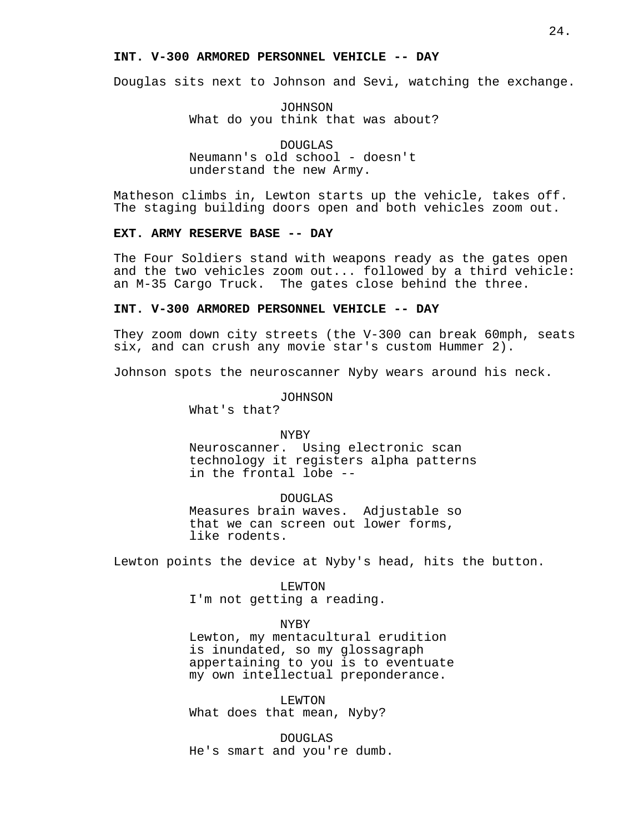# **INT. V-300 ARMORED PERSONNEL VEHICLE -- DAY**

Douglas sits next to Johnson and Sevi, watching the exchange.

JOHNSON What do you think that was about?

DOUGLAS Neumann's old school - doesn't understand the new Army.

Matheson climbs in, Lewton starts up the vehicle, takes off. The staging building doors open and both vehicles zoom out.

## **EXT. ARMY RESERVE BASE -- DAY**

The Four Soldiers stand with weapons ready as the gates open and the two vehicles zoom out... followed by a third vehicle: an M-35 Cargo Truck. The gates close behind the three.

# **INT. V-300 ARMORED PERSONNEL VEHICLE -- DAY**

They zoom down city streets (the V-300 can break 60mph, seats six, and can crush any movie star's custom Hummer 2).

Johnson spots the neuroscanner Nyby wears around his neck.

JOHNSON

What's that?

#### NYBY

Neuroscanner. Using electronic scan technology it registers alpha patterns in the frontal lobe --

DOUGLAS

Measures brain waves. Adjustable so that we can screen out lower forms, like rodents.

Lewton points the device at Nyby's head, hits the button.

LEWTON I'm not getting a reading.

#### NYBY

Lewton, my mentacultural erudition is inundated, so my glossagraph appertaining to you is to eventuate my own intellectual preponderance.

LEWTON What does that mean, Nyby?

DOUGLAS He's smart and you're dumb.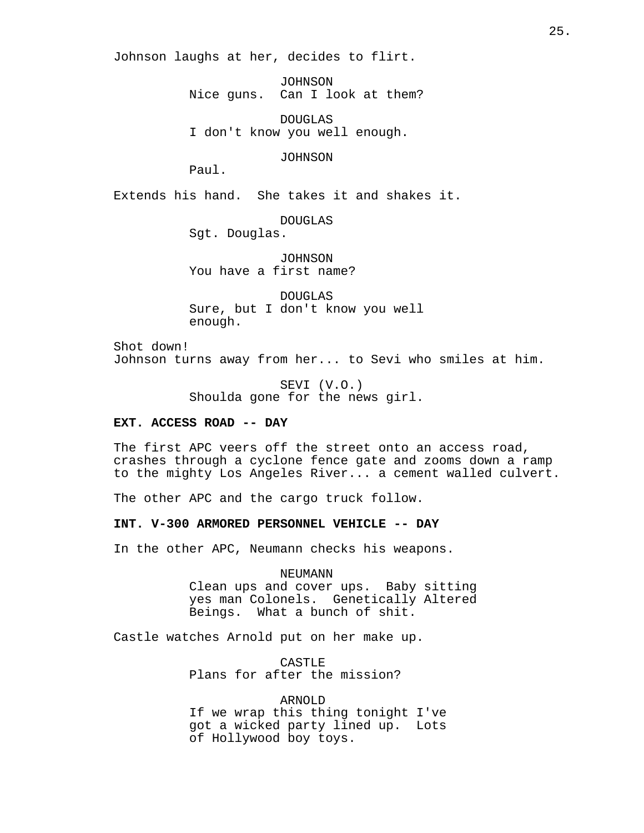Johnson laughs at her, decides to flirt.

JOHNSON Nice guns. Can I look at them?

DOUGLAS I don't know you well enough.

JOHNSON

Paul.

Extends his hand. She takes it and shakes it.

DOUGLAS

Sgt. Douglas.

JOHNSON You have a first name?

DOUGLAS Sure, but I don't know you well enough.

Shot down! Johnson turns away from her... to Sevi who smiles at him.

> SEVI (V.O.) Shoulda gone for the news girl.

# **EXT. ACCESS ROAD -- DAY**

The first APC veers off the street onto an access road, crashes through a cyclone fence gate and zooms down a ramp to the mighty Los Angeles River... a cement walled culvert.

The other APC and the cargo truck follow.

**INT. V-300 ARMORED PERSONNEL VEHICLE -- DAY**

In the other APC, Neumann checks his weapons.

NEUMANN Clean ups and cover ups. Baby sitting yes man Colonels. Genetically Altered Beings. What a bunch of shit.

Castle watches Arnold put on her make up.

CASTLE Plans for after the mission?

ARNOLD If we wrap this thing tonight I've got a wicked party lined up. Lots of Hollywood boy toys.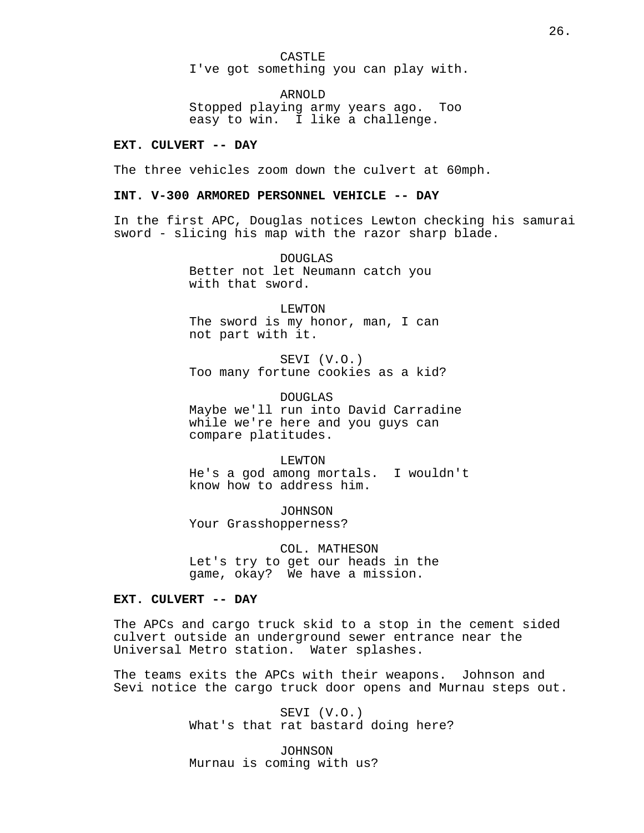CASTLE I've got something you can play with.

ARNOLD Stopped playing army years ago. Too easy to win. I like a challenge.

# **EXT. CULVERT -- DAY**

The three vehicles zoom down the culvert at 60mph.

## **INT. V-300 ARMORED PERSONNEL VEHICLE -- DAY**

In the first APC, Douglas notices Lewton checking his samurai sword - slicing his map with the razor sharp blade.

> DOUGLAS Better not let Neumann catch you with that sword.

LEWTON The sword is my honor, man, I can not part with it.

SEVI (V.O.) Too many fortune cookies as a kid?

DOUGLAS Maybe we'll run into David Carradine while we're here and you guys can compare platitudes.

LEWTON He's a god among mortals. I wouldn't know how to address him.

JOHNSON Your Grasshopperness?

COL. MATHESON Let's try to get our heads in the game, okay? We have a mission.

# **EXT. CULVERT -- DAY**

The APCs and cargo truck skid to a stop in the cement sided culvert outside an underground sewer entrance near the Universal Metro station. Water splashes.

The teams exits the APCs with their weapons. Johnson and Sevi notice the cargo truck door opens and Murnau steps out.

> SEVI (V.O.) What's that rat bastard doing here?

JOHNSON Murnau is coming with us?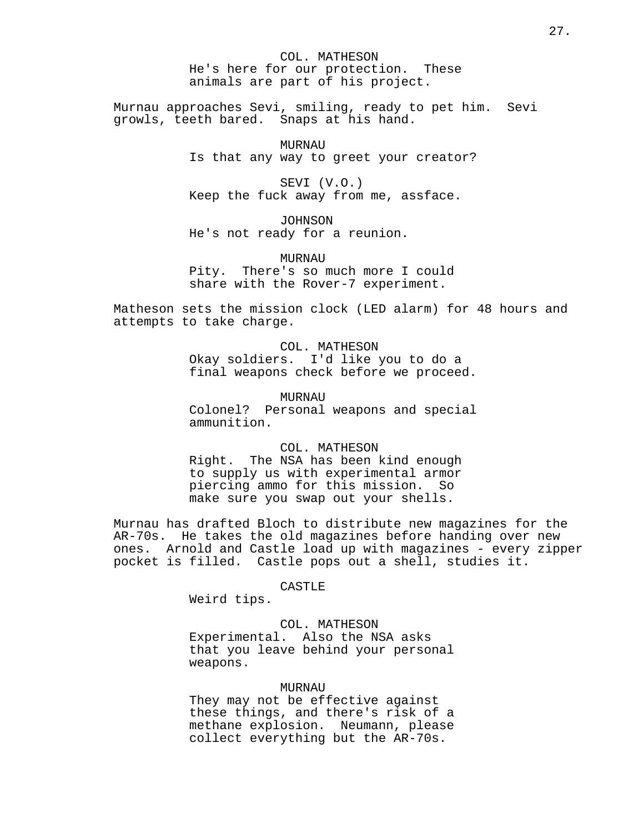COL. MATHESON He's here for our protection. These animals are part of his project.

Murnau approaches Sevi, smiling, ready to pet him. Sevi growls, teeth bared. Snaps at his hand.

> MURNAU Is that any way to greet your creator?

SEVI (V.O.) Keep the fuck away from me, assface.

JOHNSON He's not ready for a reunion.

MURNAU Pity. There's so much more I could share with the Rover-7 experiment.

Matheson sets the mission clock (LED alarm) for 48 hours and attempts to take charge.

# COL. MATHESON Okay soldiers. I'd like you to do a

final weapons check before we proceed.

MURNAU

Colonel? Personal weapons and special ammunition.

# COL. MATHESON

Right. The NSA has been kind enough to supply us with experimental armor piercing ammo for this mission. So make sure you swap out your shells.

Murnau has drafted Bloch to distribute new magazines for the AR-70s. He takes the old magazines before handing over new ones. Arnold and Castle load up with magazines - every zipper pocket is filled. Castle pops out a shell, studies it.

# CASTLE

Weird tips.

# COL. MATHESON

Experimental. Also the NSA asks that you leave behind your personal weapons.

# MURNAU

They may not be effective against these things, and there's risk of a methane explosion. Neumann, please collect everything but the AR-70s.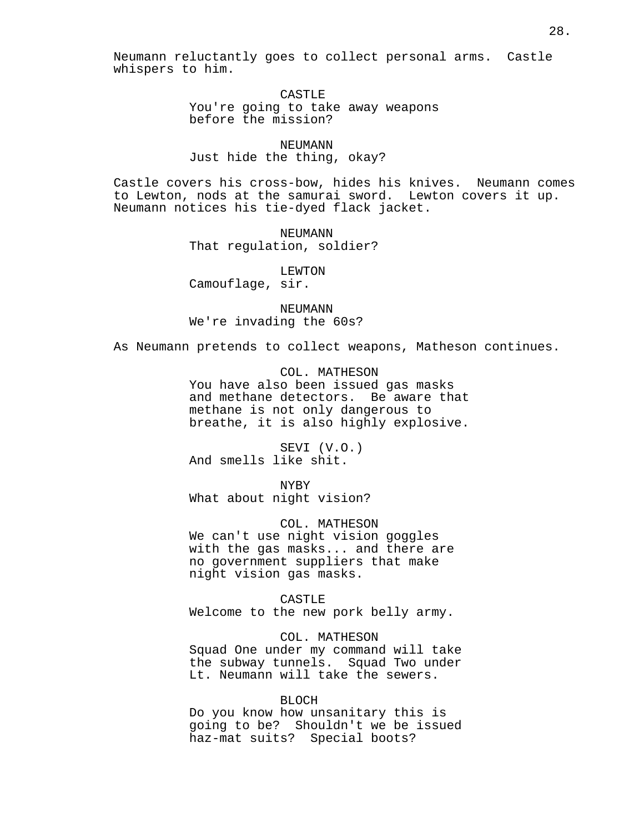Neumann reluctantly goes to collect personal arms. Castle whispers to him.

> CASTLE<sub>L</sub> You're going to take away weapons before the mission?

NEUMANN Just hide the thing, okay?

Castle covers his cross-bow, hides his knives. Neumann comes to Lewton, nods at the samurai sword. Lewton covers it up. Neumann notices his tie-dyed flack jacket.

> NEUMANN That regulation, soldier?

> > LEWTON

Camouflage, sir.

NEUMANN We're invading the 60s?

As Neumann pretends to collect weapons, Matheson continues.

COL. MATHESON You have also been issued gas masks and methane detectors. Be aware that methane is not only dangerous to breathe, it is also highly explosive.

SEVI (V.O.) And smells like shit.

NYBY What about night vision?

COL. MATHESON We can't use night vision goggles with the gas masks... and there are no government suppliers that make night vision gas masks.

CASTLE Welcome to the new pork belly army.

COL. MATHESON Squad One under my command will take the subway tunnels. Squad Two under Lt. Neumann will take the sewers.

# BLOCH

Do you know how unsanitary this is going to be? Shouldn't we be issued haz-mat suits? Special boots?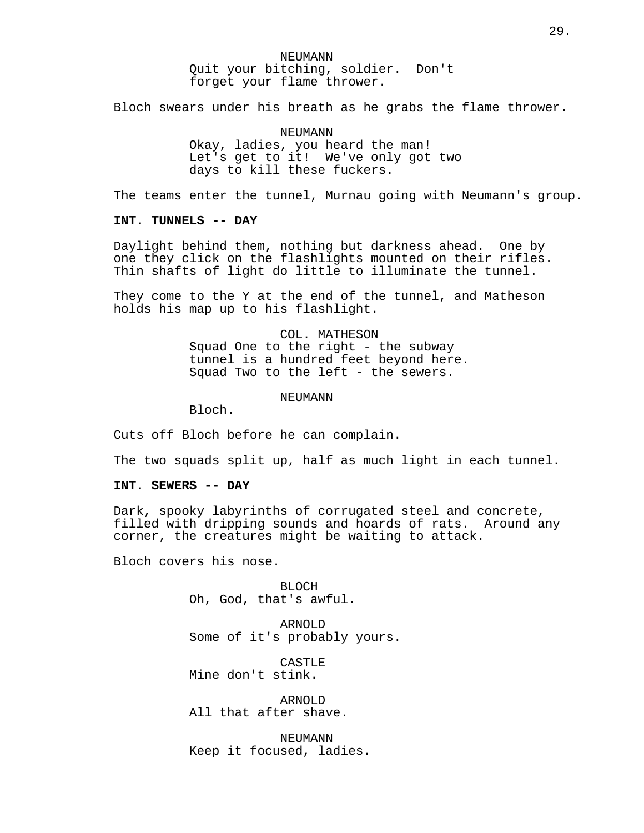NEUMANN Quit your bitching, soldier. Don't forget your flame thrower.

Bloch swears under his breath as he grabs the flame thrower.

NEUMANN Okay, ladies, you heard the man! Let's get to it! We've only got two days to kill these fuckers.

The teams enter the tunnel, Murnau going with Neumann's group.

## **INT. TUNNELS -- DAY**

Daylight behind them, nothing but darkness ahead. One by one they click on the flashlights mounted on their rifles. Thin shafts of light do little to illuminate the tunnel.

They come to the Y at the end of the tunnel, and Matheson holds his map up to his flashlight.

> COL. MATHESON Squad One to the right - the subway tunnel is a hundred feet beyond here. Squad Two to the left - the sewers.

> > **NEUMANN**

Bloch.

Cuts off Bloch before he can complain.

The two squads split up, half as much light in each tunnel.

## **INT. SEWERS -- DAY**

Dark, spooky labyrinths of corrugated steel and concrete, filled with dripping sounds and hoards of rats. Around any corner, the creatures might be waiting to attack.

Bloch covers his nose.

BLOCH Oh, God, that's awful.

ARNOLD Some of it's probably yours.

CASTLE Mine don't stink.

ARNOLD All that after shave.

NEUMANN Keep it focused, ladies.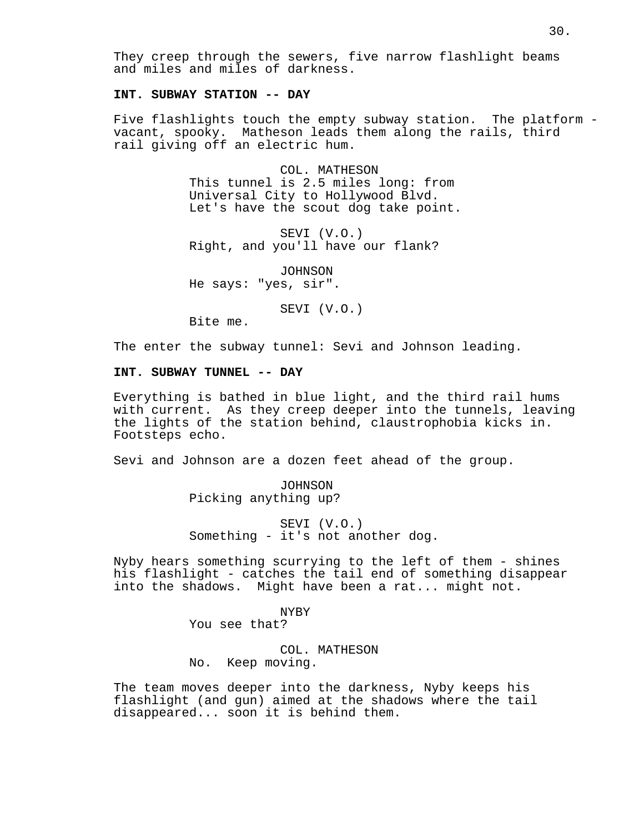They creep through the sewers, five narrow flashlight beams and miles and miles of darkness.

# **INT. SUBWAY STATION -- DAY**

Five flashlights touch the empty subway station. The platform vacant, spooky. Matheson leads them along the rails, third rail giving off an electric hum.

> COL. MATHESON This tunnel is 2.5 miles long: from Universal City to Hollywood Blvd. Let's have the scout dog take point.

SEVI (V.O.) Right, and you'll have our flank?

JOHNSON He says: "yes, sir".

SEVI (V.O.)

Bite me.

The enter the subway tunnel: Sevi and Johnson leading.

# **INT. SUBWAY TUNNEL -- DAY**

Everything is bathed in blue light, and the third rail hums with current. As they creep deeper into the tunnels, leaving the lights of the station behind, claustrophobia kicks in. Footsteps echo.

Sevi and Johnson are a dozen feet ahead of the group.

JOHNSON Picking anything up?

SEVI (V.O.) Something - it's not another dog.

Nyby hears something scurrying to the left of them - shines his flashlight - catches the tail end of something disappear into the shadows. Might have been a rat... might not.

NYBY

You see that?

COL. MATHESON No. Keep moving.

The team moves deeper into the darkness, Nyby keeps his flashlight (and gun) aimed at the shadows where the tail disappeared... soon it is behind them.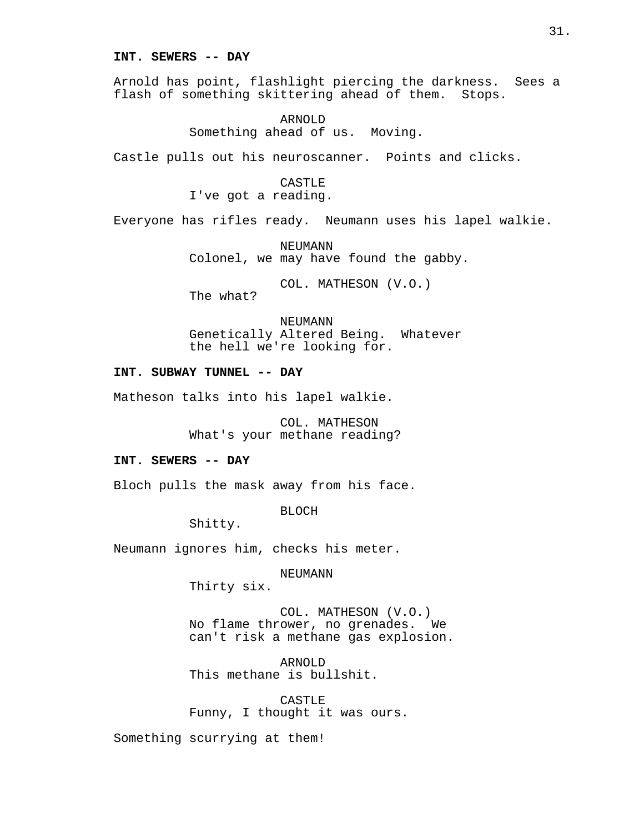## **INT. SEWERS -- DAY**

Arnold has point, flashlight piercing the darkness. Sees a flash of something skittering ahead of them. Stops.

> ARNOLD Something ahead of us. Moving.

Castle pulls out his neuroscanner. Points and clicks.

CASTLE I've got a reading.

Everyone has rifles ready. Neumann uses his lapel walkie.

NEUMANN Colonel, we may have found the gabby.

COL. MATHESON (V.O.) The what?

NEUMANN Genetically Altered Being. Whatever the hell we're looking for.

# **INT. SUBWAY TUNNEL -- DAY**

Matheson talks into his lapel walkie.

COL. MATHESON What's your methane reading?

## **INT. SEWERS -- DAY**

Bloch pulls the mask away from his face.

BLOCH

Shitty.

Neumann ignores him, checks his meter.

NEUMANN

Thirty six.

COL. MATHESON (V.O.) No flame thrower, no grenades. We can't risk a methane gas explosion.

ARNOLD This methane is bullshit.

CASTLE Funny, I thought it was ours.

Something scurrying at them!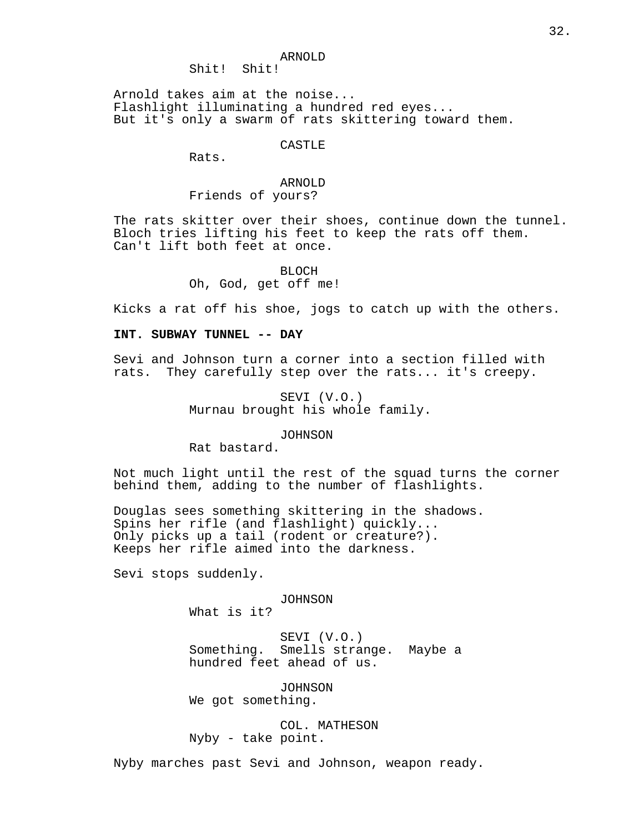#### ARNOLD

Shit! Shit!

Arnold takes aim at the noise... Flashlight illuminating a hundred red eyes... But it's only a swarm of rats skittering toward them.

CASTLE

Rats.

# ARNOLD Friends of yours?

The rats skitter over their shoes, continue down the tunnel. Bloch tries lifting his feet to keep the rats off them. Can't lift both feet at once.

> BLOCH Oh, God, get off me!

Kicks a rat off his shoe, jogs to catch up with the others.

# **INT. SUBWAY TUNNEL -- DAY**

Sevi and Johnson turn a corner into a section filled with rats. They carefully step over the rats... it's creepy.

> SEVI (V.O.) Murnau brought his whole family.

> > JOHNSON

Rat bastard.

Not much light until the rest of the squad turns the corner behind them, adding to the number of flashlights.

Douglas sees something skittering in the shadows. Spins her rifle (and flashlight) quickly... Only picks up a tail (rodent or creature?). Keeps her rifle aimed into the darkness.

Sevi stops suddenly.

JOHNSON

What is it?

SEVI (V.O.) Something. Smells strange. Maybe a hundred feet ahead of us.

JOHNSON We got something.

COL. MATHESON Nyby - take point.

Nyby marches past Sevi and Johnson, weapon ready.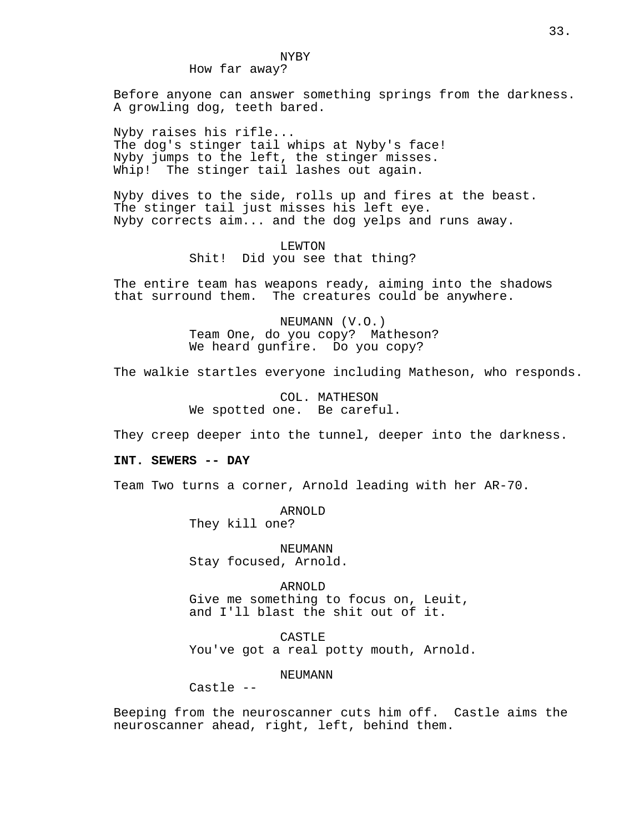How far away?

Before anyone can answer something springs from the darkness. A growling dog, teeth bared.

Nyby raises his rifle... The dog's stinger tail whips at Nyby's face! Nyby jumps to the left, the stinger misses. Whip! The stinger tail lashes out again.

Nyby dives to the side, rolls up and fires at the beast. The stinger tail just misses his left eye. Nyby corrects aim... and the dog yelps and runs away.

# LEWTON Shit! Did you see that thing?

The entire team has weapons ready, aiming into the shadows that surround them. The creatures could be anywhere.

> NEUMANN (V.O.) Team One, do you copy? Matheson? We heard gunfire. Do you copy?

The walkie startles everyone including Matheson, who responds.

COL. MATHESON We spotted one. Be careful.

They creep deeper into the tunnel, deeper into the darkness.

**INT. SEWERS -- DAY**

Team Two turns a corner, Arnold leading with her AR-70.

ARNOLD They kill one?

NEUMANN Stay focused, Arnold.

ARNOLD Give me something to focus on, Leuit, and I'll blast the shit out of it.

CASTLE You've got a real potty mouth, Arnold.

NEUMANN

Castle --

Beeping from the neuroscanner cuts him off. Castle aims the neuroscanner ahead, right, left, behind them.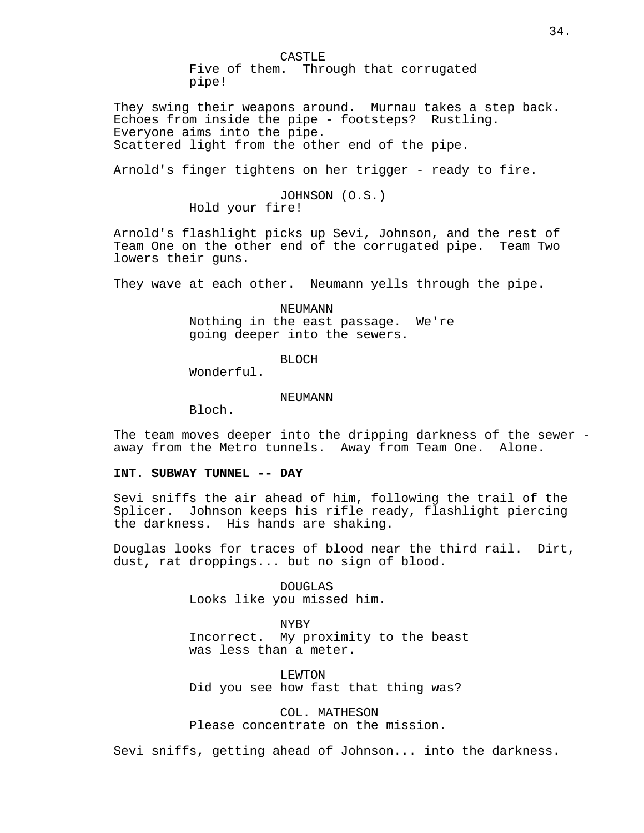CASTLE Five of them. Through that corrugated pipe!

They swing their weapons around. Murnau takes a step back. Echoes from inside the pipe - footsteps? Rustling. Everyone aims into the pipe. Scattered light from the other end of the pipe.

Arnold's finger tightens on her trigger - ready to fire.

JOHNSON (O.S.)

Hold your fire!

Arnold's flashlight picks up Sevi, Johnson, and the rest of Team One on the other end of the corrugated pipe. Team Two lowers their guns.

They wave at each other. Neumann yells through the pipe.

NEUMANN Nothing in the east passage. We're going deeper into the sewers.

BLOCH

Wonderful.

## **NEUMANN**

Bloch.

The team moves deeper into the dripping darkness of the sewer away from the Metro tunnels. Away from Team One. Alone.

## **INT. SUBWAY TUNNEL -- DAY**

Sevi sniffs the air ahead of him, following the trail of the Splicer. Johnson keeps his rifle ready, flashlight piercing the darkness. His hands are shaking.

Douglas looks for traces of blood near the third rail. Dirt, dust, rat droppings... but no sign of blood.

> DOUGLAS Looks like you missed him.

NYBY Incorrect. My proximity to the beast was less than a meter.

LEWTON Did you see how fast that thing was?

COL. MATHESON Please concentrate on the mission.

Sevi sniffs, getting ahead of Johnson... into the darkness.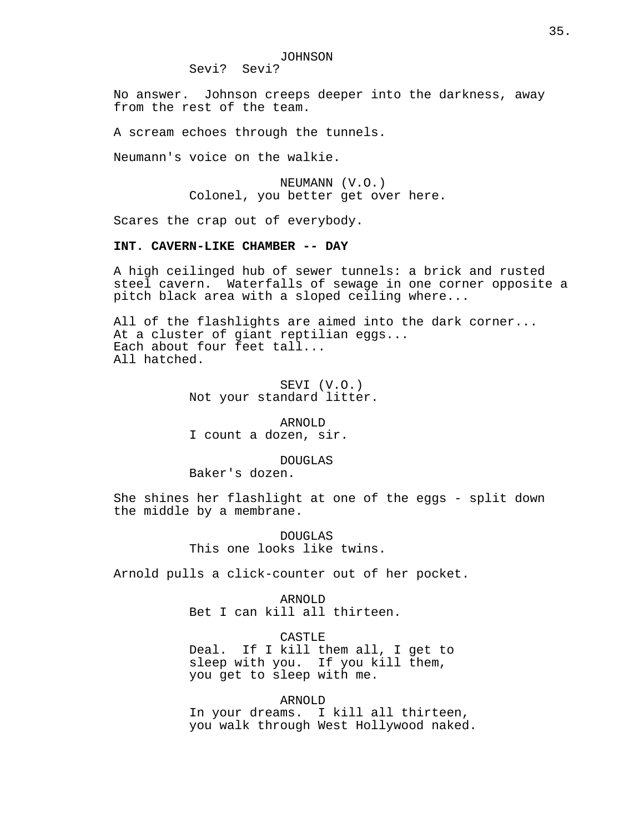Sevi? Sevi?

No answer. Johnson creeps deeper into the darkness, away from the rest of the team.

A scream echoes through the tunnels.

Neumann's voice on the walkie.

NEUMANN (V.O.) Colonel, you better get over here.

Scares the crap out of everybody.

## **INT. CAVERN-LIKE CHAMBER -- DAY**

A high ceilinged hub of sewer tunnels: a brick and rusted steel cavern. Waterfalls of sewage in one corner opposite a pitch black area with a sloped ceiling where...

All of the flashlights are aimed into the dark corner... At a cluster of giant reptilian eggs... Each about four feet tall... All hatched.

> SEVI (V.O.) Not your standard litter.

ARNOLD I count a dozen, sir.

DOUGLAS

Baker's dozen.

She shines her flashlight at one of the eggs - split down the middle by a membrane.

> DOUGLAS This one looks like twins.

Arnold pulls a click-counter out of her pocket.

ARNOLD Bet I can kill all thirteen.

CASTLE Deal. If I kill them all, I get to sleep with you. If you kill them, you get to sleep with me.

ARNOLD In your dreams. I kill all thirteen, you walk through West Hollywood naked.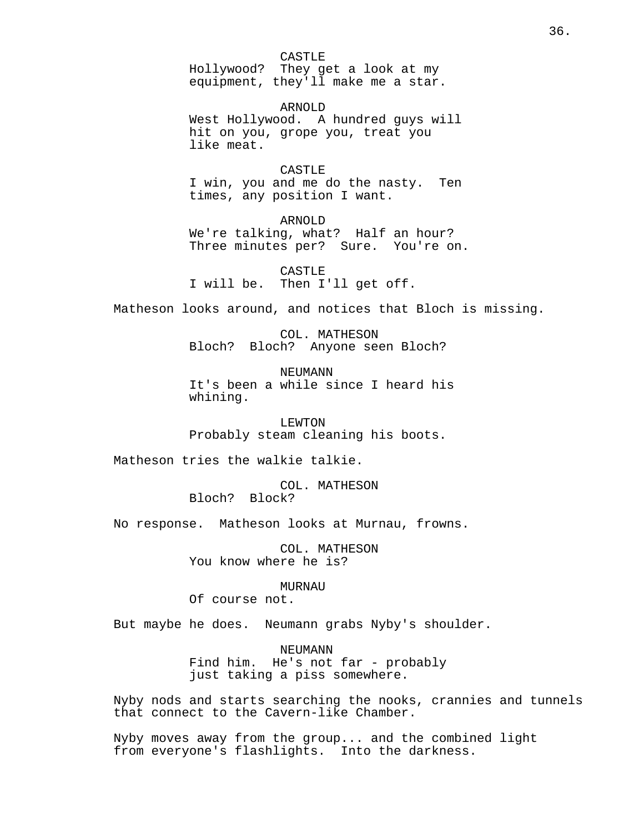CASTLE

Hollywood? They get a look at my equipment, they'll make me a star.

ARNOLD West Hollywood. A hundred guys will hit on you, grope you, treat you like meat.

CASTLE<sub>E</sub> I win, you and me do the nasty. Ten times, any position I want.

ARNOLD We're talking, what? Half an hour? Three minutes per? Sure. You're on.

CASTLE I will be. Then I'll get off.

Matheson looks around, and notices that Bloch is missing.

COL. MATHESON Bloch? Bloch? Anyone seen Bloch?

**NEUMANN** It's been a while since I heard his whining.

LEWTON Probably steam cleaning his boots.

Matheson tries the walkie talkie.

COL. MATHESON Bloch? Block?

No response. Matheson looks at Murnau, frowns.

COL. MATHESON You know where he is?

MURNAU

Of course not.

But maybe he does. Neumann grabs Nyby's shoulder.

**NEUMANN** Find him. He's not far - probably just taking a piss somewhere.

Nyby nods and starts searching the nooks, crannies and tunnels that connect to the Cavern-like Chamber.

Nyby moves away from the group... and the combined light from everyone's flashlights. Into the darkness.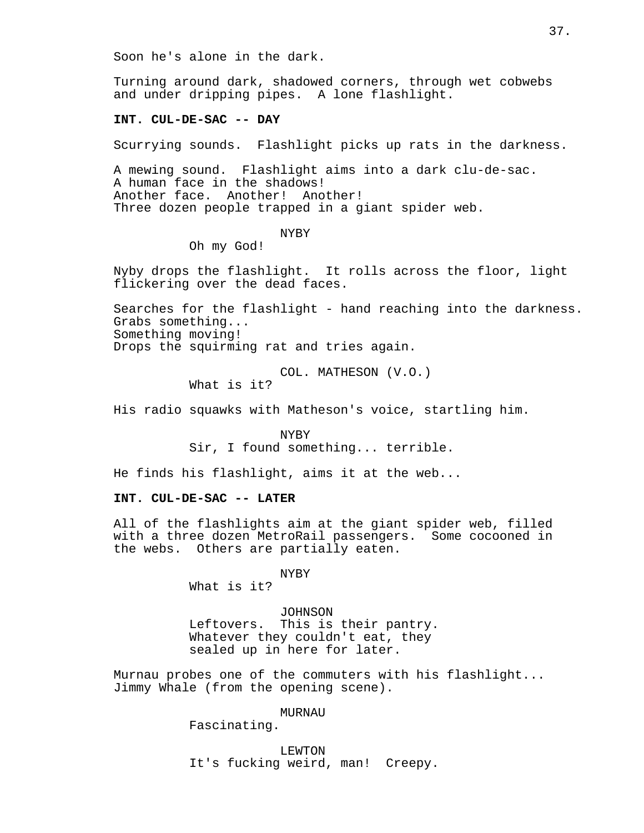Soon he's alone in the dark.

Turning around dark, shadowed corners, through wet cobwebs and under dripping pipes. A lone flashlight.

### **INT. CUL-DE-SAC -- DAY**

Scurrying sounds. Flashlight picks up rats in the darkness.

A mewing sound. Flashlight aims into a dark clu-de-sac. A human face in the shadows! Another face. Another! Another! Three dozen people trapped in a giant spider web.

### NYBY

Oh my God!

Nyby drops the flashlight. It rolls across the floor, light flickering over the dead faces.

Searches for the flashlight - hand reaching into the darkness. Grabs something... Something moving! Drops the squirming rat and tries again.

> COL. MATHESON (V.O.) What is it?

His radio squawks with Matheson's voice, startling him.

NYBY Sir, I found something... terrible.

He finds his flashlight, aims it at the web...

# **INT. CUL-DE-SAC -- LATER**

All of the flashlights aim at the giant spider web, filled with a three dozen MetroRail passengers. Some cocooned in the webs. Others are partially eaten.

NYBY

What is it?

JOHNSON Leftovers. This is their pantry. Whatever they couldn't eat, they sealed up in here for later.

Murnau probes one of the commuters with his flashlight... Jimmy Whale (from the opening scene).

MURNAU

Fascinating.

LEWTON It's fucking weird, man! Creepy.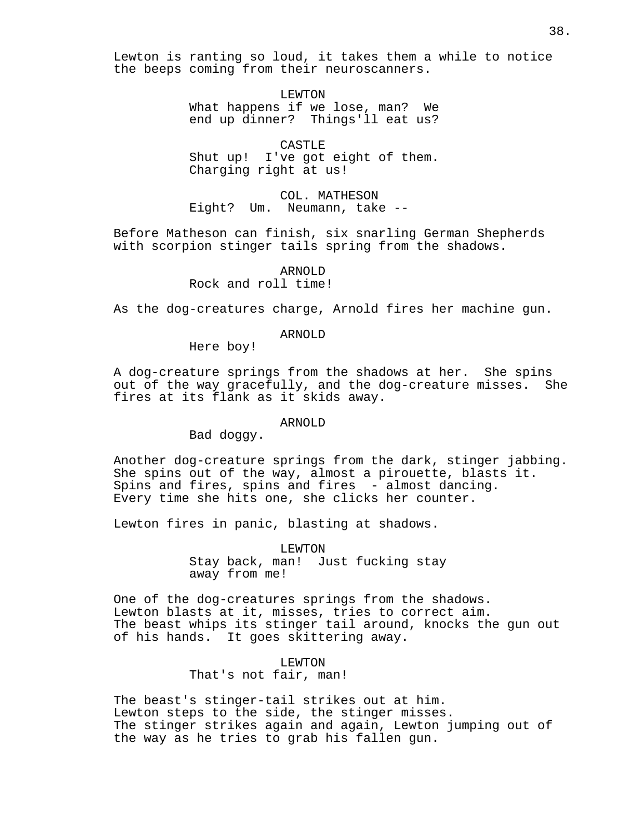Lewton is ranting so loud, it takes them a while to notice the beeps coming from their neuroscanners.

> LEWTON What happens if we lose, man? We end up dinner? Things'll eat us?

CASTLE Shut up! I've got eight of them. Charging right at us!

COL. MATHESON Eight? Um. Neumann, take --

Before Matheson can finish, six snarling German Shepherds with scorpion stinger tails spring from the shadows.

> ARNOLD Rock and roll time!

As the dog-creatures charge, Arnold fires her machine gun.

ARNOLD

Here boy!

A dog-creature springs from the shadows at her. She spins out of the way gracefully, and the dog-creature misses. She fires at its flank as it skids away.

# ARNOLD

Bad doggy.

Another dog-creature springs from the dark, stinger jabbing. She spins out of the way, almost a pirouette, blasts it. Spins and fires, spins and fires - almost dancing. Every time she hits one, she clicks her counter.

Lewton fires in panic, blasting at shadows.

LEWTON Stay back, man! Just fucking stay away from me!

One of the dog-creatures springs from the shadows. Lewton blasts at it, misses, tries to correct aim. The beast whips its stinger tail around, knocks the gun out of his hands. It goes skittering away.

> LEWTON That's not fair, man!

The beast's stinger-tail strikes out at him. Lewton steps to the side, the stinger misses. The stinger strikes again and again, Lewton jumping out of the way as he tries to grab his fallen gun.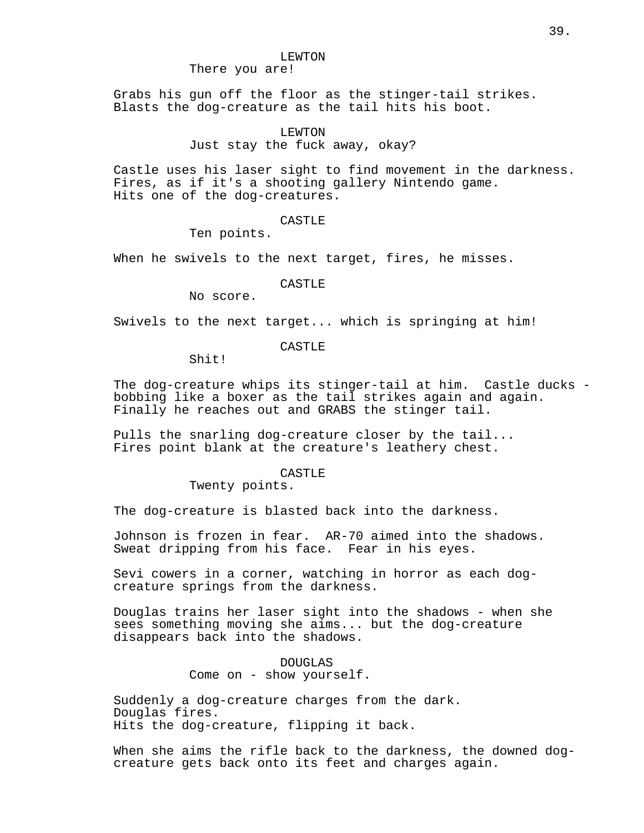## There you are!

Grabs his gun off the floor as the stinger-tail strikes. Blasts the dog-creature as the tail hits his boot.

### LEWTON

## Just stay the fuck away, okay?

Castle uses his laser sight to find movement in the darkness. Fires, as if it's a shooting gallery Nintendo game. Hits one of the dog-creatures.

### CASTLE

Ten points.

When he swivels to the next target, fires, he misses.

## CASTLE

No score.

Swivels to the next target... which is springing at him!

# CASTLE

Shit!

The dog-creature whips its stinger-tail at him. Castle ducks bobbing like a boxer as the tail strikes again and again. Finally he reaches out and GRABS the stinger tail.

Pulls the snarling dog-creature closer by the tail... Fires point blank at the creature's leathery chest.

### CASTLE

Twenty points.

The dog-creature is blasted back into the darkness.

Johnson is frozen in fear. AR-70 aimed into the shadows. Sweat dripping from his face. Fear in his eyes.

Sevi cowers in a corner, watching in horror as each dogcreature springs from the darkness.

Douglas trains her laser sight into the shadows - when she sees something moving she aims... but the dog-creature disappears back into the shadows.

> DOUGLAS Come on - show yourself.

Suddenly a dog-creature charges from the dark. Douglas fires. Hits the dog-creature, flipping it back.

When she aims the rifle back to the darkness, the downed dogcreature gets back onto its feet and charges again.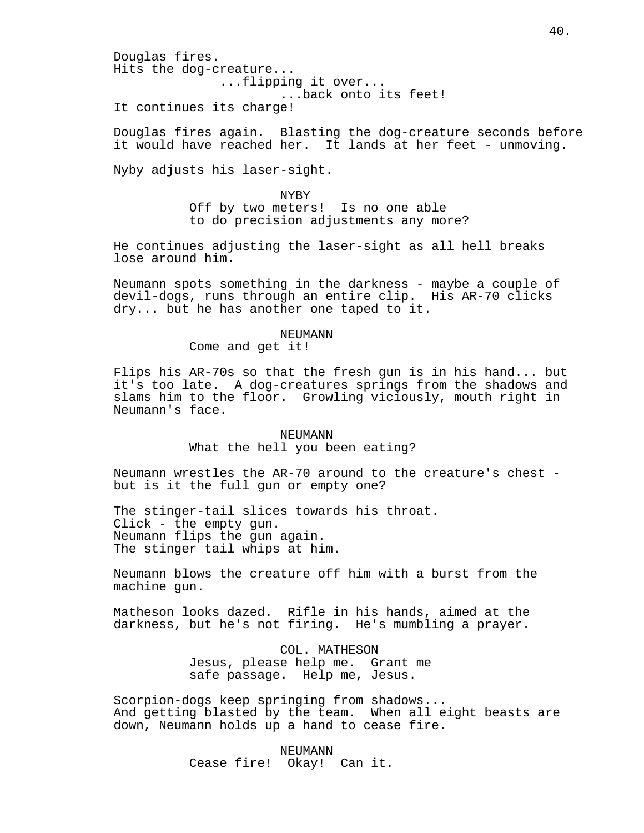Douglas fires. Hits the dog-creature... ...flipping it over... ...back onto its feet! It continues its charge!

Douglas fires again. Blasting the dog-creature seconds before it would have reached her. It lands at her feet - unmoving.

Nyby adjusts his laser-sight.

NYBY Off by two meters! Is no one able to do precision adjustments any more?

He continues adjusting the laser-sight as all hell breaks lose around him.

Neumann spots something in the darkness - maybe a couple of devil-dogs, runs through an entire clip. His AR-70 clicks dry... but he has another one taped to it.

## NEUMANN

Come and get it!

Flips his AR-70s so that the fresh gun is in his hand... but it's too late. A dog-creatures springs from the shadows and slams him to the floor. Growling viciously, mouth right in Neumann's face.

## NEUMANN What the hell you been eating?

Neumann wrestles the AR-70 around to the creature's chest but is it the full gun or empty one?

The stinger-tail slices towards his throat. Click - the empty gun. Neumann flips the gun again. The stinger tail whips at him.

Neumann blows the creature off him with a burst from the machine gun.

Matheson looks dazed. Rifle in his hands, aimed at the darkness, but he's not firing. He's mumbling a prayer.

> COL. MATHESON Jesus, please help me. Grant me safe passage. Help me, Jesus.

Scorpion-dogs keep springing from shadows... And getting blasted by the team. When all eight beasts are down, Neumann holds up a hand to cease fire.

> NEUMANN Cease fire! Okay! Can it.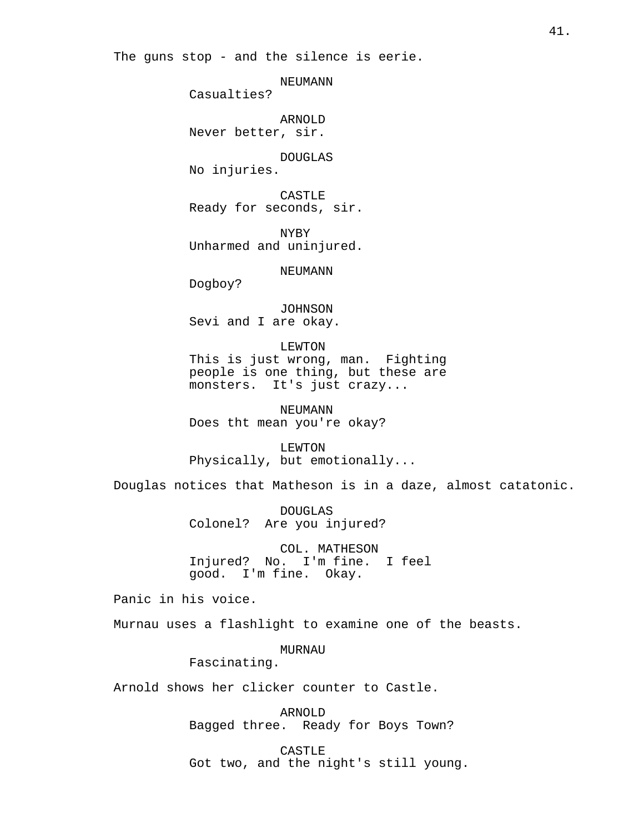The guns stop - and the silence is eerie.

NEUMANN

Casualties?

ARNOLD Never better, sir.

DOUGLAS

No injuries.

CASTLE Ready for seconds, sir.

NYBY Unharmed and uninjured.

NEUMANN

Dogboy?

JOHNSON Sevi and I are okay.

LEWTON This is just wrong, man. Fighting people is one thing, but these are monsters. It's just crazy...

NEUMANN Does tht mean you're okay?

LEWTON Physically, but emotionally...

Douglas notices that Matheson is in a daze, almost catatonic.

DOUGLAS Colonel? Are you injured?

COL. MATHESON Injured? No. I'm fine. I feel good. I'm fine. Okay.

Panic in his voice.

Murnau uses a flashlight to examine one of the beasts.

MURNAU

Fascinating.

Arnold shows her clicker counter to Castle.

ARNOLD Bagged three. Ready for Boys Town?

CASTLE Got two, and the night's still young.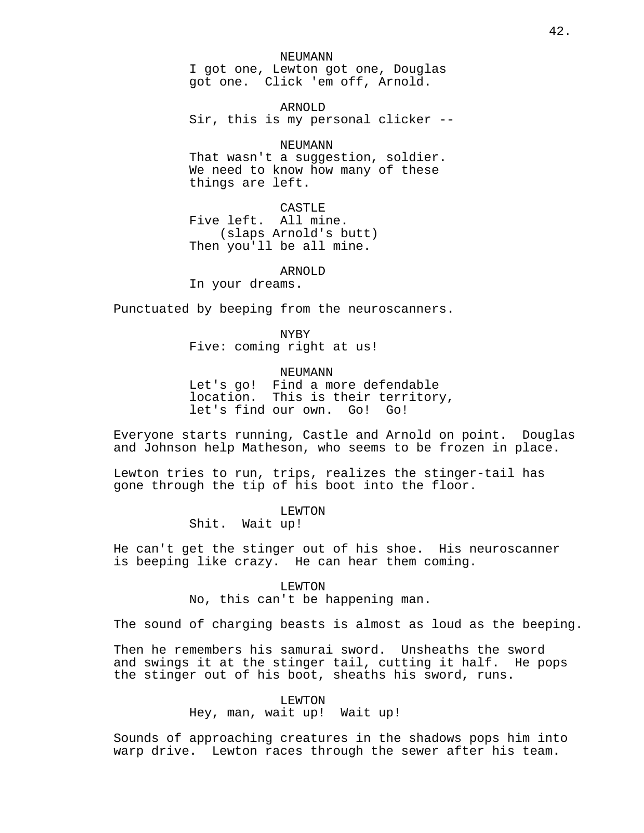NEUMANN I got one, Lewton got one, Douglas got one. Click 'em off, Arnold.

ARNOLD Sir, this is my personal clicker --

### NEUMANN

That wasn't a suggestion, soldier. We need to know how many of these things are left.

CASTLE Five left. All mine. (slaps Arnold's butt) Then you'll be all mine.

# ARNOLD

In your dreams.

Punctuated by beeping from the neuroscanners.

NYBY

Five: coming right at us!

### NEUMANN

Let's go! Find a more defendable location. This is their territory, let's find our own. Go! Go!

Everyone starts running, Castle and Arnold on point. Douglas and Johnson help Matheson, who seems to be frozen in place.

Lewton tries to run, trips, realizes the stinger-tail has gone through the tip of his boot into the floor.

> LEWTON Shit. Wait up!

He can't get the stinger out of his shoe. His neuroscanner is beeping like crazy. He can hear them coming.

> LEWTON No, this can't be happening man.

The sound of charging beasts is almost as loud as the beeping.

Then he remembers his samurai sword. Unsheaths the sword and swings it at the stinger tail, cutting it half. He pops the stinger out of his boot, sheaths his sword, runs.

## LEWTON

Hey, man, wait up! Wait up!

Sounds of approaching creatures in the shadows pops him into warp drive. Lewton races through the sewer after his team.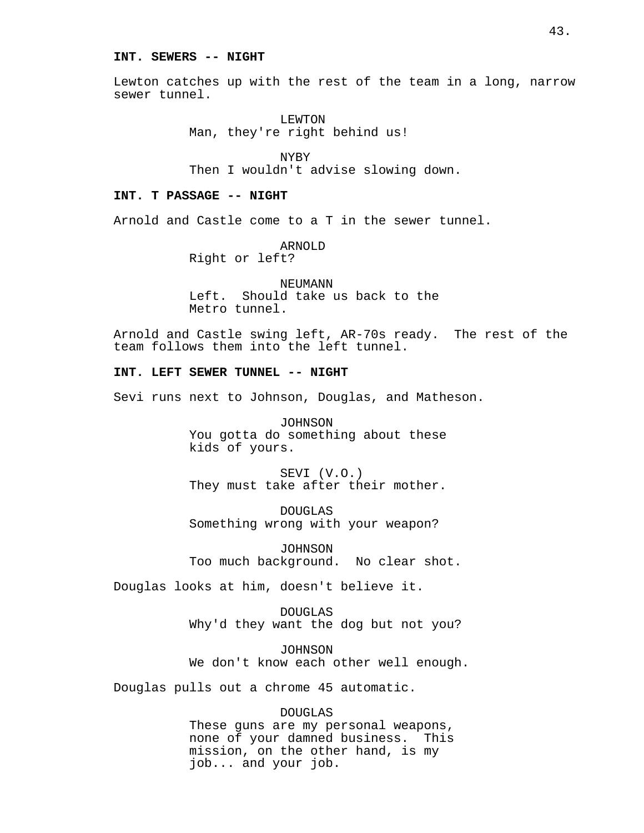### **INT. SEWERS -- NIGHT**

Lewton catches up with the rest of the team in a long, narrow sewer tunnel.

> LEWTON Man, they're right behind us!

NYBY Then I wouldn't advise slowing down.

# **INT. T PASSAGE -- NIGHT**

Arnold and Castle come to a T in the sewer tunnel.

ARNOLD Right or left?

NEUMANN Left. Should take us back to the Metro tunnel.

Arnold and Castle swing left, AR-70s ready. The rest of the team follows them into the left tunnel.

## **INT. LEFT SEWER TUNNEL -- NIGHT**

Sevi runs next to Johnson, Douglas, and Matheson.

JOHNSON You gotta do something about these kids of yours.

SEVI (V.O.) They must take after their mother.

DOUGLAS Something wrong with your weapon?

JOHNSON Too much background. No clear shot.

Douglas looks at him, doesn't believe it.

DOUGLAS Why'd they want the dog but not you?

JOHNSON We don't know each other well enough.

Douglas pulls out a chrome 45 automatic.

DOUGLAS These guns are my personal weapons, none of your damned business. This mission, on the other hand, is my job... and your job.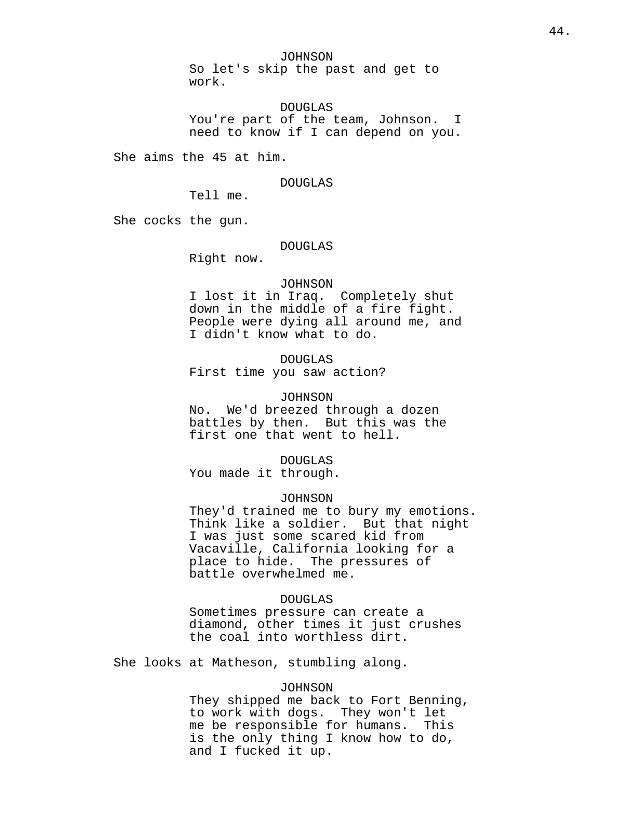JOHNSON

So let's skip the past and get to work.

DOUGLAS You're part of the team, Johnson. I need to know if I can depend on you.

She aims the 45 at him.

#### DOUGLAS

Tell me.

She cocks the gun.

### DOUGLAS

Right now.

#### JOHNSON

I lost it in Iraq. Completely shut down in the middle of a fire fight. People were dying all around me, and I didn't know what to do.

# DOUGLAS

First time you saw action?

## JOHNSON

No. We'd breezed through a dozen battles by then. But this was the first one that went to hell.

DOUGLAS

You made it through.

## JOHNSON

They'd trained me to bury my emotions. Think like a soldier. But that night I was just some scared kid from Vacaville, California looking for a place to hide. The pressures of battle overwhelmed me.

### DOUGLAS

Sometimes pressure can create a diamond, other times it just crushes the coal into worthless dirt.

She looks at Matheson, stumbling along.

### JOHNSON

They shipped me back to Fort Benning, to work with dogs. They won't let me be responsible for humans. This is the only thing I know how to do, and I fucked it up.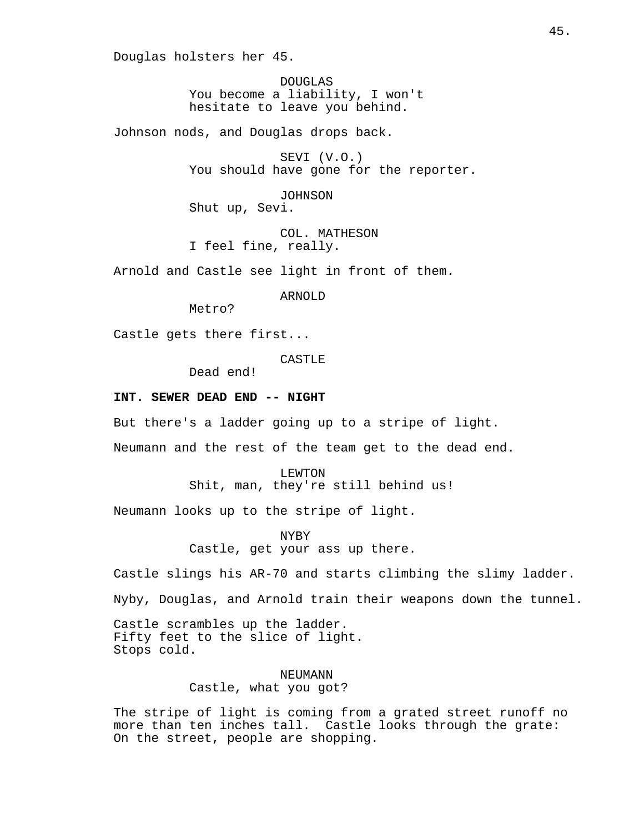Douglas holsters her 45.

DOUGLAS You become a liability, I won't hesitate to leave you behind.

Johnson nods, and Douglas drops back.

SEVI (V.O.) You should have gone for the reporter.

JOHNSON Shut up, Sevi.

COL. MATHESON I feel fine, really.

Arnold and Castle see light in front of them.

ARNOLD

Metro?

Castle gets there first...

CASTLE

Dead end!

### **INT. SEWER DEAD END -- NIGHT**

But there's a ladder going up to a stripe of light.

Neumann and the rest of the team get to the dead end.

LEWTON Shit, man, they're still behind us!

Neumann looks up to the stripe of light.

NYBY Castle, get your ass up there.

Castle slings his AR-70 and starts climbing the slimy ladder.

Nyby, Douglas, and Arnold train their weapons down the tunnel.

Castle scrambles up the ladder. Fifty feet to the slice of light. Stops cold.

> NEUMANN Castle, what you got?

The stripe of light is coming from a grated street runoff no more than ten inches tall. Castle looks through the grate: On the street, people are shopping.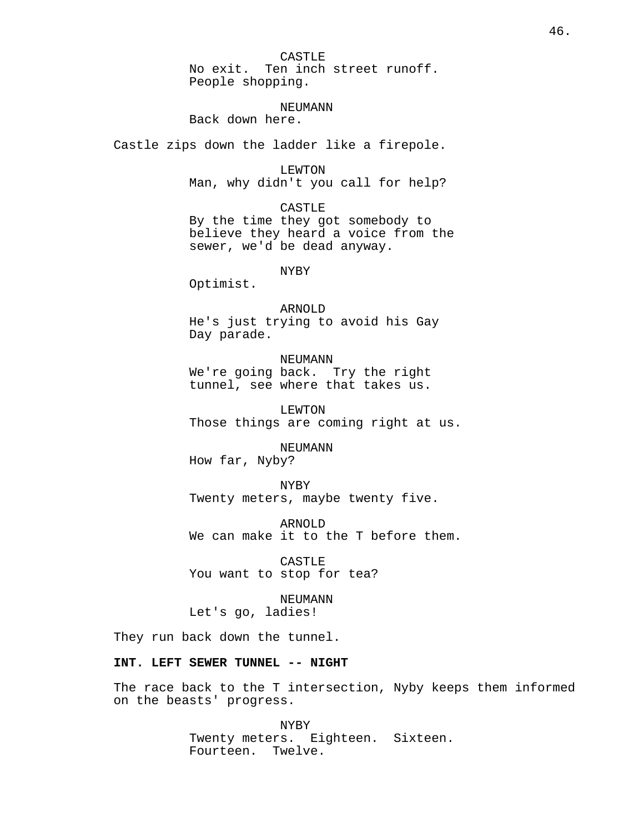CASTLE No exit. Ten inch street runoff. People shopping.

#### NEUMANN

Back down here.

Castle zips down the ladder like a firepole.

LEWTON Man, why didn't you call for help?

CASTLE By the time they got somebody to believe they heard a voice from the sewer, we'd be dead anyway.

NYBY

Optimist.

ARNOLD He's just trying to avoid his Gay Day parade.

NEUMANN We're going back. Try the right tunnel, see where that takes us.

LEWTON Those things are coming right at us.

NEUMANN How far, Nyby?

NYBY Twenty meters, maybe twenty five.

ARNOLD We can make it to the T before them.

CASTLE You want to stop for tea?

NEUMANN Let's go, ladies!

They run back down the tunnel.

# **INT. LEFT SEWER TUNNEL -- NIGHT**

The race back to the T intersection, Nyby keeps them informed on the beasts' progress.

> NYBY Twenty meters. Eighteen. Sixteen. Fourteen. Twelve.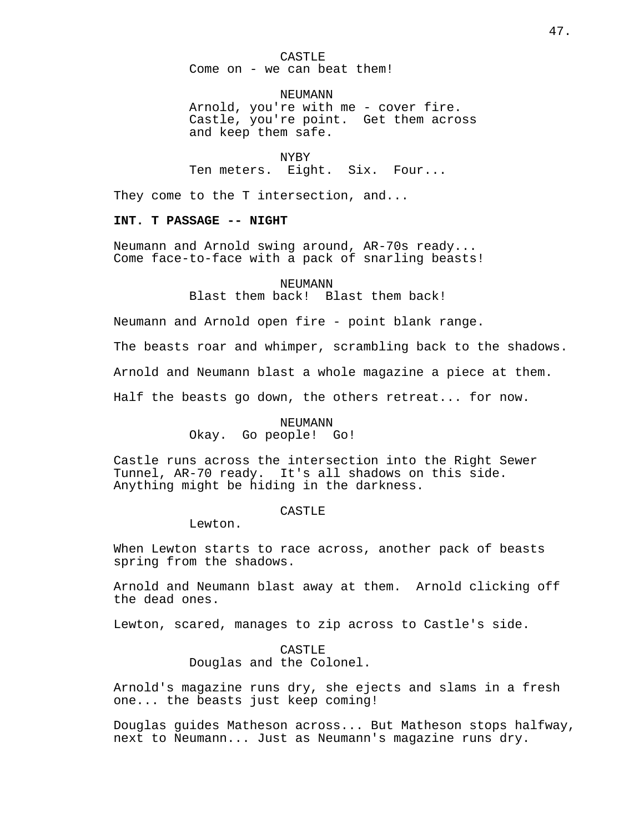CASTLE Come on - we can beat them!

**NEUMANN** Arnold, you're with me - cover fire. Castle, you're point. Get them across and keep them safe.

NYBY Ten meters. Eight. Six. Four...

They come to the T intersection, and...

# **INT. T PASSAGE -- NIGHT**

Neumann and Arnold swing around, AR-70s ready... Come face-to-face with a pack of snarling beasts!

NEUMANN

Blast them back! Blast them back!

Neumann and Arnold open fire - point blank range.

The beasts roar and whimper, scrambling back to the shadows.

Arnold and Neumann blast a whole magazine a piece at them.

Half the beasts go down, the others retreat... for now.

#### NEUMANN

Okay. Go people! Go!

Castle runs across the intersection into the Right Sewer Tunnel, AR-70 ready. It's all shadows on this side. Anything might be hiding in the darkness.

### CASTLE<sub>R</sub>

Lewton.

When Lewton starts to race across, another pack of beasts spring from the shadows.

Arnold and Neumann blast away at them. Arnold clicking off the dead ones.

Lewton, scared, manages to zip across to Castle's side.

CASTLE<sub>R</sub> Douglas and the Colonel.

Arnold's magazine runs dry, she ejects and slams in a fresh one... the beasts just keep coming!

Douglas guides Matheson across... But Matheson stops halfway, next to Neumann... Just as Neumann's magazine runs dry.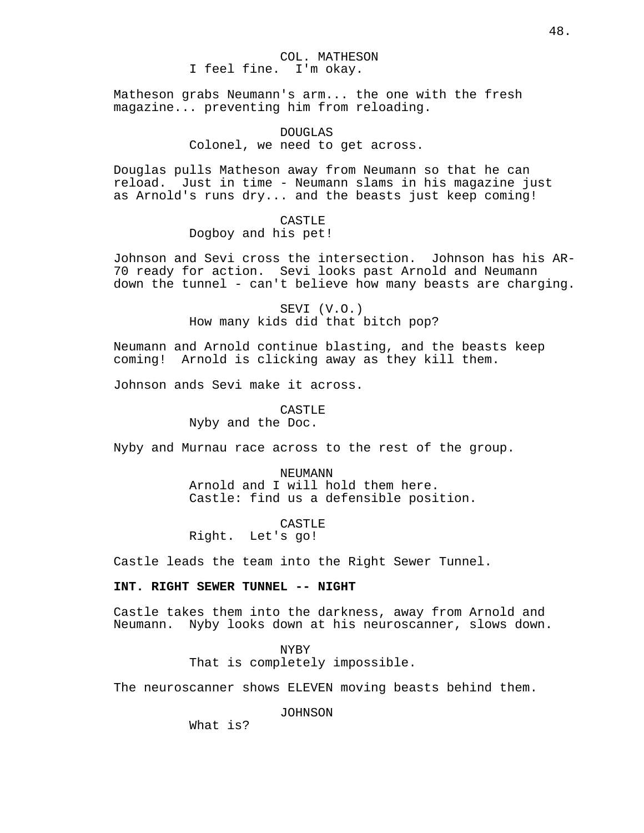COL. MATHESON I feel fine. I'm okay.

Matheson grabs Neumann's arm... the one with the fresh magazine... preventing him from reloading.

# DOUGLAS Colonel, we need to get across.

Douglas pulls Matheson away from Neumann so that he can reload. Just in time - Neumann slams in his magazine just as Arnold's runs dry... and the beasts just keep coming!

# CASTLE

Dogboy and his pet!

Johnson and Sevi cross the intersection. Johnson has his AR-70 ready for action. Sevi looks past Arnold and Neumann down the tunnel - can't believe how many beasts are charging.

> SEVI (V.O.) How many kids did that bitch pop?

Neumann and Arnold continue blasting, and the beasts keep coming! Arnold is clicking away as they kill them.

Johnson ands Sevi make it across.

## CASTLE

Nyby and the Doc.

Nyby and Murnau race across to the rest of the group.

NEUMANN Arnold and I will hold them here. Castle: find us a defensible position.

CASTLE

Right. Let's go!

Castle leads the team into the Right Sewer Tunnel.

# **INT. RIGHT SEWER TUNNEL -- NIGHT**

Castle takes them into the darkness, away from Arnold and Neumann. Nyby looks down at his neuroscanner, slows down.

> NYBY That is completely impossible.

The neuroscanner shows ELEVEN moving beasts behind them.

JOHNSON

What is?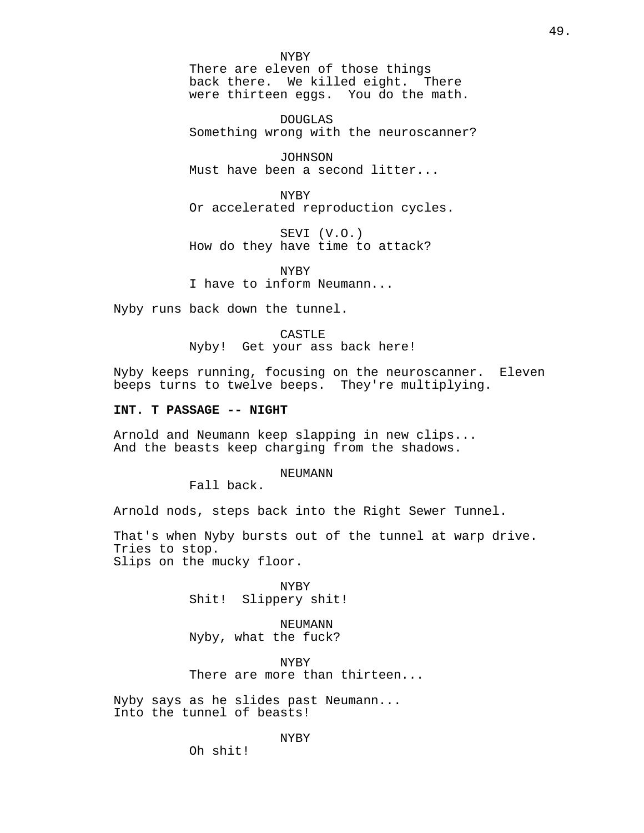NYBY There are eleven of those things back there. We killed eight. There were thirteen eggs. You do the math.

DOUGLAS Something wrong with the neuroscanner?

JOHNSON Must have been a second litter...

NYBY Or accelerated reproduction cycles.

SEVI (V.O.) How do they have time to attack?

NYBY I have to inform Neumann...

Nyby runs back down the tunnel.

CASTLE Nyby! Get your ass back here!

Nyby keeps running, focusing on the neuroscanner. Eleven beeps turns to twelve beeps. They're multiplying.

## **INT. T PASSAGE -- NIGHT**

Arnold and Neumann keep slapping in new clips... And the beasts keep charging from the shadows.

### NEUMANN

Fall back.

Arnold nods, steps back into the Right Sewer Tunnel.

That's when Nyby bursts out of the tunnel at warp drive. Tries to stop. Slips on the mucky floor.

> NYBY Shit! Slippery shit!

NEUMANN Nyby, what the fuck?

NYBY There are more than thirteen...

Nyby says as he slides past Neumann... Into the tunnel of beasts!

### NYBY

Oh shit!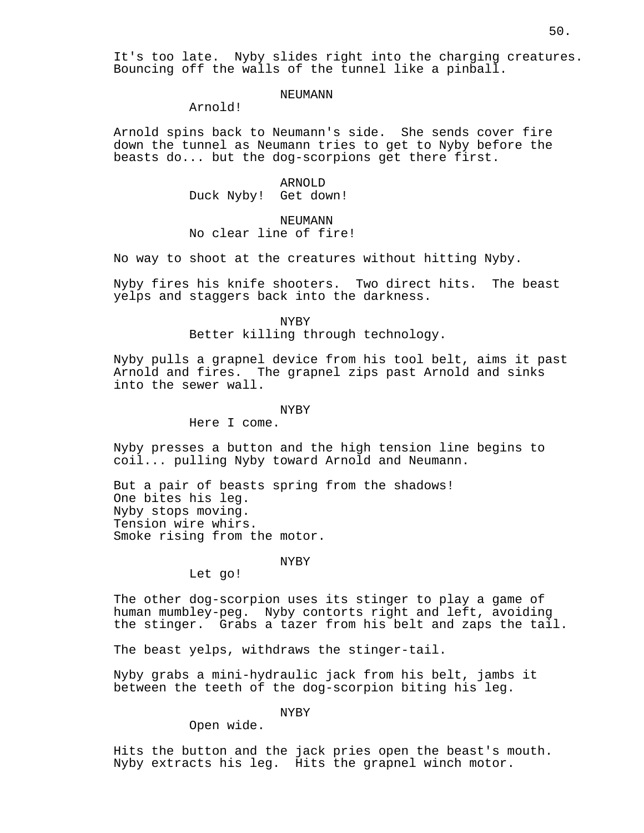It's too late. Nyby slides right into the charging creatures. Bouncing off the walls of the tunnel like a pinball.

## **NEUMANN**

Arnold!

Arnold spins back to Neumann's side. She sends cover fire down the tunnel as Neumann tries to get to Nyby before the beasts do... but the dog-scorpions get there first.

> ARNOLD Duck Nyby! Get down!

#### NEUMANN

# No clear line of fire!

No way to shoot at the creatures without hitting Nyby.

Nyby fires his knife shooters. Two direct hits. The beast yelps and staggers back into the darkness.

NYBY

Better killing through technology.

Nyby pulls a grapnel device from his tool belt, aims it past Arnold and fires. The grapnel zips past Arnold and sinks into the sewer wall.

#### NYBY

Here I come.

Nyby presses a button and the high tension line begins to coil... pulling Nyby toward Arnold and Neumann.

But a pair of beasts spring from the shadows! One bites his leg. Nyby stops moving. Tension wire whirs. Smoke rising from the motor.

### NYBY

Let go!

The other dog-scorpion uses its stinger to play a game of human mumbley-peg. Nyby contorts right and left, avoiding the stinger. Grabs a tazer from his belt and zaps the tail.

The beast yelps, withdraws the stinger-tail.

Nyby grabs a mini-hydraulic jack from his belt, jambs it between the teeth of the dog-scorpion biting his leg.

NYBY

Open wide.

Hits the button and the jack pries open the beast's mouth. Nyby extracts his leg. Hits the grapnel winch motor.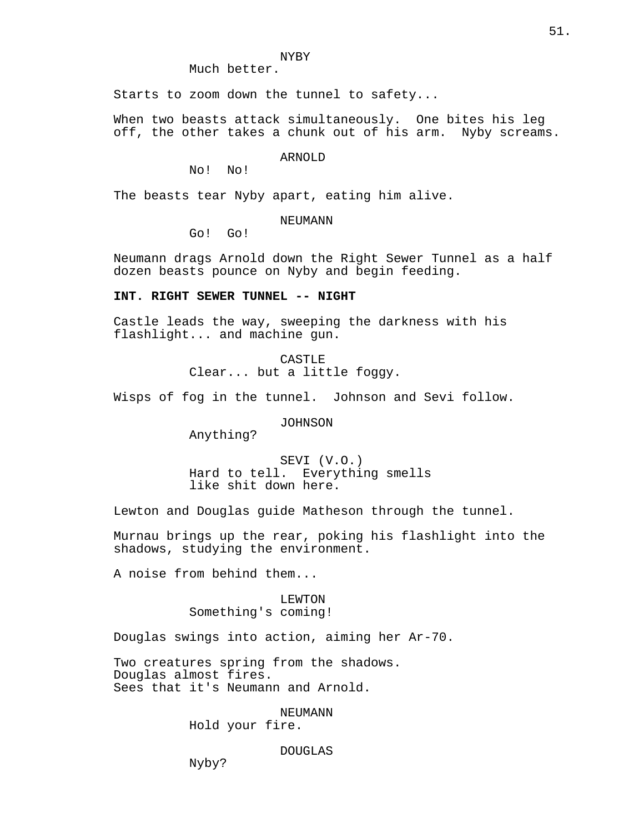### NYBY

Much better.

Starts to zoom down the tunnel to safety...

When two beasts attack simultaneously. One bites his leg off, the other takes a chunk out of his arm. Nyby screams.

ARNOLD

No! No!

The beasts tear Nyby apart, eating him alive.

## NEUMANN

Go! Go!

Neumann drags Arnold down the Right Sewer Tunnel as a half dozen beasts pounce on Nyby and begin feeding.

## **INT. RIGHT SEWER TUNNEL -- NIGHT**

Castle leads the way, sweeping the darkness with his flashlight... and machine gun.

CASTLE

Clear... but a little foggy.

Wisps of fog in the tunnel. Johnson and Sevi follow.

JOHNSON

Anything?

SEVI (V.O.) Hard to tell. Everything smells like shit down here.

Lewton and Douglas guide Matheson through the tunnel.

Murnau brings up the rear, poking his flashlight into the shadows, studying the environment.

A noise from behind them...

## LEWTON Something's coming!

Douglas swings into action, aiming her Ar-70.

Two creatures spring from the shadows. Douglas almost fires. Sees that it's Neumann and Arnold.

NEUMANN

Hold your fire.

# DOUGLAS

Nyby?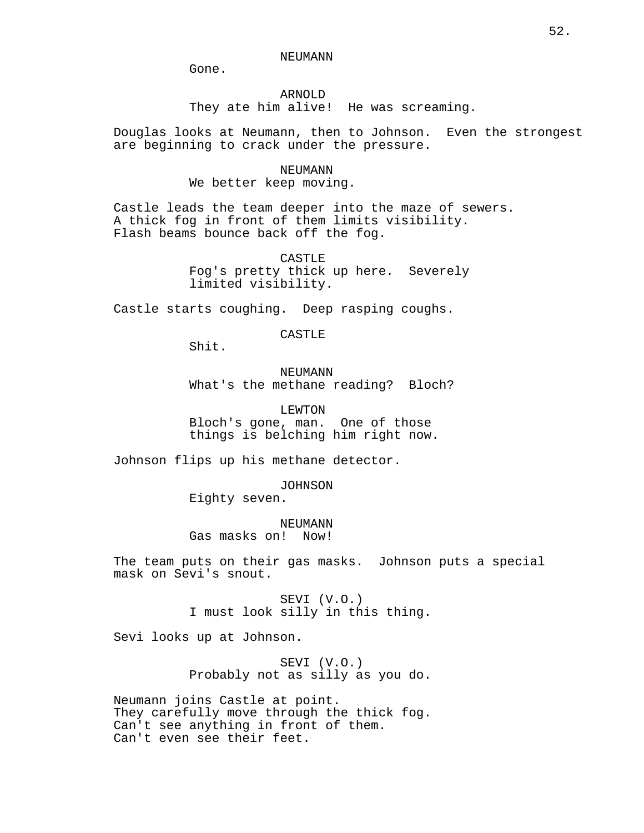NEUMANN

Gone.

# ARNOLD

They ate him alive! He was screaming.

Douglas looks at Neumann, then to Johnson. Even the strongest are beginning to crack under the pressure.

#### NEUMANN

We better keep moving.

Castle leads the team deeper into the maze of sewers. A thick fog in front of them limits visibility. Flash beams bounce back off the fog.

> CASTLE Fog's pretty thick up here. Severely limited visibility.

Castle starts coughing. Deep rasping coughs.

CASTLE

Shit.

NEUMANN What's the methane reading? Bloch?

LEWTON Bloch's gone, man. One of those things is belching him right now.

Johnson flips up his methane detector.

JOHNSON

Eighty seven.

NEUMANN Gas masks on! Now!

The team puts on their gas masks. Johnson puts a special mask on Sevi's snout.

> SEVI (V.O.) I must look silly in this thing.

Sevi looks up at Johnson.

SEVI (V.O.) Probably not as silly as you do.

Neumann joins Castle at point. They carefully move through the thick fog. Can't see anything in front of them. Can't even see their feet.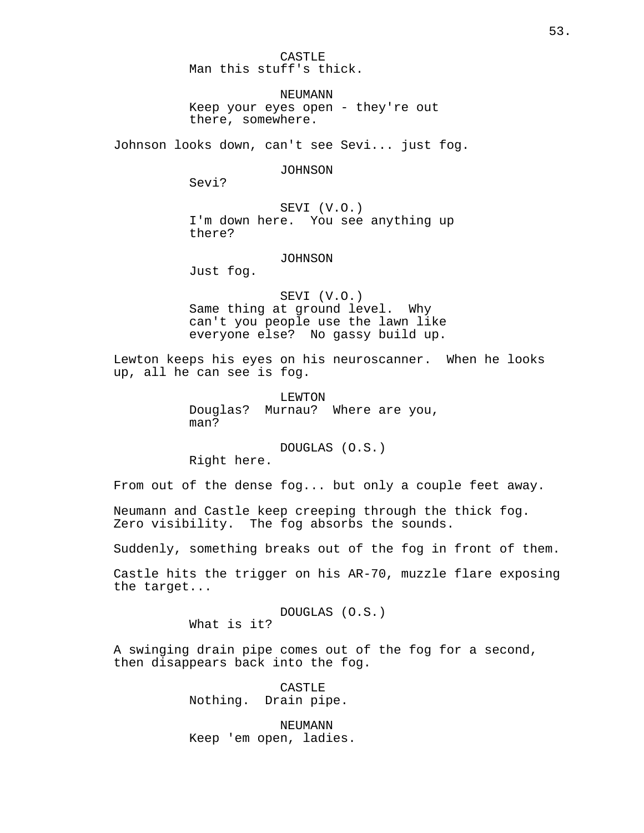CASTLE Man this stuff's thick.

**NEUMANN** Keep your eyes open - they're out there, somewhere.

Johnson looks down, can't see Sevi... just fog.

JOHNSON

Sevi?

SEVI (V.O.) I'm down here. You see anything up there?

JOHNSON

Just fog.

SEVI (V.O.) Same thing at ground level. Why can't you people use the lawn like everyone else? No gassy build up.

Lewton keeps his eyes on his neuroscanner. When he looks up, all he can see is fog.

> LEWTON Douglas? Murnau? Where are you, man?

DOUGLAS (O.S.) Right here.

From out of the dense fog... but only a couple feet away.

Neumann and Castle keep creeping through the thick fog. Zero visibility. The fog absorbs the sounds.

Suddenly, something breaks out of the fog in front of them.

Castle hits the trigger on his AR-70, muzzle flare exposing the target...

> DOUGLAS (O.S.) What is it?

A swinging drain pipe comes out of the fog for a second, then disappears back into the fog.

> CASTLE Nothing. Drain pipe.

NEUMANN Keep 'em open, ladies.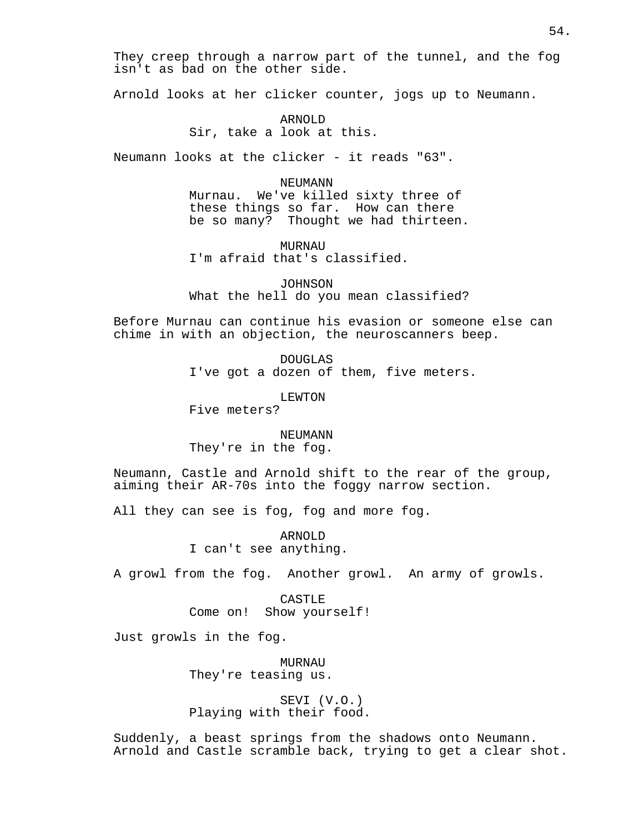They creep through a narrow part of the tunnel, and the fog isn't as bad on the other side.

Arnold looks at her clicker counter, jogs up to Neumann.

ARNOLD Sir, take a look at this.

Neumann looks at the clicker - it reads "63".

NEUMANN

Murnau. We've killed sixty three of these things so far. How can there be so many? Thought we had thirteen.

MURNAU I'm afraid that's classified.

JOHNSON What the hell do you mean classified?

Before Murnau can continue his evasion or someone else can chime in with an objection, the neuroscanners beep.

> DOUGLAS I've got a dozen of them, five meters.

> > LEWTON

Five meters?

NEUMANN They're in the fog.

Neumann, Castle and Arnold shift to the rear of the group, aiming their AR-70s into the foggy narrow section.

All they can see is fog, fog and more fog.

ARNOLD I can't see anything.

A growl from the fog. Another growl. An army of growls.

CASTLE Come on! Show yourself!

Just growls in the fog.

MURNAU They're teasing us.

SEVI (V.O.) Playing with their food.

Suddenly, a beast springs from the shadows onto Neumann. Arnold and Castle scramble back, trying to get a clear shot.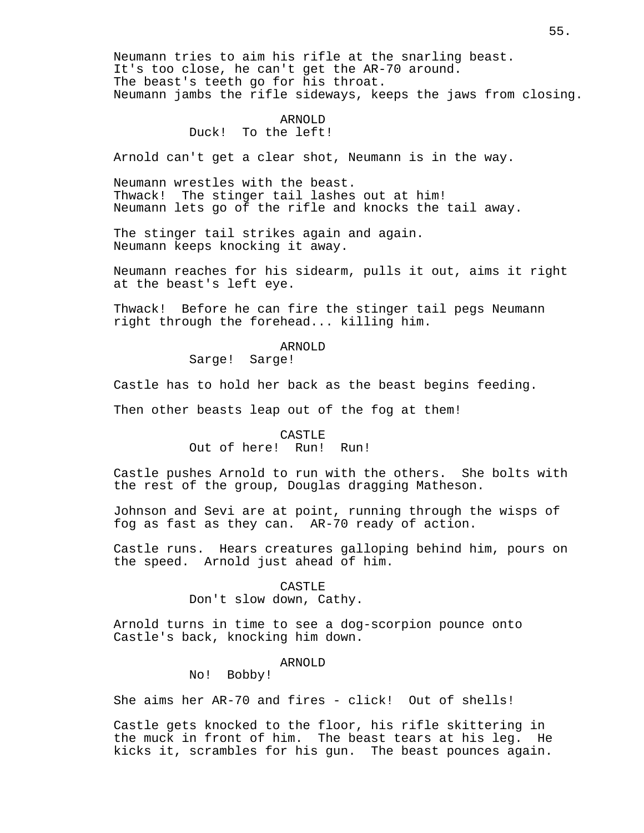Neumann tries to aim his rifle at the snarling beast. It's too close, he can't get the AR-70 around. The beast's teeth go for his throat. Neumann jambs the rifle sideways, keeps the jaws from closing.

# ARNOLD

Duck! To the left!

Arnold can't get a clear shot, Neumann is in the way.

Neumann wrestles with the beast. Thwack! The stinger tail lashes out at him! Neumann lets go of the rifle and knocks the tail away.

The stinger tail strikes again and again. Neumann keeps knocking it away.

Neumann reaches for his sidearm, pulls it out, aims it right at the beast's left eye.

Thwack! Before he can fire the stinger tail pegs Neumann right through the forehead... killing him.

# ARNOLD

Sarge! Sarge!

Castle has to hold her back as the beast begins feeding.

Then other beasts leap out of the fog at them!

## CASTLE Out of here! Run! Run!

Castle pushes Arnold to run with the others. She bolts with the rest of the group, Douglas dragging Matheson.

Johnson and Sevi are at point, running through the wisps of fog as fast as they can. AR-70 ready of action.

Castle runs. Hears creatures galloping behind him, pours on the speed. Arnold just ahead of him.

### CASTLE

Don't slow down, Cathy.

Arnold turns in time to see a dog-scorpion pounce onto Castle's back, knocking him down.

### ARNOLD

No! Bobby!

She aims her AR-70 and fires - click! Out of shells!

Castle gets knocked to the floor, his rifle skittering in the muck in front of him. The beast tears at his leg. He kicks it, scrambles for his gun. The beast pounces again.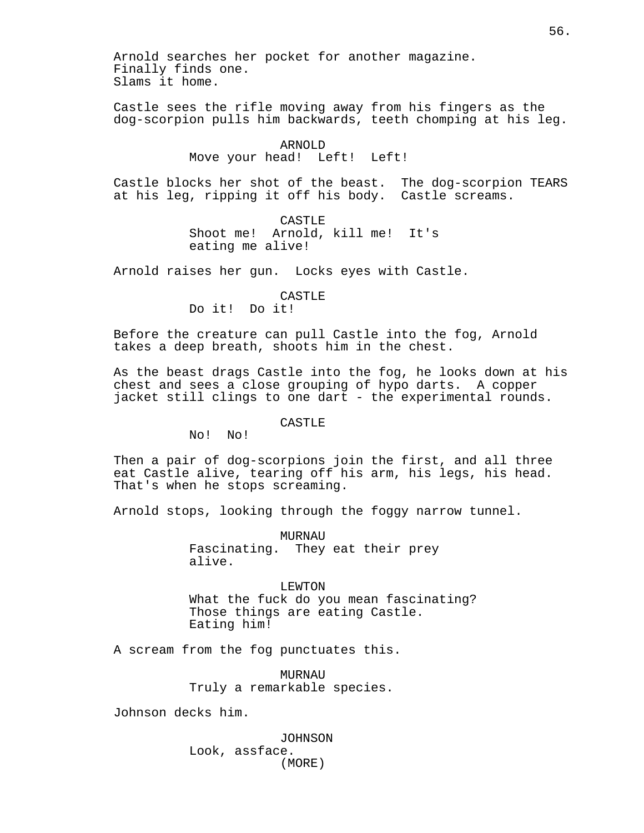Arnold searches her pocket for another magazine. Finally finds one. Slams it home.

Castle sees the rifle moving away from his fingers as the dog-scorpion pulls him backwards, teeth chomping at his leg.

> ARNOLD Move your head! Left! Left!

Castle blocks her shot of the beast. The dog-scorpion TEARS at his leg, ripping it off his body. Castle screams.

> CASTLE Shoot me! Arnold, kill me! It's eating me alive!

Arnold raises her gun. Locks eyes with Castle.

CASTLE

Do it! Do it!

Before the creature can pull Castle into the fog, Arnold takes a deep breath, shoots him in the chest.

As the beast drags Castle into the fog, he looks down at his chest and sees a close grouping of hypo darts. A copper jacket still clings to one dart - the experimental rounds.

## CASTLE

No! No!

Then a pair of dog-scorpions join the first, and all three eat Castle alive, tearing off his arm, his legs, his head. That's when he stops screaming.

Arnold stops, looking through the foggy narrow tunnel.

MURNAU Fascinating. They eat their prey alive.

LEWTON What the fuck do you mean fascinating? Those things are eating Castle. Eating him!

A scream from the fog punctuates this.

MURNAU Truly a remarkable species.

Johnson decks him.

JOHNSON Look, assface. (MORE)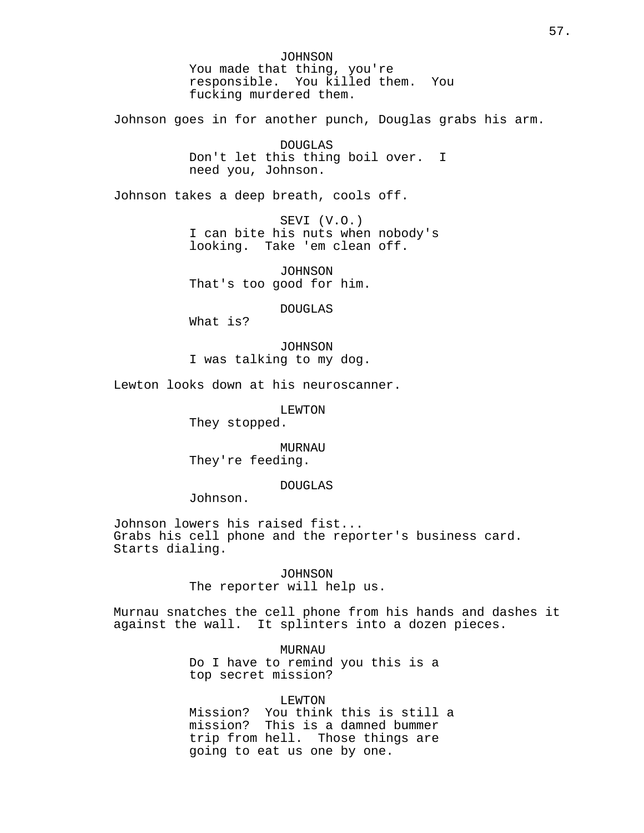JOHNSON You made that thing, you're responsible. You killed them. You fucking murdered them.

Johnson goes in for another punch, Douglas grabs his arm.

DOUGLAS Don't let this thing boil over. I need you, Johnson.

Johnson takes a deep breath, cools off.

SEVI (V.O.) I can bite his nuts when nobody's looking. Take 'em clean off.

JOHNSON That's too good for him.

DOUGLAS

What is?

JOHNSON I was talking to my dog.

Lewton looks down at his neuroscanner.

LEWTON

They stopped.

MURNAU They're feeding.

## DOUGLAS

Johnson.

Johnson lowers his raised fist... Grabs his cell phone and the reporter's business card. Starts dialing.

> JOHNSON The reporter will help us.

Murnau snatches the cell phone from his hands and dashes it against the wall. It splinters into a dozen pieces.

> **MURNAU** Do I have to remind you this is a top secret mission?

> > LEWTON

Mission? You think this is still a mission? This is a damned bummer trip from hell. Those things are going to eat us one by one.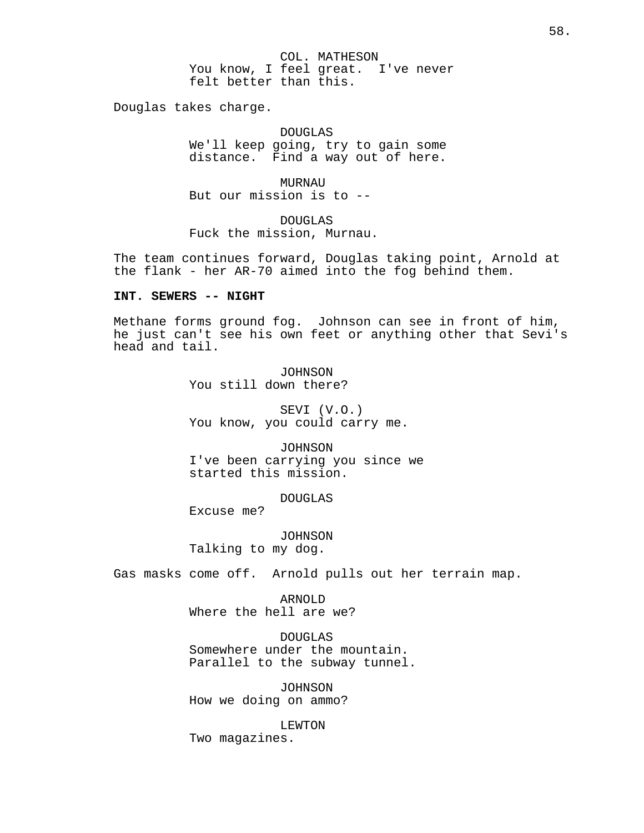COL. MATHESON You know, I feel great. I've never felt better than this.

Douglas takes charge.

DOUGLAS We'll keep going, try to gain some distance. Find a way out of here.

MURNAU But our mission is to --

DOUGLAS Fuck the mission, Murnau.

The team continues forward, Douglas taking point, Arnold at the flank - her AR-70 aimed into the fog behind them.

### **INT. SEWERS -- NIGHT**

Methane forms ground fog. Johnson can see in front of him, he just can't see his own feet or anything other that Sevi's head and tail.

> **JOHNSON** You still down there?

SEVI (V.O.) You know, you could carry me.

JOHNSON I've been carrying you since we started this mission.

DOUGLAS

Excuse me?

JOHNSON Talking to my dog.

Gas masks come off. Arnold pulls out her terrain map.

ARNOLD Where the hell are we?

DOUGLAS Somewhere under the mountain. Parallel to the subway tunnel.

JOHNSON How we doing on ammo?

LEWTON Two magazines.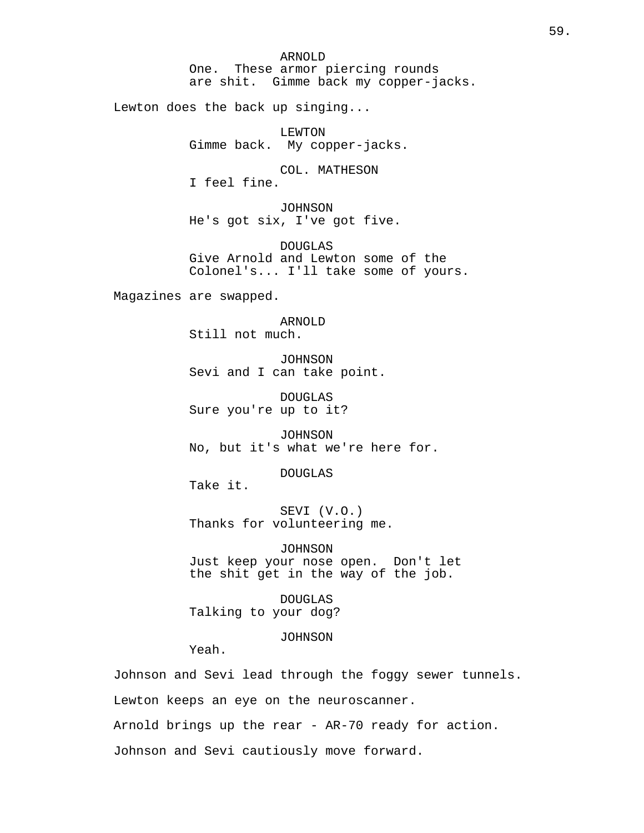ARNOLD One. These armor piercing rounds are shit. Gimme back my copper-jacks.

Lewton does the back up singing...

LEWTON Gimme back. My copper-jacks.

COL. MATHESON I feel fine.

JOHNSON He's got six, I've got five.

DOUGLAS Give Arnold and Lewton some of the Colonel's... I'll take some of yours.

Magazines are swapped.

ARNOLD Still not much.

JOHNSON Sevi and I can take point.

DOUGLAS Sure you're up to it?

JOHNSON No, but it's what we're here for.

DOUGLAS

Take it.

SEVI (V.O.) Thanks for volunteering me.

JOHNSON Just keep your nose open. Don't let the shit get in the way of the job.

DOUGLAS Talking to your dog?

JOHNSON

Yeah.

Johnson and Sevi lead through the foggy sewer tunnels. Lewton keeps an eye on the neuroscanner. Arnold brings up the rear - AR-70 ready for action. Johnson and Sevi cautiously move forward.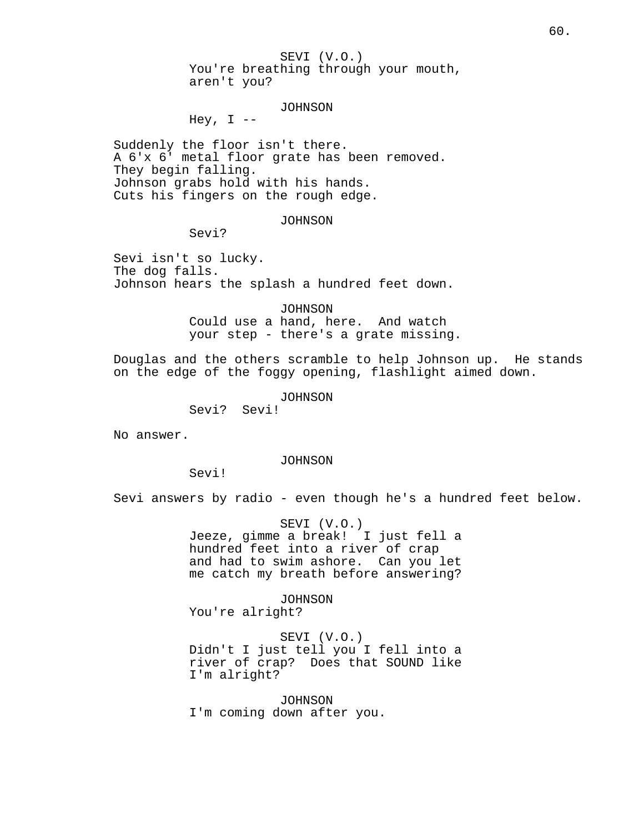SEVI (V.O.) You're breathing through your mouth, aren't you?

JOHNSON

Hey,  $I$  --

Suddenly the floor isn't there. A 6'x 6' metal floor grate has been removed. They begin falling. Johnson grabs hold with his hands. Cuts his fingers on the rough edge.

JOHNSON

Sevi?

Sevi isn't so lucky. The dog falls. Johnson hears the splash a hundred feet down.

> JOHNSON Could use a hand, here. And watch your step - there's a grate missing.

Douglas and the others scramble to help Johnson up. He stands on the edge of the foggy opening, flashlight aimed down.

JOHNSON

Sevi? Sevi!

No answer.

JOHNSON

Sevi!

Sevi answers by radio - even though he's a hundred feet below.

SEVI (V.O.) Jeeze, gimme a break! I just fell a hundred feet into a river of crap and had to swim ashore. Can you let me catch my breath before answering?

JOHNSON You're alright?

SEVI (V.O.) Didn't I just tell you I fell into a river of crap? Does that SOUND like I'm alright?

JOHNSON I'm coming down after you.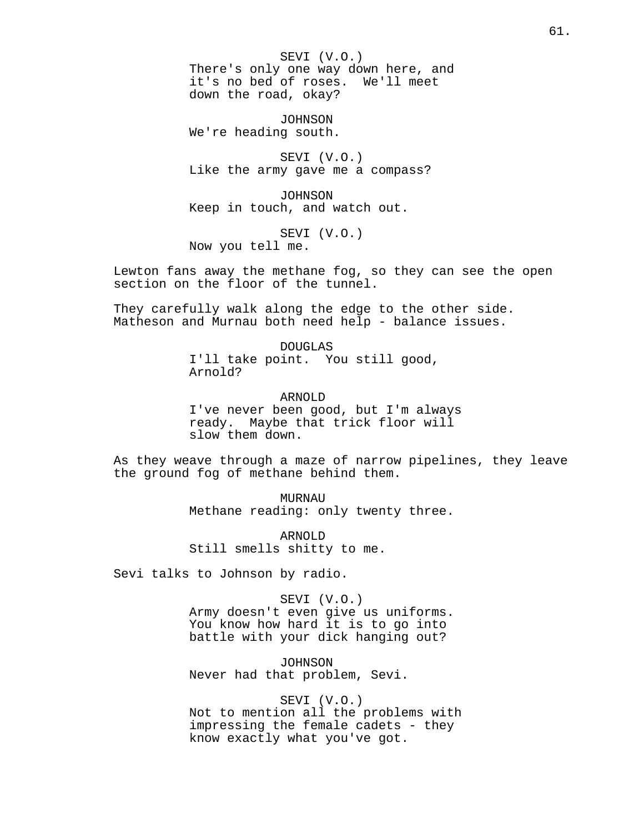SEVI (V.O.) There's only one way down here, and it's no bed of roses. We'll meet down the road, okay?

JOHNSON We're heading south.

SEVI (V.O.) Like the army gave me a compass?

JOHNSON Keep in touch, and watch out.

SEVI (V.O.) Now you tell me.

Lewton fans away the methane fog, so they can see the open section on the floor of the tunnel.

They carefully walk along the edge to the other side. Matheson and Murnau both need help - balance issues.

> DOUGLAS I'll take point. You still good, Arnold?

ARNOLD I've never been good, but I'm always ready. Maybe that trick floor will slow them down.

As they weave through a maze of narrow pipelines, they leave the ground fog of methane behind them.

> MURNAU Methane reading: only twenty three.

ARNOLD Still smells shitty to me.

Sevi talks to Johnson by radio.

SEVI (V.O.) Army doesn't even give us uniforms. You know how hard it is to go into battle with your dick hanging out?

JOHNSON Never had that problem, Sevi.

SEVI (V.O.) Not to mention all the problems with impressing the female cadets - they know exactly what you've got.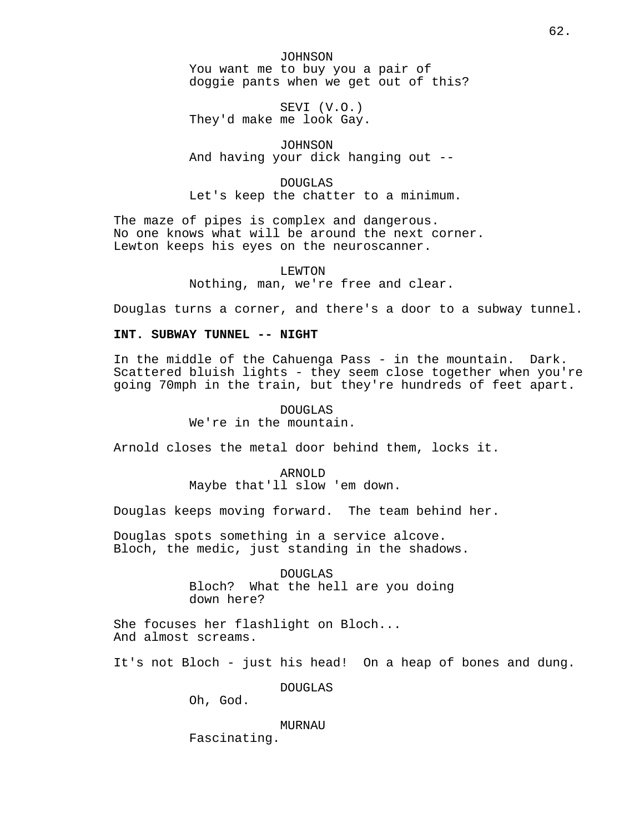JOHNSON You want me to buy you a pair of doggie pants when we get out of this?

SEVI (V.O.) They'd make me look Gay.

JOHNSON And having your dick hanging out --

DOUGLAS Let's keep the chatter to a minimum.

The maze of pipes is complex and dangerous. No one knows what will be around the next corner. Lewton keeps his eyes on the neuroscanner.

> LEWTON Nothing, man, we're free and clear.

Douglas turns a corner, and there's a door to a subway tunnel.

## **INT. SUBWAY TUNNEL -- NIGHT**

In the middle of the Cahuenga Pass - in the mountain. Dark. Scattered bluish lights - they seem close together when you're going 70mph in the train, but they're hundreds of feet apart.

## DOUGLAS We're in the mountain.

Arnold closes the metal door behind them, locks it.

ARNOLD Maybe that'll slow 'em down.

Douglas keeps moving forward. The team behind her.

Douglas spots something in a service alcove. Bloch, the medic, just standing in the shadows.

> DOUGLAS Bloch? What the hell are you doing down here?

She focuses her flashlight on Bloch... And almost screams.

It's not Bloch - just his head! On a heap of bones and dung.

DOUGLAS

Oh, God.

MURNAU

Fascinating.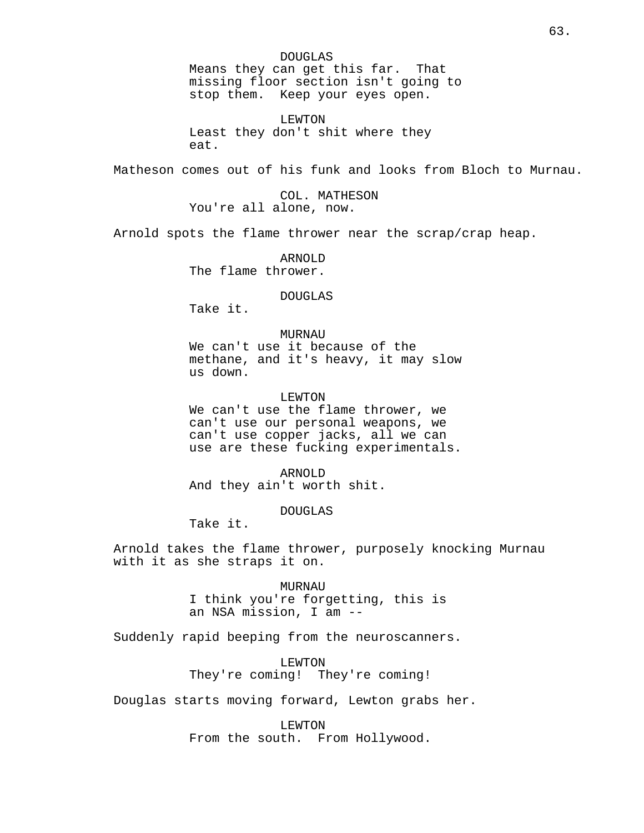DOUGLAS Means they can get this far. That missing floor section isn't going to stop them. Keep your eyes open.

LEWTON Least they don't shit where they eat.

Matheson comes out of his funk and looks from Bloch to Murnau.

COL. MATHESON You're all alone, now.

Arnold spots the flame thrower near the scrap/crap heap.

ARNOLD The flame thrower.

DOUGLAS

Take it.

MURNAU We can't use it because of the methane, and it's heavy, it may slow us down.

LEWTON

We can't use the flame thrower, we can't use our personal weapons, we can't use copper jacks, all we can use are these fucking experimentals.

ARNOLD And they ain't worth shit.

DOUGLAS

Take it.

Arnold takes the flame thrower, purposely knocking Murnau with it as she straps it on.

> MURNAU I think you're forgetting, this is an NSA mission, I am --

Suddenly rapid beeping from the neuroscanners.

LEWTON They're coming! They're coming!

Douglas starts moving forward, Lewton grabs her.

LEWTON

From the south. From Hollywood.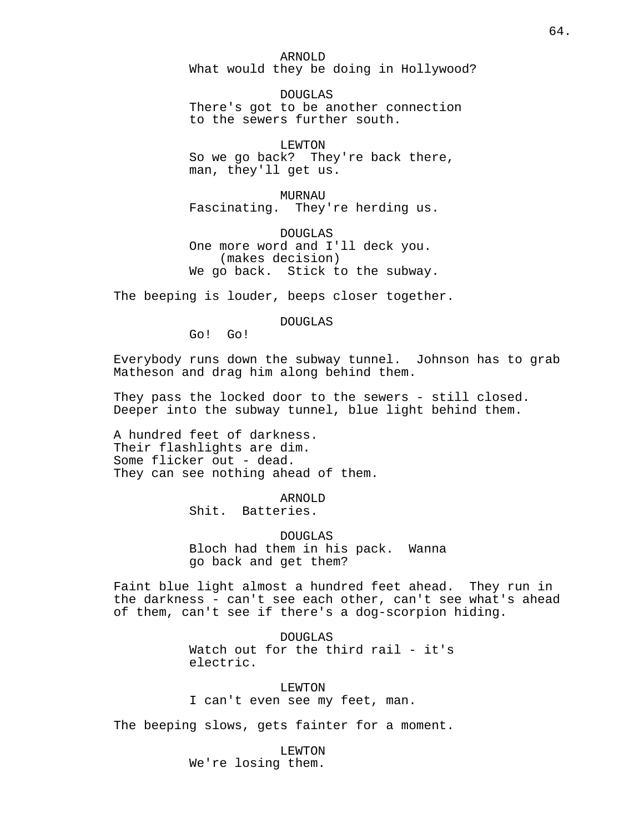ARNOLD What would they be doing in Hollywood?

DOUGLAS There's got to be another connection to the sewers further south.

LEWTON So we go back? They're back there, man, they'll get us.

MURNAU Fascinating. They're herding us.

DOUGLAS One more word and I'll deck you. (makes decision) We go back. Stick to the subway.

The beeping is louder, beeps closer together.

DOUGLAS

Go! Go!

Everybody runs down the subway tunnel. Johnson has to grab Matheson and drag him along behind them.

They pass the locked door to the sewers - still closed. Deeper into the subway tunnel, blue light behind them.

A hundred feet of darkness. Their flashlights are dim. Some flicker out - dead. They can see nothing ahead of them.

> ARNOLD Shit. Batteries.

DOUGLAS Bloch had them in his pack. Wanna go back and get them?

Faint blue light almost a hundred feet ahead. They run in the darkness - can't see each other, can't see what's ahead of them, can't see if there's a dog-scorpion hiding.

> DOUGLAS Watch out for the third rail - it's electric.

LEWTON I can't even see my feet, man.

The beeping slows, gets fainter for a moment.

LEWTON We're losing them.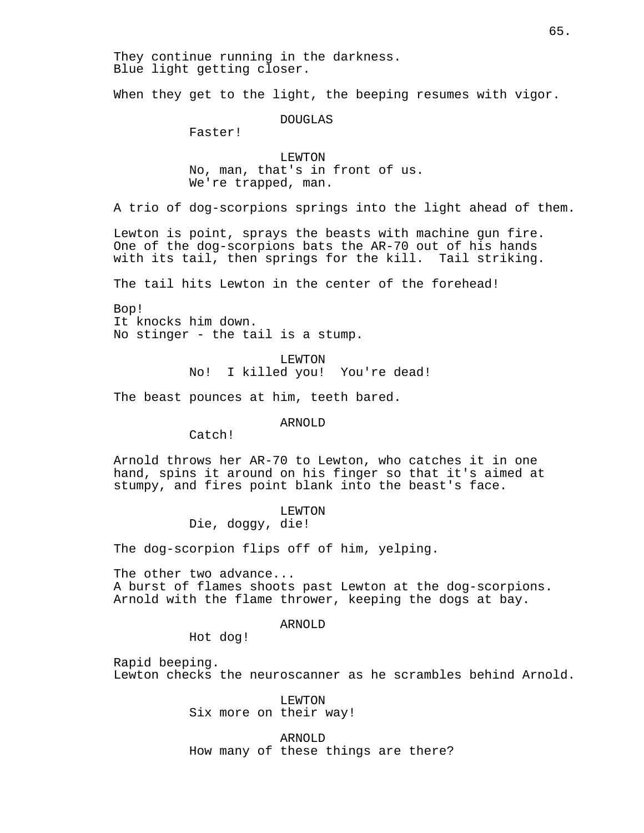They continue running in the darkness. Blue light getting closer.

When they get to the light, the beeping resumes with vigor.

DOUGLAS

Faster!

LEWTON No, man, that's in front of us. We're trapped, man.

A trio of dog-scorpions springs into the light ahead of them.

Lewton is point, sprays the beasts with machine gun fire. One of the dog-scorpions bats the AR-70 out of his hands with its tail, then springs for the kill. Tail striking.

The tail hits Lewton in the center of the forehead!

Bop! It knocks him down. No stinger - the tail is a stump.

> LEWTON No! I killed you! You're dead!

The beast pounces at him, teeth bared.

ARNOLD

Catch!

Arnold throws her AR-70 to Lewton, who catches it in one hand, spins it around on his finger so that it's aimed at stumpy, and fires point blank into the beast's face.

> LEWTON Die, doggy, die!

The dog-scorpion flips off of him, yelping.

The other two advance... A burst of flames shoots past Lewton at the dog-scorpions. Arnold with the flame thrower, keeping the dogs at bay.

ARNOLD

Hot dog!

Rapid beeping. Lewton checks the neuroscanner as he scrambles behind Arnold.

> LEWTON Six more on their way!

ARNOLD How many of these things are there?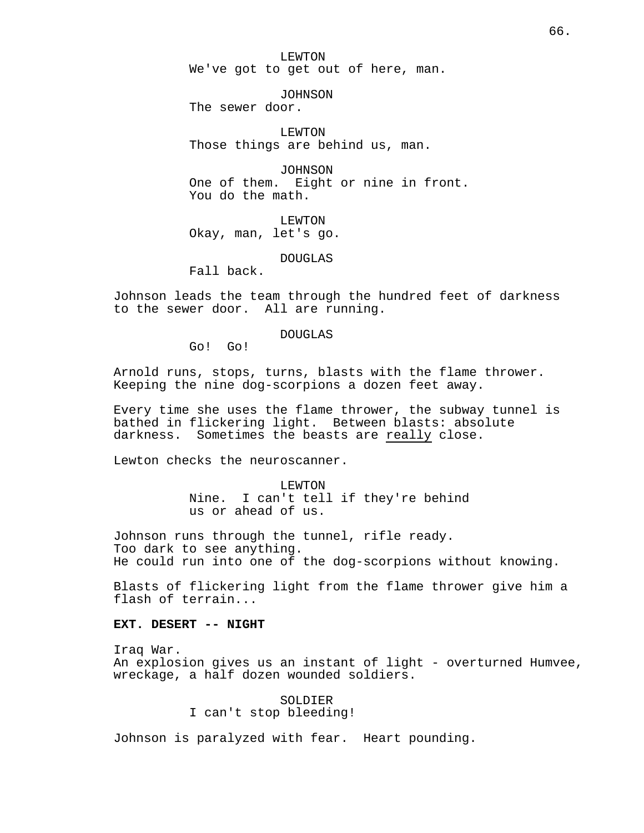LEWTON We've got to get out of here, man.

JOHNSON The sewer door.

LEWTON Those things are behind us, man.

JOHNSON One of them. Eight or nine in front. You do the math.

LEWTON Okay, man, let's go.

DOUGLAS

Fall back.

Johnson leads the team through the hundred feet of darkness to the sewer door. All are running.

DOUGLAS

Go! Go!

Arnold runs, stops, turns, blasts with the flame thrower. Keeping the nine dog-scorpions a dozen feet away.

Every time she uses the flame thrower, the subway tunnel is bathed in flickering light. Between blasts: absolute darkness. Sometimes the beasts are really close.

Lewton checks the neuroscanner.

LEWTON Nine. I can't tell if they're behind us or ahead of us.

Johnson runs through the tunnel, rifle ready. Too dark to see anything. He could run into one of the dog-scorpions without knowing.

Blasts of flickering light from the flame thrower give him a flash of terrain...

# **EXT. DESERT -- NIGHT**

Iraq War. An explosion gives us an instant of light - overturned Humvee, wreckage, a half dozen wounded soldiers.

> SOLDIER I can't stop bleeding!

Johnson is paralyzed with fear. Heart pounding.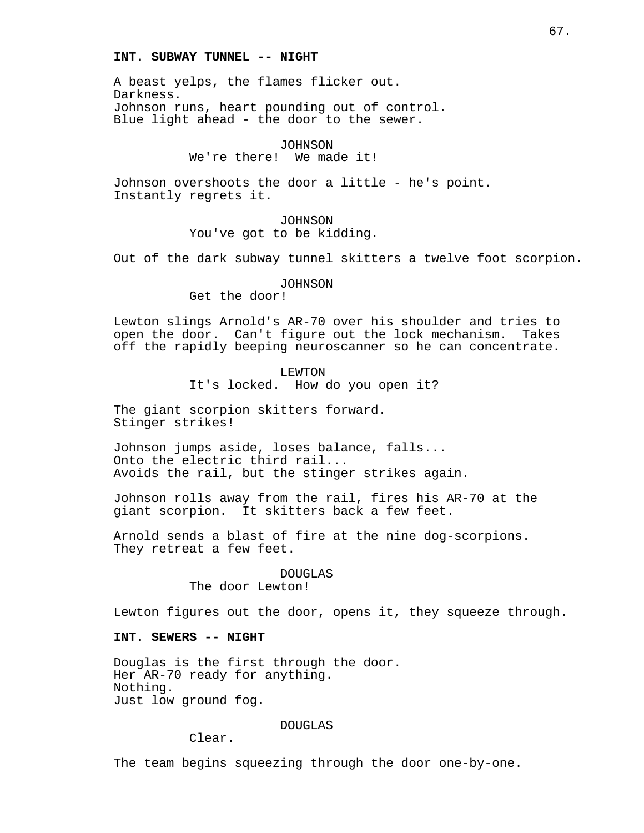### **INT. SUBWAY TUNNEL -- NIGHT**

A beast yelps, the flames flicker out. Darkness. Johnson runs, heart pounding out of control. Blue light ahead - the door to the sewer.

> JOHNSON We're there! We made it!

Johnson overshoots the door a little - he's point. Instantly regrets it.

## JOHNSON You've got to be kidding.

Out of the dark subway tunnel skitters a twelve foot scorpion.

## JOHNSON

Get the door!

Lewton slings Arnold's AR-70 over his shoulder and tries to open the door. Can't figure out the lock mechanism. Takes off the rapidly beeping neuroscanner so he can concentrate.

## LEWTON It's locked. How do you open it?

The giant scorpion skitters forward. Stinger strikes!

Johnson jumps aside, loses balance, falls... Onto the electric third rail... Avoids the rail, but the stinger strikes again.

Johnson rolls away from the rail, fires his AR-70 at the giant scorpion. It skitters back a few feet.

Arnold sends a blast of fire at the nine dog-scorpions. They retreat a few feet.

### DOUGLAS

The door Lewton!

Lewton figures out the door, opens it, they squeeze through.

### **INT. SEWERS -- NIGHT**

Douglas is the first through the door. Her AR-70 ready for anything. Nothing. Just low ground fog.

### DOUGLAS

Clear.

The team begins squeezing through the door one-by-one.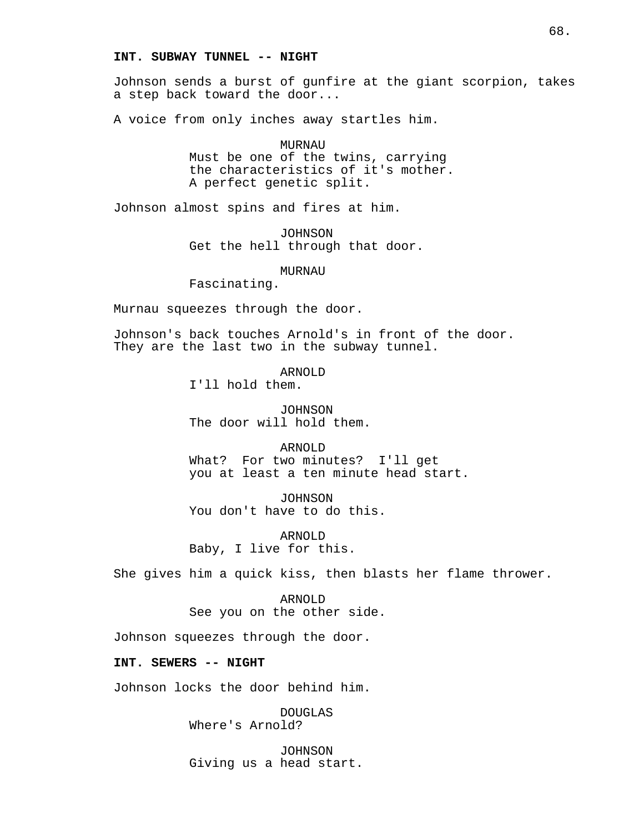### **INT. SUBWAY TUNNEL -- NIGHT**

Johnson sends a burst of gunfire at the giant scorpion, takes a step back toward the door...

A voice from only inches away startles him.

MURNAU Must be one of the twins, carrying the characteristics of it's mother. A perfect genetic split.

Johnson almost spins and fires at him.

JOHNSON Get the hell through that door.

MURNAU

Fascinating.

Murnau squeezes through the door.

Johnson's back touches Arnold's in front of the door. They are the last two in the subway tunnel.

ARNOLD

I'll hold them.

JOHNSON The door will hold them.

ARNOLD What? For two minutes? I'll get you at least a ten minute head start.

JOHNSON You don't have to do this.

ARNOLD Baby, I live for this.

She gives him a quick kiss, then blasts her flame thrower.

ARNOLD See you on the other side.

Johnson squeezes through the door.

# **INT. SEWERS -- NIGHT**

Johnson locks the door behind him.

DOUGLAS Where's Arnold?

JOHNSON Giving us a head start.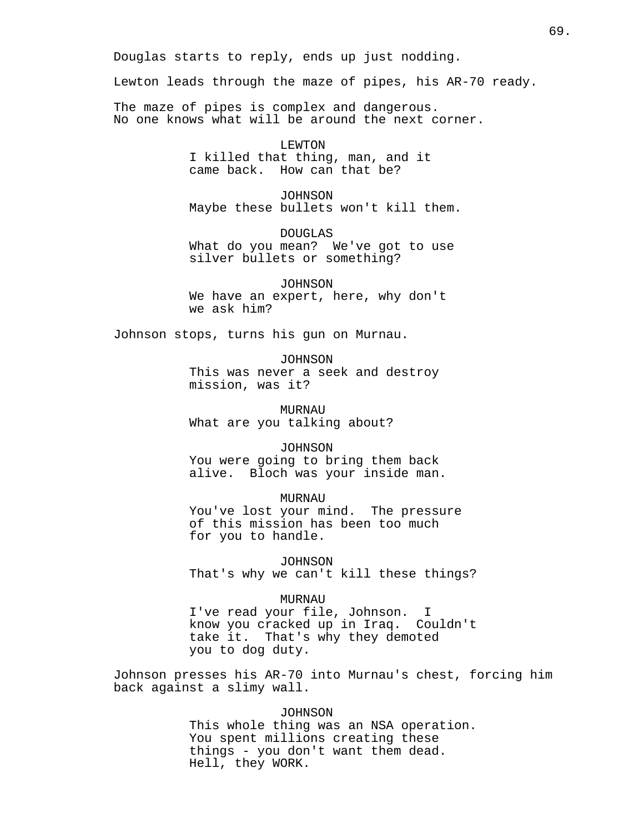Douglas starts to reply, ends up just nodding.

Lewton leads through the maze of pipes, his AR-70 ready.

The maze of pipes is complex and dangerous. No one knows what will be around the next corner.

> LEWTON I killed that thing, man, and it came back. How can that be?

JOHNSON Maybe these bullets won't kill them.

DOUGLAS What do you mean? We've got to use silver bullets or something?

JOHNSON We have an expert, here, why don't we ask him?

Johnson stops, turns his gun on Murnau.

JOHNSON

This was never a seek and destroy mission, was it?

MURNAU What are you talking about?

JOHNSON You were going to bring them back alive. Bloch was your inside man.

MURNAU You've lost your mind. The pressure of this mission has been too much for you to handle.

JOHNSON That's why we can't kill these things?

MURNAU I've read your file, Johnson. I know you cracked up in Iraq. Couldn't take it. That's why they demoted you to dog duty.

Johnson presses his AR-70 into Murnau's chest, forcing him back against a slimy wall.

> JOHNSON This whole thing was an NSA operation. You spent millions creating these things - you don't want them dead. Hell, they WORK.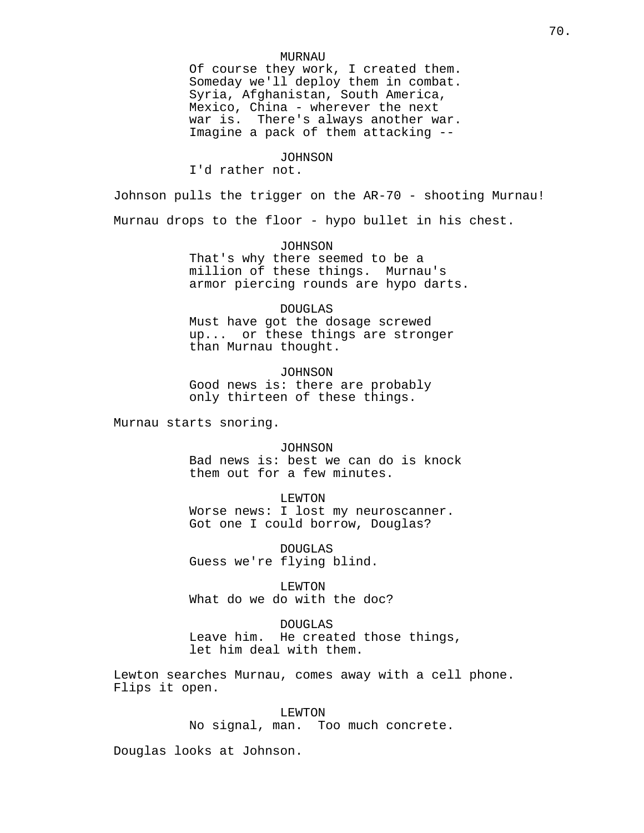### MURNAU

Of course they work, I created them. Someday we'll deploy them in combat. Syria, Afghanistan, South America, Mexico, China - wherever the next war is. There's always another war. Imagine a pack of them attacking --

#### JOHNSON

I'd rather not.

Johnson pulls the trigger on the AR-70 - shooting Murnau!

Murnau drops to the floor - hypo bullet in his chest.

JOHNSON That's why there seemed to be a million of these things. Murnau's

armor piercing rounds are hypo darts.

### DOUGLAS

Must have got the dosage screwed up... or these things are stronger than Murnau thought.

JOHNSON Good news is: there are probably only thirteen of these things.

Murnau starts snoring.

JOHNSON Bad news is: best we can do is knock them out for a few minutes.

LEWTON

Worse news: I lost my neuroscanner. Got one I could borrow, Douglas?

DOUGLAS Guess we're flying blind.

LEWTON What do we do with the doc?

DOUGLAS Leave him. He created those things, let him deal with them.

Lewton searches Murnau, comes away with a cell phone. Flips it open.

> LEWTON No signal, man. Too much concrete.

Douglas looks at Johnson.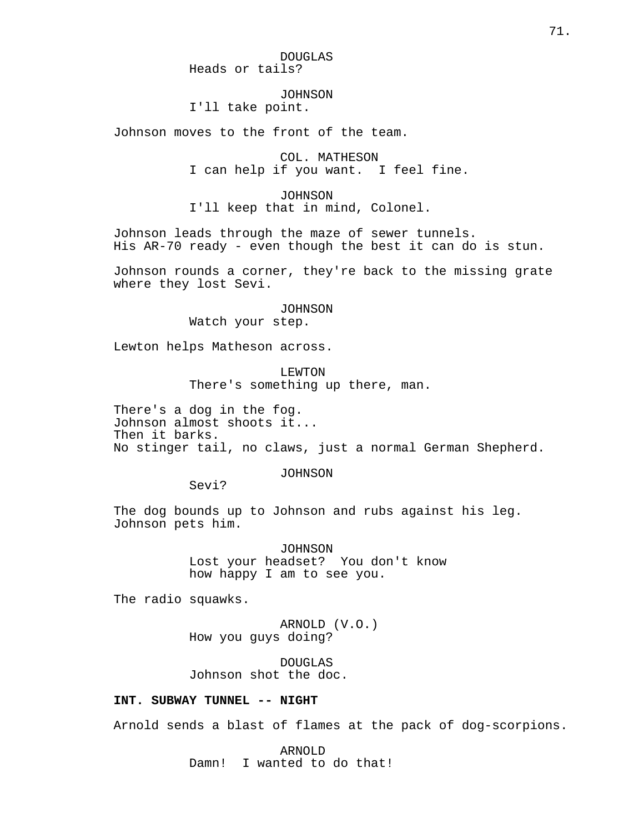### JOHNSON

I'll take point.

Johnson moves to the front of the team.

COL. MATHESON I can help if you want. I feel fine.

JOHNSON I'll keep that in mind, Colonel.

Johnson leads through the maze of sewer tunnels. His AR-70 ready - even though the best it can do is stun.

Johnson rounds a corner, they're back to the missing grate where they lost Sevi.

### JOHNSON

Watch your step.

Lewton helps Matheson across.

LEWTON There's something up there, man.

There's a dog in the fog. Johnson almost shoots it... Then it barks. No stinger tail, no claws, just a normal German Shepherd.

JOHNSON

Sevi?

The dog bounds up to Johnson and rubs against his leg. Johnson pets him.

> JOHNSON Lost your headset? You don't know how happy I am to see you.

The radio squawks.

ARNOLD (V.O.) How you guys doing?

DOUGLAS Johnson shot the doc.

# **INT. SUBWAY TUNNEL -- NIGHT**

Arnold sends a blast of flames at the pack of dog-scorpions.

ARNOLD Damn! I wanted to do that!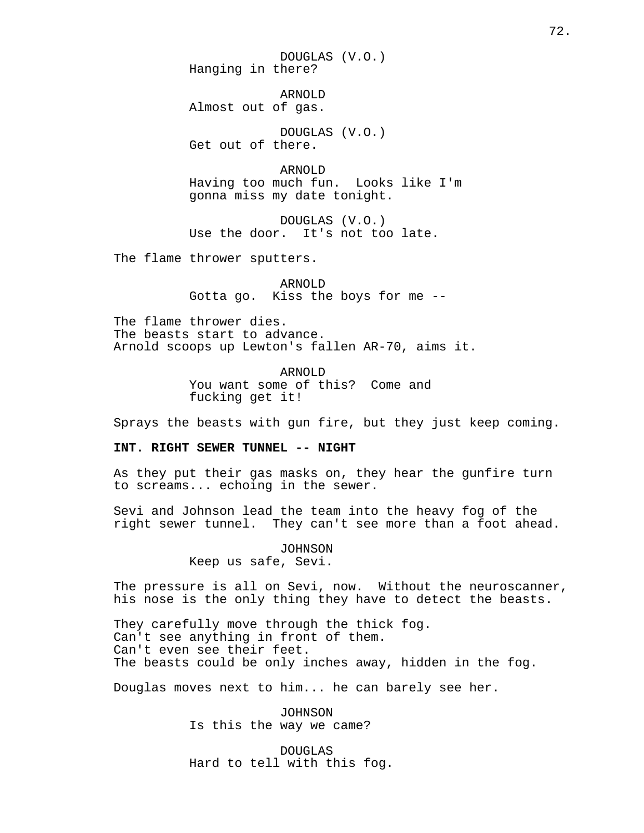DOUGLAS (V.O.) Hanging in there?

ARNOLD Almost out of gas.

DOUGLAS (V.O.) Get out of there.

ARNOLD Having too much fun. Looks like I'm gonna miss my date tonight.

DOUGLAS (V.O.) Use the door. It's not too late.

The flame thrower sputters.

ARNOLD Gotta go. Kiss the boys for me --

The flame thrower dies. The beasts start to advance. Arnold scoops up Lewton's fallen AR-70, aims it.

> ARNOLD You want some of this? Come and fucking get it!

Sprays the beasts with gun fire, but they just keep coming.

### **INT. RIGHT SEWER TUNNEL -- NIGHT**

As they put their gas masks on, they hear the gunfire turn to screams... echoing in the sewer.

Sevi and Johnson lead the team into the heavy fog of the right sewer tunnel. They can't see more than a foot ahead.

> JOHNSON Keep us safe, Sevi.

The pressure is all on Sevi, now. Without the neuroscanner, his nose is the only thing they have to detect the beasts.

They carefully move through the thick fog. Can't see anything in front of them. Can't even see their feet. The beasts could be only inches away, hidden in the fog.

Douglas moves next to him... he can barely see her.

JOHNSON Is this the way we came?

DOUGLAS Hard to tell with this fog.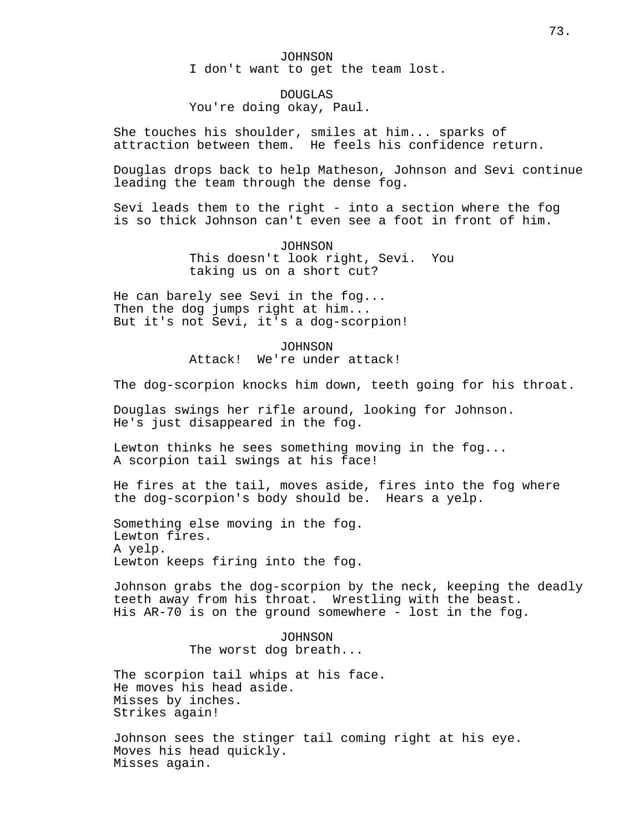JOHNSON I don't want to get the team lost.

DOUGLAS You're doing okay, Paul.

She touches his shoulder, smiles at him... sparks of attraction between them. He feels his confidence return.

Douglas drops back to help Matheson, Johnson and Sevi continue leading the team through the dense fog.

Sevi leads them to the right - into a section where the fog is so thick Johnson can't even see a foot in front of him.

> JOHNSON This doesn't look right, Sevi. You taking us on a short cut?

He can barely see Sevi in the fog... Then the dog jumps right at him... But it's not Sevi, it's a dog-scorpion!

> JOHNSON Attack! We're under attack!

The dog-scorpion knocks him down, teeth going for his throat.

Douglas swings her rifle around, looking for Johnson. He's just disappeared in the fog.

Lewton thinks he sees something moving in the fog... A scorpion tail swings at his face!

He fires at the tail, moves aside, fires into the fog where the dog-scorpion's body should be. Hears a yelp.

Something else moving in the fog. Lewton fires. A yelp. Lewton keeps firing into the fog.

Johnson grabs the dog-scorpion by the neck, keeping the deadly teeth away from his throat. Wrestling with the beast. His AR-70 is on the ground somewhere - lost in the fog.

> JOHNSON The worst dog breath...

The scorpion tail whips at his face. He moves his head aside. Misses by inches. Strikes again!

Johnson sees the stinger tail coming right at his eye. Moves his head quickly. Misses again.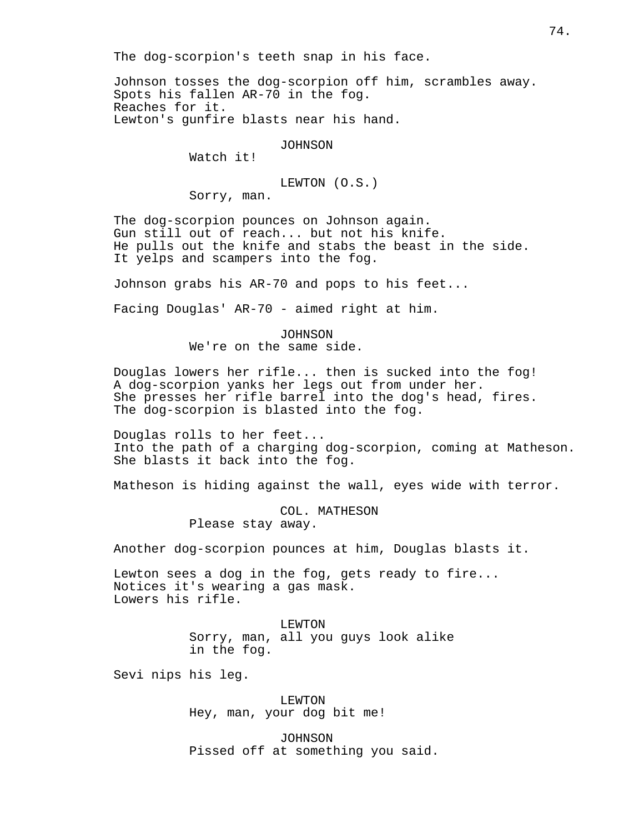The dog-scorpion's teeth snap in his face.

Johnson tosses the dog-scorpion off him, scrambles away. Spots his fallen AR-70 in the fog. Reaches for it. Lewton's gunfire blasts near his hand.

JOHNSON

Watch it!

LEWTON (O.S.)

Sorry, man.

The dog-scorpion pounces on Johnson again. Gun still out of reach... but not his knife. He pulls out the knife and stabs the beast in the side. It yelps and scampers into the fog.

Johnson grabs his AR-70 and pops to his feet...

Facing Douglas' AR-70 - aimed right at him.

JOHNSON We're on the same side.

Douglas lowers her rifle... then is sucked into the fog! A dog-scorpion yanks her legs out from under her. She presses her rifle barrel into the dog's head, fires. The dog-scorpion is blasted into the fog.

Douglas rolls to her feet... Into the path of a charging dog-scorpion, coming at Matheson. She blasts it back into the fog.

Matheson is hiding against the wall, eyes wide with terror.

COL. MATHESON Please stay away.

Another dog-scorpion pounces at him, Douglas blasts it.

Lewton sees a dog in the fog, gets ready to fire... Notices it's wearing a gas mask. Lowers his rifle.

> LEWTON Sorry, man, all you guys look alike in the fog.

Sevi nips his leg.

LEWTON Hey, man, your dog bit me!

JOHNSON Pissed off at something you said.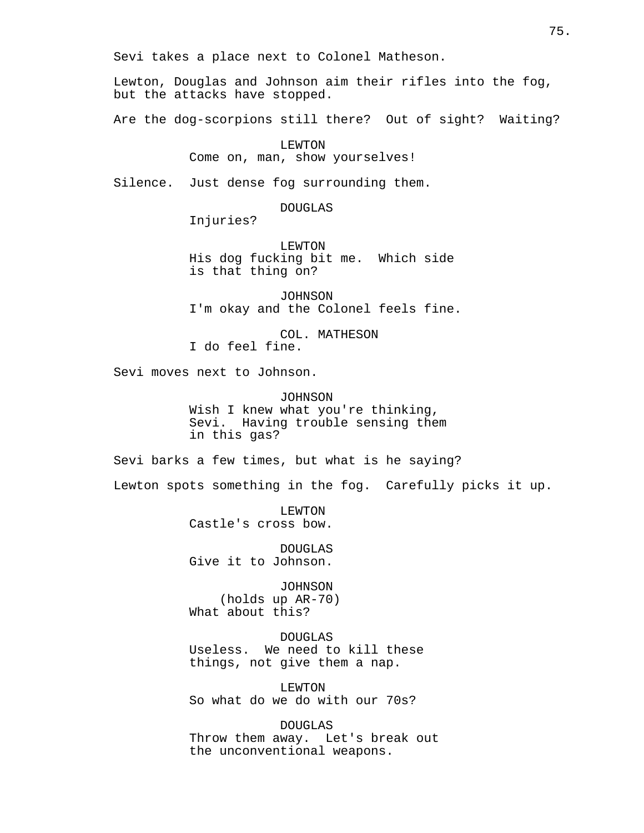Sevi takes a place next to Colonel Matheson.

Lewton, Douglas and Johnson aim their rifles into the fog, but the attacks have stopped.

Are the dog-scorpions still there? Out of sight? Waiting?

LEWTON

Come on, man, show yourselves!

Silence. Just dense fog surrounding them.

DOUGLAS

Injuries?

LEWTON His dog fucking bit me. Which side is that thing on?

JOHNSON I'm okay and the Colonel feels fine.

COL. MATHESON I do feel fine.

Sevi moves next to Johnson.

JOHNSON Wish I knew what you're thinking, Sevi. Having trouble sensing them in this gas?

Sevi barks a few times, but what is he saying?

Lewton spots something in the fog. Carefully picks it up.

LEWTON Castle's cross bow.

DOUGLAS Give it to Johnson.

JOHNSON (holds up AR-70) What about this?

DOUGLAS Useless. We need to kill these things, not give them a nap.

LEWTON So what do we do with our 70s?

DOUGLAS Throw them away. Let's break out the unconventional weapons.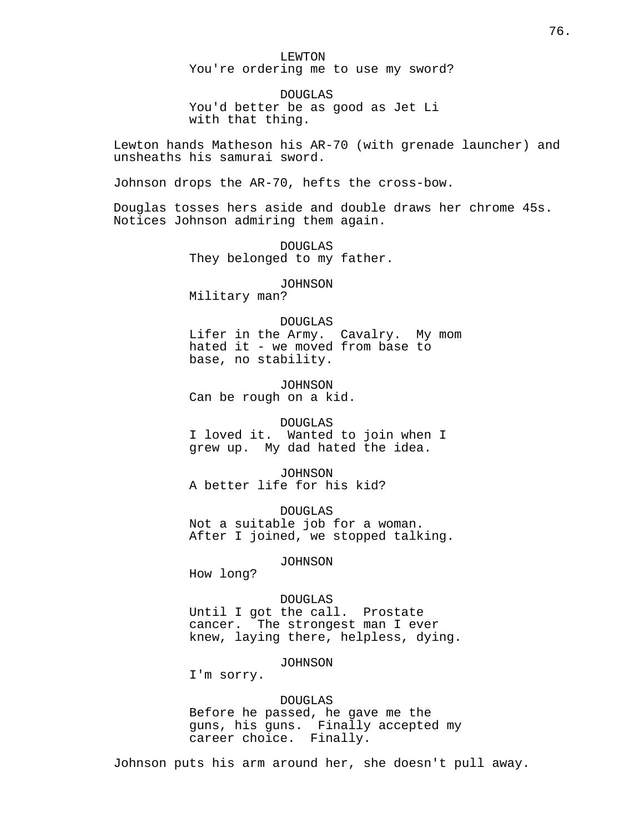LEWTON You're ordering me to use my sword?

DOUGLAS You'd better be as good as Jet Li with that thing.

Lewton hands Matheson his AR-70 (with grenade launcher) and unsheaths his samurai sword.

Johnson drops the AR-70, hefts the cross-bow.

Douglas tosses hers aside and double draws her chrome 45s. Notices Johnson admiring them again.

> DOUGLAS They belonged to my father.

> > JOHNSON

Military man?

#### DOUGLAS

Lifer in the Army. Cavalry. My mom hated it - we moved from base to base, no stability.

JOHNSON Can be rough on a kid.

#### DOUGLAS

I loved it. Wanted to join when I grew up. My dad hated the idea.

JOHNSON A better life for his kid?

DOUGLAS Not a suitable job for a woman. After I joined, we stopped talking.

JOHNSON

How long?

DOUGLAS Until I got the call. Prostate cancer. The strongest man I ever knew, laying there, helpless, dying.

JOHNSON

I'm sorry.

# DOUGLAS

Before he passed, he gave me the guns, his guns. Finally accepted my career choice. Finally.

Johnson puts his arm around her, she doesn't pull away.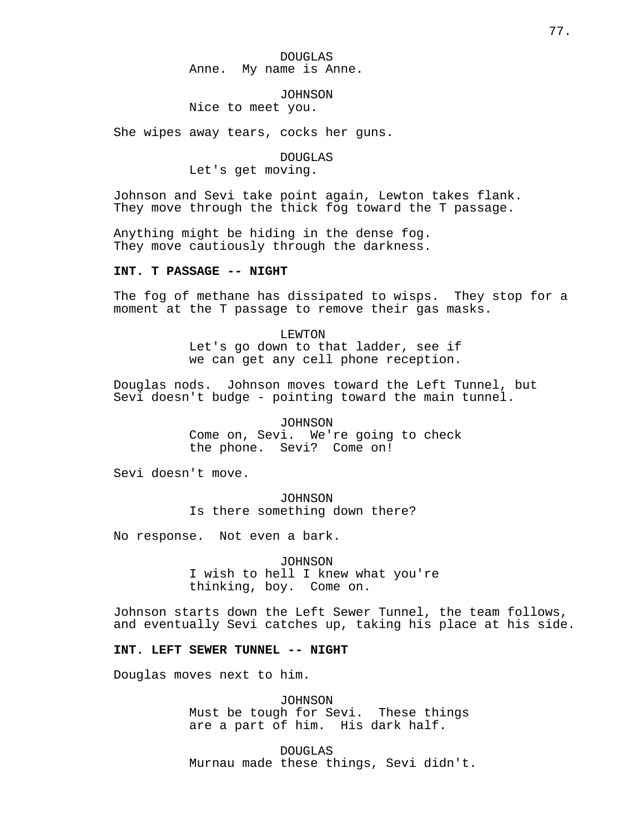DOUGLAS Anne. My name is Anne.

JOHNSON

Nice to meet you.

She wipes away tears, cocks her guns.

DOUGLAS

Let's get moving.

Johnson and Sevi take point again, Lewton takes flank. They move through the thick fog toward the T passage.

Anything might be hiding in the dense fog. They move cautiously through the darkness.

# **INT. T PASSAGE -- NIGHT**

The fog of methane has dissipated to wisps. They stop for a moment at the T passage to remove their gas masks.

> LEWTON Let's go down to that ladder, see if we can get any cell phone reception.

Douglas nods. Johnson moves toward the Left Tunnel, but Sevi doesn't budge - pointing toward the main tunnel.

> JOHNSON Come on, Sevi. We're going to check the phone. Sevi? Come on!

Sevi doesn't move.

JOHNSON Is there something down there?

No response. Not even a bark.

JOHNSON I wish to hell I knew what you're thinking, boy. Come on.

Johnson starts down the Left Sewer Tunnel, the team follows, and eventually Sevi catches up, taking his place at his side.

### **INT. LEFT SEWER TUNNEL -- NIGHT**

Douglas moves next to him.

JOHNSON Must be tough for Sevi. These things are a part of him. His dark half.

DOUGLAS Murnau made these things, Sevi didn't.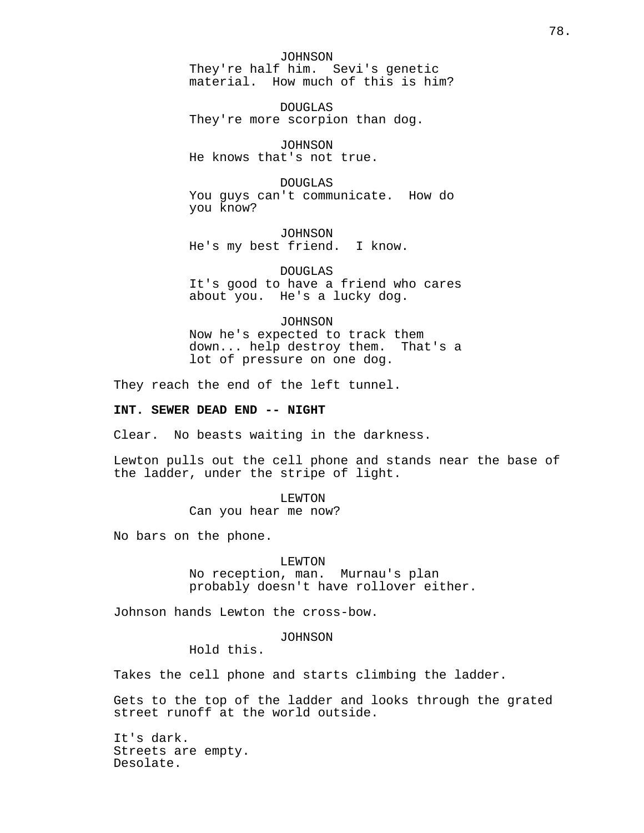JOHNSON They're half him. Sevi's genetic material. How much of this is him?

DOUGLAS They're more scorpion than dog.

JOHNSON He knows that's not true.

DOUGLAS You guys can't communicate. How do you know?

JOHNSON He's my best friend. I know.

DOUGLAS It's good to have a friend who cares about you. He's a lucky dog.

JOHNSON Now he's expected to track them down... help destroy them. That's a lot of pressure on one dog.

They reach the end of the left tunnel.

# **INT. SEWER DEAD END -- NIGHT**

Clear. No beasts waiting in the darkness.

Lewton pulls out the cell phone and stands near the base of the ladder, under the stripe of light.

> LEWTON Can you hear me now?

No bars on the phone.

#### LEWTON

No reception, man. Murnau's plan probably doesn't have rollover either.

Johnson hands Lewton the cross-bow.

# JOHNSON

Hold this.

Takes the cell phone and starts climbing the ladder.

Gets to the top of the ladder and looks through the grated street runoff at the world outside.

It's dark. Streets are empty. Desolate.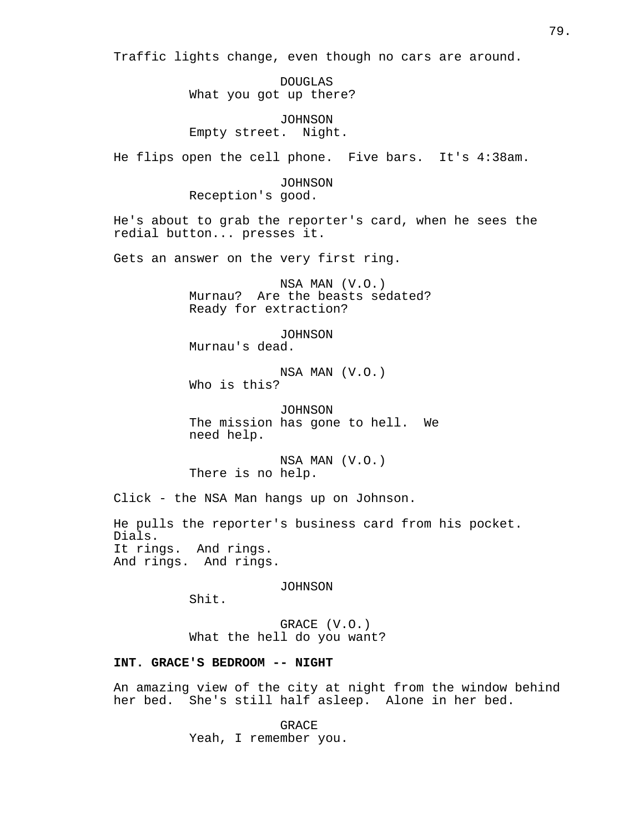Traffic lights change, even though no cars are around.

DOUGLAS What you got up there?

JOHNSON Empty street. Night.

He flips open the cell phone. Five bars. It's 4:38am.

JOHNSON Reception's good.

He's about to grab the reporter's card, when he sees the redial button... presses it.

Gets an answer on the very first ring.

NSA MAN (V.O.) Murnau? Are the beasts sedated? Ready for extraction?

JOHNSON Murnau's dead.

NSA MAN (V.O.) Who is this?

JOHNSON The mission has gone to hell. We need help.

NSA MAN (V.O.) There is no help.

Click - the NSA Man hangs up on Johnson.

He pulls the reporter's business card from his pocket. Dials. It rings. And rings. And rings. And rings.

JOHNSON

Shit.

GRACE (V.O.) What the hell do you want?

# **INT. GRACE'S BEDROOM -- NIGHT**

An amazing view of the city at night from the window behind her bed. She's still half asleep. Alone in her bed.

> **GRACE** Yeah, I remember you.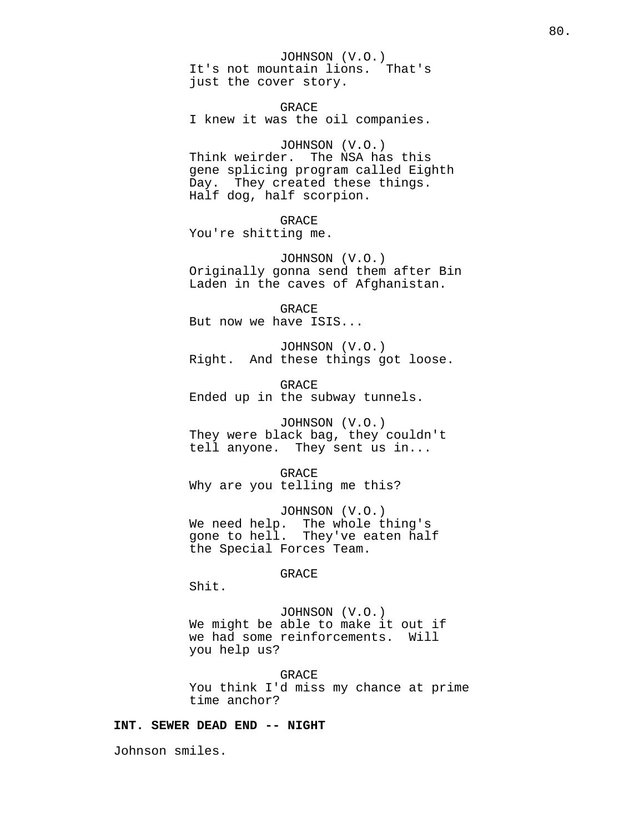JOHNSON (V.O.) It's not mountain lions. That's just the cover story.

GRACE I knew it was the oil companies.

JOHNSON (V.O.) Think weirder. The NSA has this gene splicing program called Eighth Day. They created these things. Half dog, half scorpion.

### GRACE

You're shitting me.

JOHNSON (V.O.) Originally gonna send them after Bin Laden in the caves of Afghanistan.

GRACE But now we have ISIS...

JOHNSON (V.O.) Right. And these things got loose.

GRACE Ended up in the subway tunnels.

JOHNSON (V.O.) They were black bag, they couldn't tell anyone. They sent us in...

GRACE Why are you telling me this?

JOHNSON (V.O.) We need help. The whole thing's gone to hell. They've eaten half the Special Forces Team.

GRACE

Shit.

JOHNSON (V.O.) We might be able to make it out if we had some reinforcements. Will you help us?

GRACE You think I'd miss my chance at prime time anchor?

# **INT. SEWER DEAD END -- NIGHT**

Johnson smiles.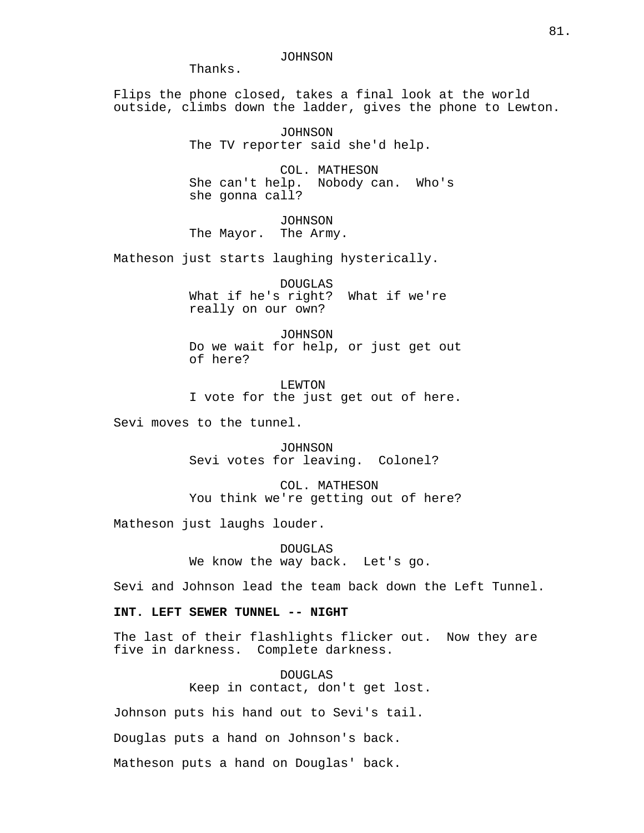JOHNSON

Thanks.

Flips the phone closed, takes a final look at the world outside, climbs down the ladder, gives the phone to Lewton.

> JOHNSON The TV reporter said she'd help.

COL. MATHESON She can't help. Nobody can. Who's she gonna call?

JOHNSON The Mayor. The Army.

Matheson just starts laughing hysterically.

DOUGLAS What if he's right? What if we're really on our own?

JOHNSON Do we wait for help, or just get out of here?

LEWTON I vote for the just get out of here.

Sevi moves to the tunnel.

JOHNSON Sevi votes for leaving. Colonel?

COL. MATHESON You think we're getting out of here?

Matheson just laughs louder.

DOUGLAS We know the way back. Let's go.

Sevi and Johnson lead the team back down the Left Tunnel.

**INT. LEFT SEWER TUNNEL -- NIGHT**

The last of their flashlights flicker out. Now they are five in darkness. Complete darkness.

> DOUGLAS Keep in contact, don't get lost.

Johnson puts his hand out to Sevi's tail.

Douglas puts a hand on Johnson's back.

Matheson puts a hand on Douglas' back.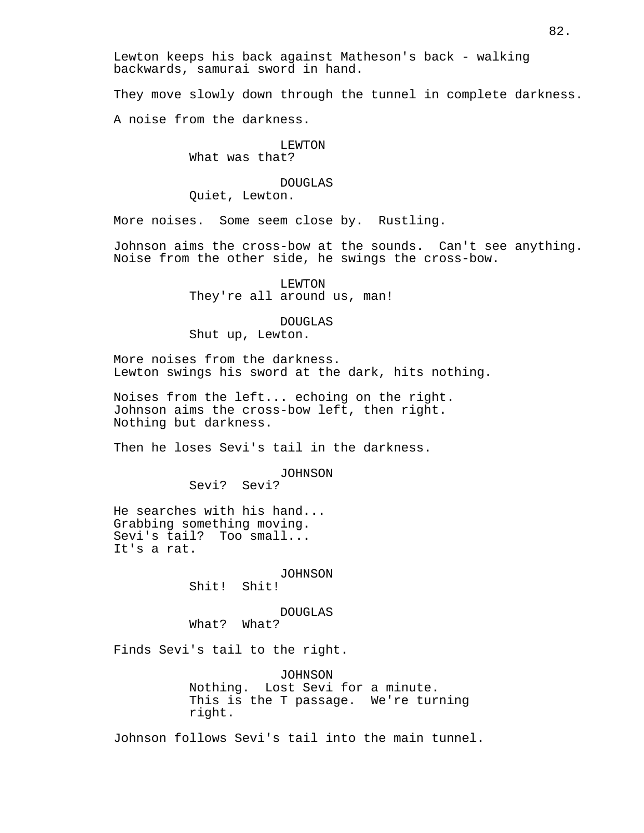Lewton keeps his back against Matheson's back - walking backwards, samurai sword in hand.

They move slowly down through the tunnel in complete darkness.

A noise from the darkness.

### LEWTON What was that?

# DOUGLAS Quiet, Lewton.

More noises. Some seem close by. Rustling.

Johnson aims the cross-bow at the sounds. Can't see anything. Noise from the other side, he swings the cross-bow.

> LEWTON They're all around us, man!

# DOUGLAS

Shut up, Lewton.

More noises from the darkness. Lewton swings his sword at the dark, hits nothing.

Noises from the left... echoing on the right. Johnson aims the cross-bow left, then right. Nothing but darkness.

Then he loses Sevi's tail in the darkness.

JOHNSON

Sevi? Sevi?

He searches with his hand... Grabbing something moving. Sevi's tail? Too small... It's a rat.

JOHNSON

Shit! Shit!

DOUGLAS

What? What?

Finds Sevi's tail to the right.

JOHNSON Nothing. Lost Sevi for a minute. This is the T passage. We're turning right.

Johnson follows Sevi's tail into the main tunnel.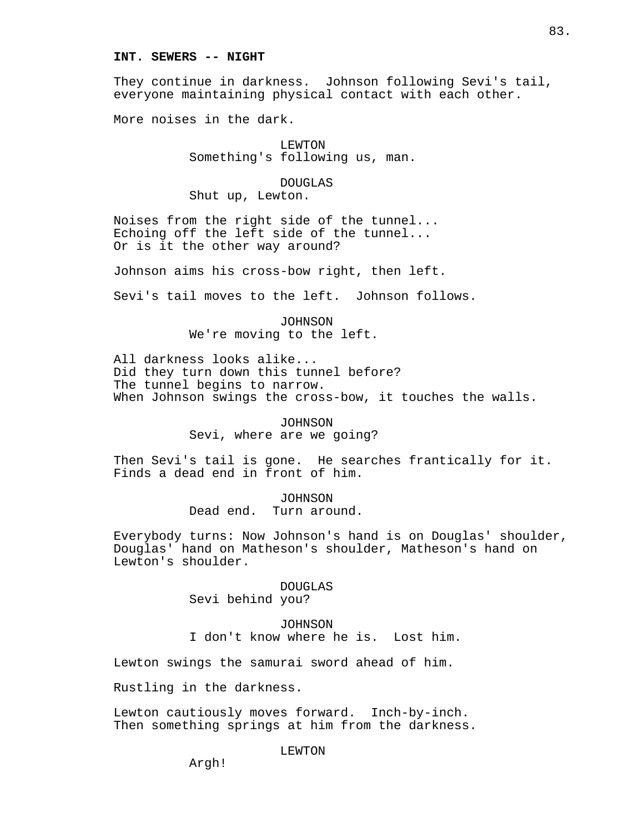### **INT. SEWERS -- NIGHT**

They continue in darkness. Johnson following Sevi's tail, everyone maintaining physical contact with each other.

More noises in the dark.

LEWTON Something's following us, man.

DOUGLAS Shut up, Lewton.

Noises from the right side of the tunnel... Echoing off the left side of the tunnel... Or is it the other way around?

Johnson aims his cross-bow right, then left.

Sevi's tail moves to the left. Johnson follows.

JOHNSON We're moving to the left.

All darkness looks alike... Did they turn down this tunnel before? The tunnel begins to narrow. When Johnson swings the cross-bow, it touches the walls.

> JOHNSON Sevi, where are we going?

Then Sevi's tail is gone. He searches frantically for it. Finds a dead end in front of him.

> JOHNSON Dead end. Turn around.

Everybody turns: Now Johnson's hand is on Douglas' shoulder, Douglas' hand on Matheson's shoulder, Matheson's hand on Lewton's shoulder.

> DOUGLAS Sevi behind you?

JOHNSON I don't know where he is. Lost him.

Lewton swings the samurai sword ahead of him.

Rustling in the darkness.

Lewton cautiously moves forward. Inch-by-inch. Then something springs at him from the darkness.

LEWTON

Argh!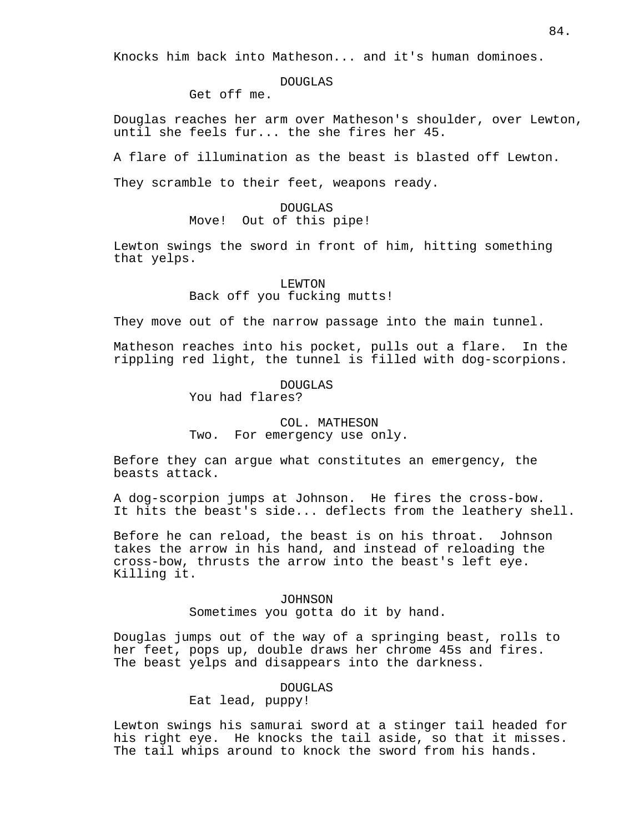Knocks him back into Matheson... and it's human dominoes.

### DOUGLAS

Get off me.

Douglas reaches her arm over Matheson's shoulder, over Lewton, until she feels fur... the she fires her 45.

A flare of illumination as the beast is blasted off Lewton.

They scramble to their feet, weapons ready.

# DOUGLAS Move! Out of this pipe!

Lewton swings the sword in front of him, hitting something that yelps.

# LEWTON Back off you fucking mutts!

They move out of the narrow passage into the main tunnel.

Matheson reaches into his pocket, pulls out a flare. In the rippling red light, the tunnel is filled with dog-scorpions.

> DOUGLAS You had flares?

# COL. MATHESON Two. For emergency use only.

Before they can argue what constitutes an emergency, the beasts attack.

A dog-scorpion jumps at Johnson. He fires the cross-bow. It hits the beast's side... deflects from the leathery shell.

Before he can reload, the beast is on his throat. Johnson takes the arrow in his hand, and instead of reloading the cross-bow, thrusts the arrow into the beast's left eye. Killing it.

# JOHNSON Sometimes you gotta do it by hand.

Douglas jumps out of the way of a springing beast, rolls to her feet, pops up, double draws her chrome 45s and fires. The beast yelps and disappears into the darkness.

# DOUGLAS

Eat lead, puppy!

Lewton swings his samurai sword at a stinger tail headed for his right eye. He knocks the tail aside, so that it misses. The tail whips around to knock the sword from his hands.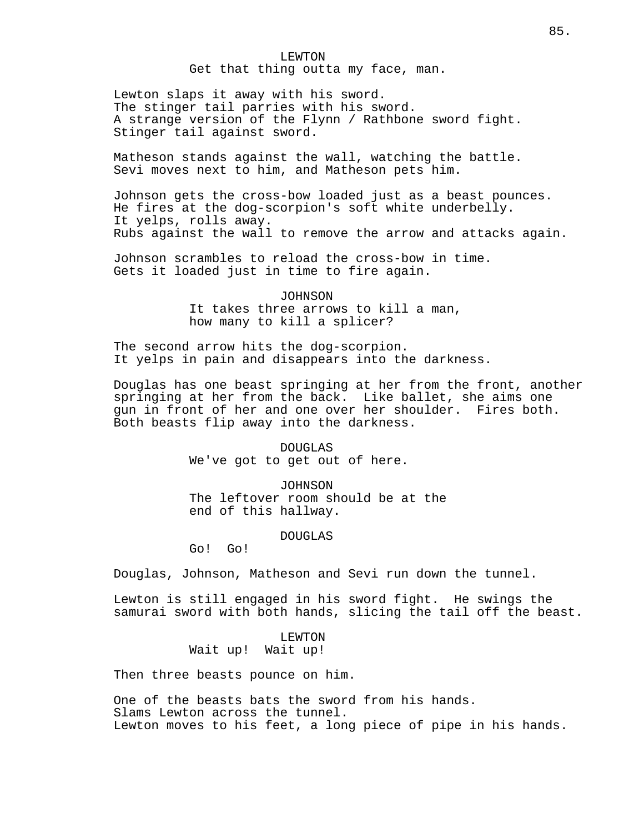LEWTON Get that thing outta my face, man.

Lewton slaps it away with his sword. The stinger tail parries with his sword. A strange version of the Flynn / Rathbone sword fight. Stinger tail against sword.

Matheson stands against the wall, watching the battle. Sevi moves next to him, and Matheson pets him.

Johnson gets the cross-bow loaded just as a beast pounces. He fires at the dog-scorpion's soft white underbelly. It yelps, rolls away. Rubs against the wall to remove the arrow and attacks again.

Johnson scrambles to reload the cross-bow in time. Gets it loaded just in time to fire again.

> JOHNSON It takes three arrows to kill a man, how many to kill a splicer?

The second arrow hits the dog-scorpion. It yelps in pain and disappears into the darkness.

Douglas has one beast springing at her from the front, another springing at her from the back. Like ballet, she aims one gun in front of her and one over her shoulder. Fires both. Both beasts flip away into the darkness.

> DOUGLAS We've got to get out of here.

JOHNSON The leftover room should be at the end of this hallway.

### DOUGLAS

Go! Go!

Douglas, Johnson, Matheson and Sevi run down the tunnel.

Lewton is still engaged in his sword fight. He swings the samurai sword with both hands, slicing the tail off the beast.

> LEWTON Wait up! Wait up!

Then three beasts pounce on him.

One of the beasts bats the sword from his hands. Slams Lewton across the tunnel. Lewton moves to his feet, a long piece of pipe in his hands.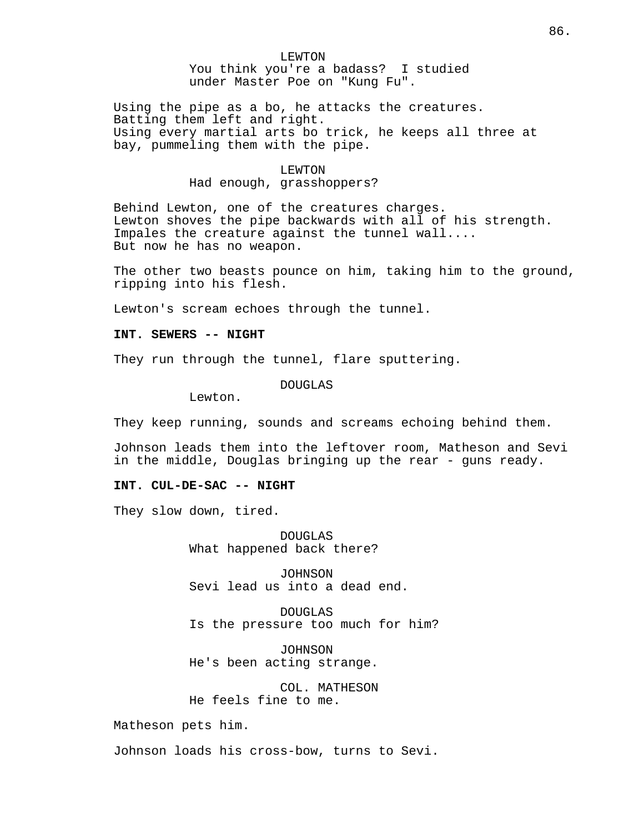# LEWTON You think you're a badass? I studied under Master Poe on "Kung Fu".

Using the pipe as a bo, he attacks the creatures. Batting them left and right. Using every martial arts bo trick, he keeps all three at bay, pummeling them with the pipe.

#### LEWTON

# Had enough, grasshoppers?

Behind Lewton, one of the creatures charges. Lewton shoves the pipe backwards with all of his strength. Impales the creature against the tunnel wall.... But now he has no weapon.

The other two beasts pounce on him, taking him to the ground, ripping into his flesh.

Lewton's scream echoes through the tunnel.

### **INT. SEWERS -- NIGHT**

They run through the tunnel, flare sputtering.

### DOUGLAS

Lewton.

They keep running, sounds and screams echoing behind them.

Johnson leads them into the leftover room, Matheson and Sevi in the middle, Douglas bringing up the rear - guns ready.

### **INT. CUL-DE-SAC -- NIGHT**

They slow down, tired.

DOUGLAS What happened back there?

JOHNSON Sevi lead us into a dead end.

DOUGLAS Is the pressure too much for him?

JOHNSON He's been acting strange.

COL. MATHESON He feels fine to me.

Matheson pets him.

Johnson loads his cross-bow, turns to Sevi.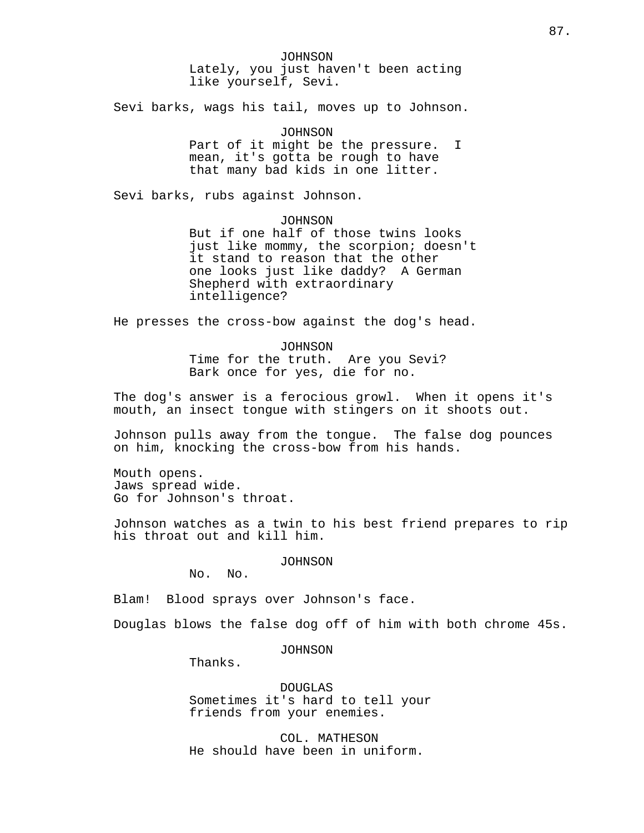JOHNSON Lately, you just haven't been acting like yourself, Sevi.

Sevi barks, wags his tail, moves up to Johnson.

JOHNSON Part of it might be the pressure. I mean, it's gotta be rough to have that many bad kids in one litter.

Sevi barks, rubs against Johnson.

JOHNSON

But if one half of those twins looks just like mommy, the scorpion; doesn't it stand to reason that the other one looks just like daddy? A German Shepherd with extraordinary intelligence?

He presses the cross-bow against the dog's head.

JOHNSON Time for the truth. Are you Sevi? Bark once for yes, die for no.

The dog's answer is a ferocious growl. When it opens it's mouth, an insect tongue with stingers on it shoots out.

Johnson pulls away from the tongue. The false dog pounces on him, knocking the cross-bow from his hands.

Mouth opens. Jaws spread wide. Go for Johnson's throat.

Johnson watches as a twin to his best friend prepares to rip his throat out and kill him.

JOHNSON

No. No.

Blam! Blood sprays over Johnson's face.

Douglas blows the false dog off of him with both chrome 45s.

JOHNSON

Thanks.

DOUGLAS Sometimes it's hard to tell your friends from your enemies.

COL. MATHESON He should have been in uniform.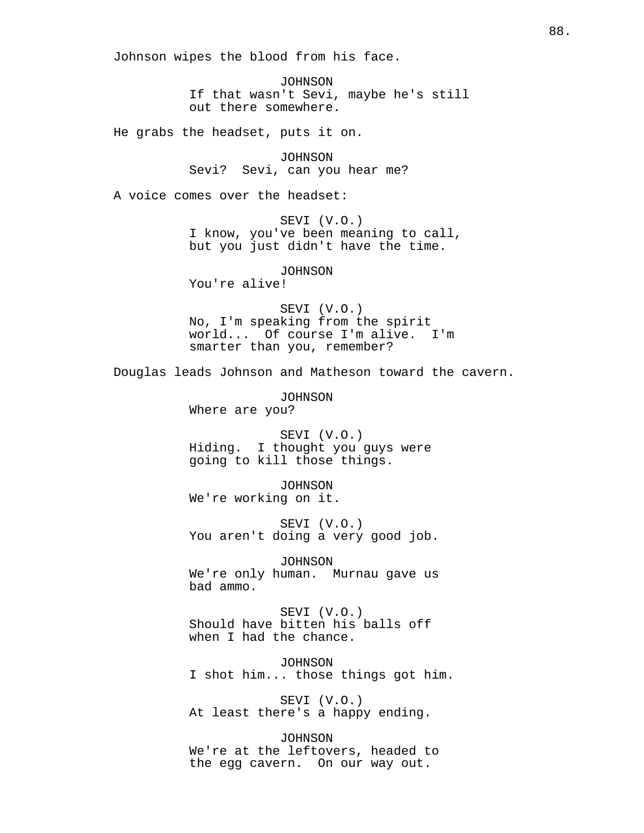Johnson wipes the blood from his face.

JOHNSON If that wasn't Sevi, maybe he's still out there somewhere.

He grabs the headset, puts it on.

JOHNSON Sevi? Sevi, can you hear me?

A voice comes over the headset:

SEVI (V.O.) I know, you've been meaning to call, but you just didn't have the time.

JOHNSON

You're alive!

SEVI (V.O.) No, I'm speaking from the spirit world... Of course I'm alive. I'm smarter than you, remember?

Douglas leads Johnson and Matheson toward the cavern.

JOHNSON Where are you?

SEVI (V.O.) Hiding. I thought you guys were going to kill those things.

JOHNSON We're working on it.

SEVI (V.O.) You aren't doing a very good job.

JOHNSON We're only human. Murnau gave us bad ammo.

SEVI (V.O.) Should have bitten his balls off when I had the chance.

JOHNSON I shot him... those things got him.

SEVI (V.O.) At least there's a happy ending.

JOHNSON We're at the leftovers, headed to the egg cavern. On our way out.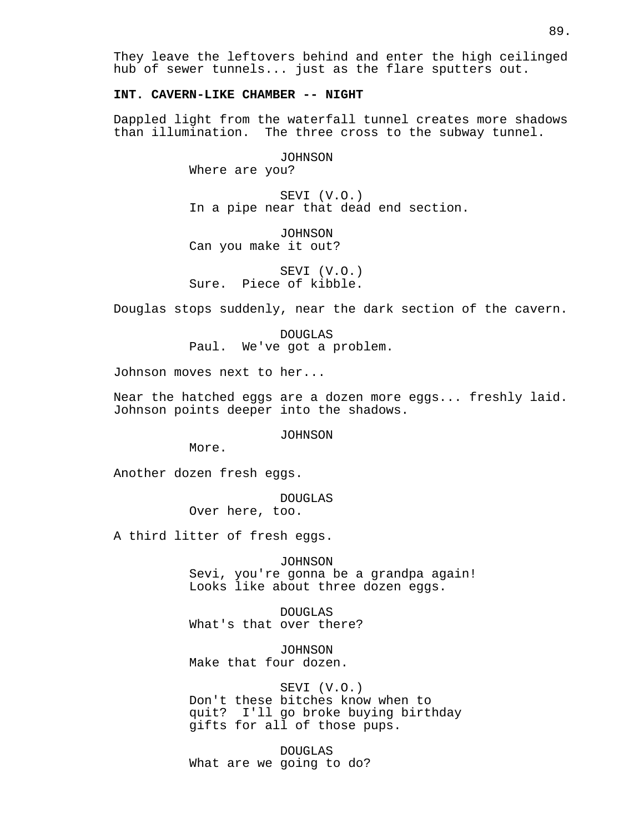They leave the leftovers behind and enter the high ceilinged hub of sewer tunnels... just as the flare sputters out.

# **INT. CAVERN-LIKE CHAMBER -- NIGHT**

Dappled light from the waterfall tunnel creates more shadows than illumination. The three cross to the subway tunnel.

JOHNSON

Where are you?

SEVI (V.O.) In a pipe near that dead end section.

JOHNSON Can you make it out?

SEVI (V.O.) Sure. Piece of kibble.

Douglas stops suddenly, near the dark section of the cavern.

DOUGLAS Paul. We've got a problem.

Johnson moves next to her...

Near the hatched eggs are a dozen more eggs... freshly laid. Johnson points deeper into the shadows.

JOHNSON

More.

Another dozen fresh eggs.

DOUGLAS

Over here, too.

A third litter of fresh eggs.

JOHNSON

Sevi, you're gonna be a grandpa again! Looks like about three dozen eggs.

DOUGLAS What's that over there?

JOHNSON Make that four dozen.

SEVI (V.O.) Don't these bitches know when to quit? I'll go broke buying birthday gifts for all of those pups.

DOUGLAS What are we going to do?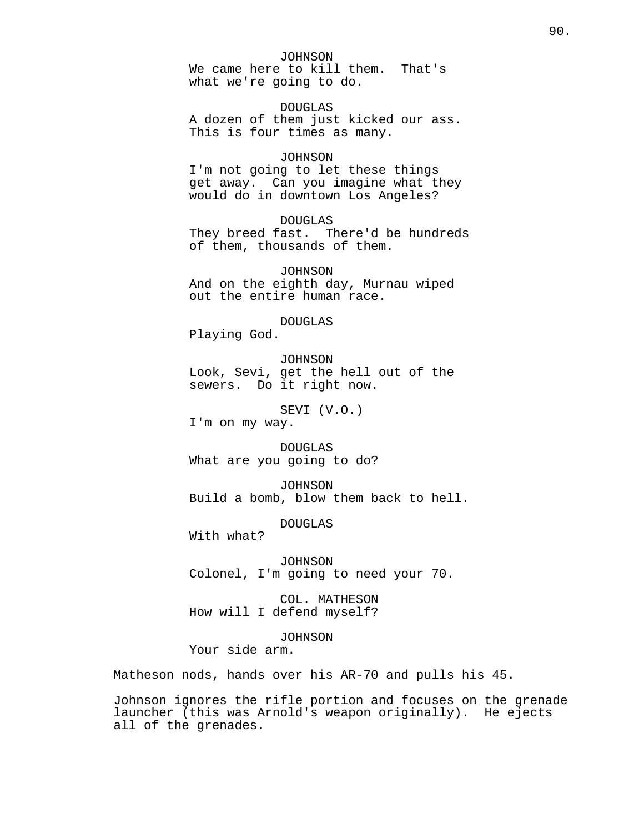JOHNSON

We came here to kill them. That's what we're going to do.

DOUGLAS A dozen of them just kicked our ass. This is four times as many.

# JOHNSON

I'm not going to let these things get away. Can you imagine what they would do in downtown Los Angeles?

DOUGLAS

They breed fast. There'd be hundreds of them, thousands of them.

JOHNSON And on the eighth day, Murnau wiped out the entire human race.

DOUGLAS

Playing God.

JOHNSON

Look, Sevi, get the hell out of the sewers. Do it right now.

SEVI (V.O.)

I'm on my way.

DOUGLAS What are you going to do?

JOHNSON Build a bomb, blow them back to hell.

DOUGLAS

With what?

JOHNSON Colonel, I'm going to need your 70.

COL. MATHESON How will I defend myself?

JOHNSON Your side arm.

Matheson nods, hands over his AR-70 and pulls his 45.

Johnson ignores the rifle portion and focuses on the grenade launcher (this was Arnold's weapon originally). He ejects all of the grenades.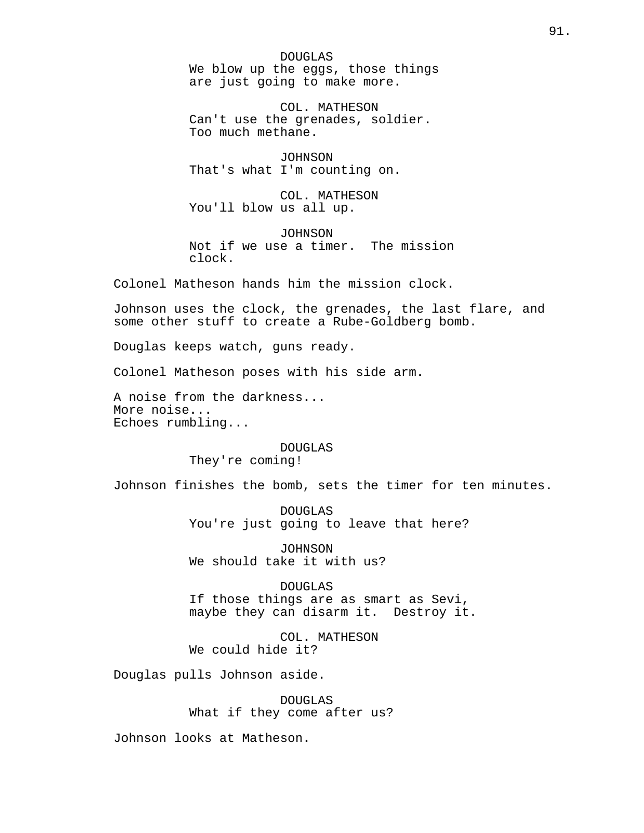DOUGLAS We blow up the eggs, those things are just going to make more.

COL. MATHESON Can't use the grenades, soldier. Too much methane.

JOHNSON That's what I'm counting on.

COL. MATHESON You'll blow us all up.

JOHNSON Not if we use a timer. The mission clock.

Colonel Matheson hands him the mission clock.

Johnson uses the clock, the grenades, the last flare, and some other stuff to create a Rube-Goldberg bomb.

Douglas keeps watch, guns ready.

Colonel Matheson poses with his side arm.

A noise from the darkness... More noise... Echoes rumbling...

> DOUGLAS They're coming!

Johnson finishes the bomb, sets the timer for ten minutes.

DOUGLAS You're just going to leave that here?

JOHNSON We should take it with us?

DOUGLAS If those things are as smart as Sevi, maybe they can disarm it. Destroy it.

COL. MATHESON We could hide it?

Douglas pulls Johnson aside.

DOUGLAS What if they come after us?

Johnson looks at Matheson.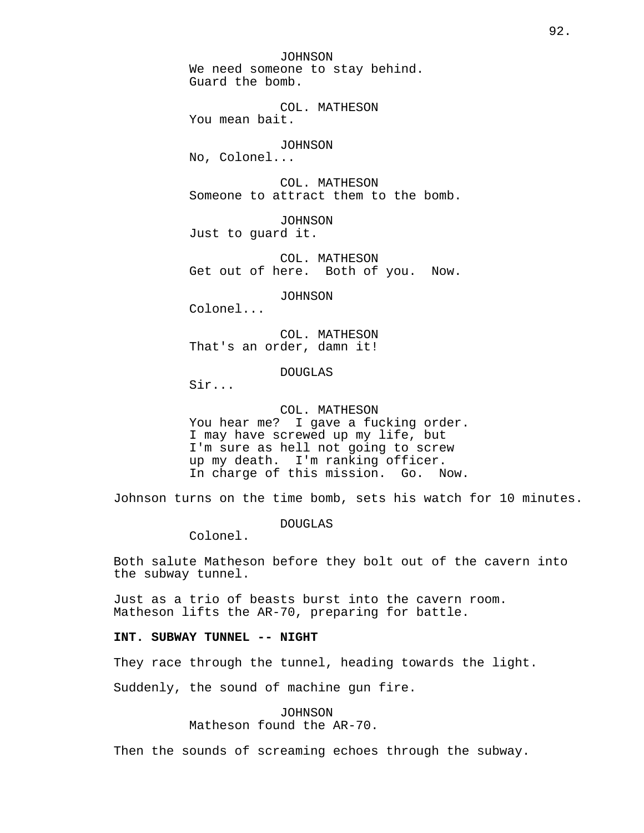JOHNSON We need someone to stay behind. Guard the bomb.

COL. MATHESON You mean bait.

JOHNSON No, Colonel...

COL. MATHESON Someone to attract them to the bomb.

JOHNSON Just to guard it.

COL. MATHESON Get out of here. Both of you. Now.

JOHNSON

Colonel...

COL. MATHESON That's an order, damn it!

DOUGLAS

Sir...

COL. MATHESON

You hear me? I gave a fucking order. I may have screwed up my life, but I'm sure as hell not going to screw up my death. I'm ranking officer. In charge of this mission. Go. Now.

Johnson turns on the time bomb, sets his watch for 10 minutes.

DOUGLAS

Colonel.

Both salute Matheson before they bolt out of the cavern into the subway tunnel.

Just as a trio of beasts burst into the cavern room. Matheson lifts the AR-70, preparing for battle.

# **INT. SUBWAY TUNNEL -- NIGHT**

They race through the tunnel, heading towards the light.

Suddenly, the sound of machine gun fire.

JOHNSON Matheson found the AR-70.

Then the sounds of screaming echoes through the subway.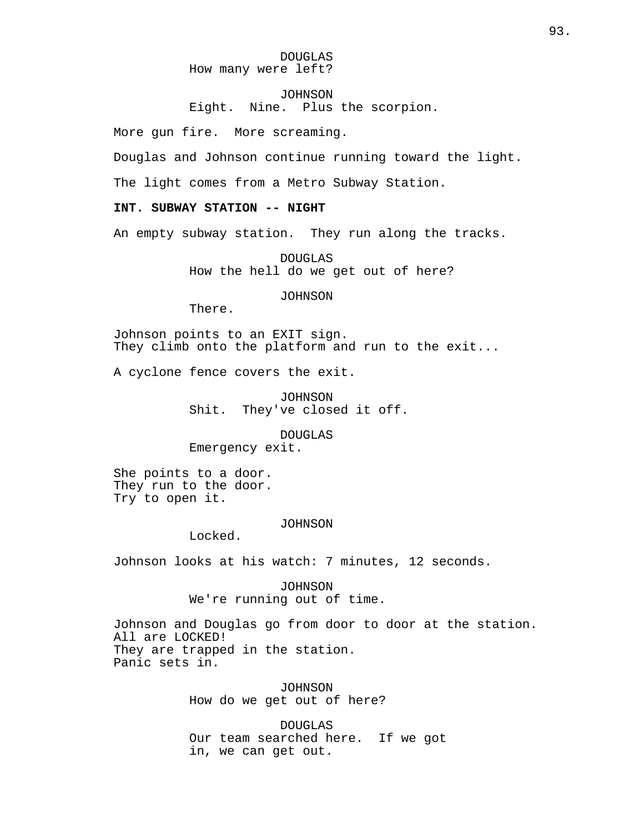DOUGLAS How many were left?

JOHNSON Eight. Nine. Plus the scorpion.

More gun fire. More screaming.

Douglas and Johnson continue running toward the light.

The light comes from a Metro Subway Station.

# **INT. SUBWAY STATION -- NIGHT**

An empty subway station. They run along the tracks.

DOUGLAS How the hell do we get out of here?

JOHNSON

There.

Johnson points to an EXIT sign. They climb onto the platform and run to the exit...

A cyclone fence covers the exit.

JOHNSON Shit. They've closed it off.

DOUGLAS Emergency exit.

She points to a door. They run to the door. Try to open it.

#### JOHNSON

Locked.

Johnson looks at his watch: 7 minutes, 12 seconds.

JOHNSON We're running out of time.

Johnson and Douglas go from door to door at the station. All are LOCKED! They are trapped in the station. Panic sets in.

> JOHNSON How do we get out of here?

DOUGLAS Our team searched here. If we got in, we can get out.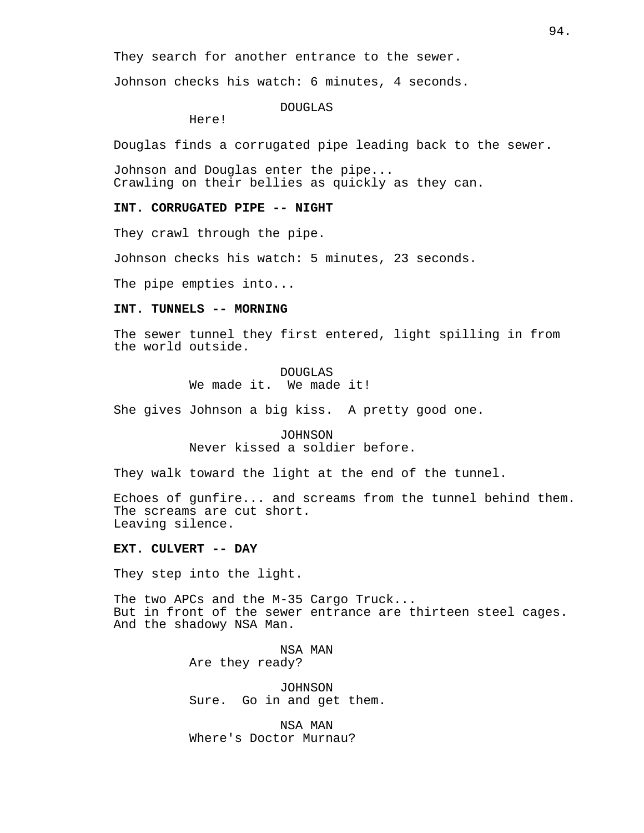They search for another entrance to the sewer.

Johnson checks his watch: 6 minutes, 4 seconds.

### DOUGLAS

Here!

Douglas finds a corrugated pipe leading back to the sewer.

Johnson and Douglas enter the pipe... Crawling on their bellies as quickly as they can.

### **INT. CORRUGATED PIPE -- NIGHT**

They crawl through the pipe.

Johnson checks his watch: 5 minutes, 23 seconds.

The pipe empties into...

# **INT. TUNNELS -- MORNING**

The sewer tunnel they first entered, light spilling in from the world outside.

# DOUGLAS We made it. We made it!

She gives Johnson a big kiss. A pretty good one.

JOHNSON Never kissed a soldier before.

They walk toward the light at the end of the tunnel.

Echoes of gunfire... and screams from the tunnel behind them. The screams are cut short. Leaving silence.

### **EXT. CULVERT -- DAY**

They step into the light.

The two APCs and the M-35 Cargo Truck... But in front of the sewer entrance are thirteen steel cages. And the shadowy NSA Man.

> NSA MAN Are they ready?

JOHNSON Sure. Go in and get them.

NSA MAN Where's Doctor Murnau?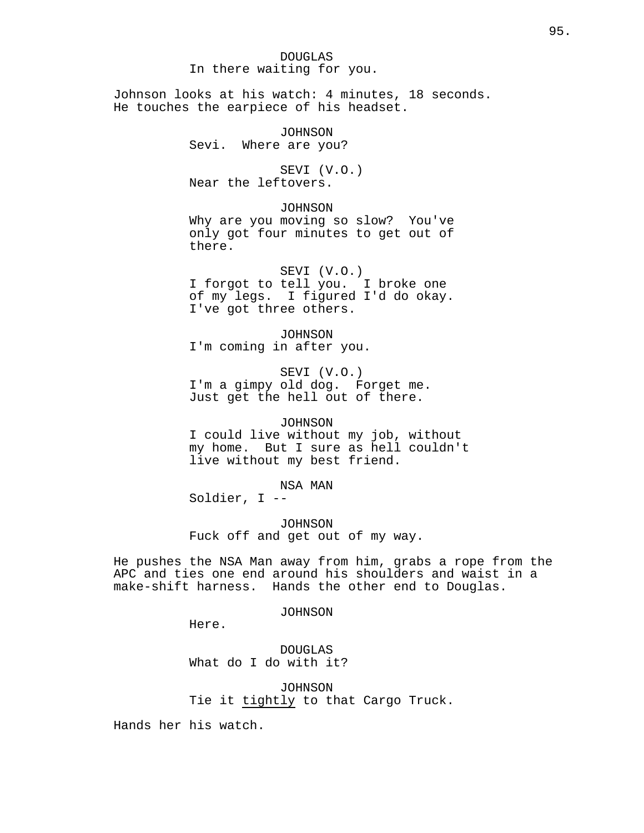# DOUGLAS In there waiting for you.

Johnson looks at his watch: 4 minutes, 18 seconds. He touches the earpiece of his headset.

> JOHNSON Sevi. Where are you?

SEVI (V.O.) Near the leftovers.

JOHNSON

Why are you moving so slow? You've only got four minutes to get out of there.

SEVI (V.O.) I forgot to tell you. I broke one of my legs. I figured I'd do okay. I've got three others.

JOHNSON I'm coming in after you.

SEVI (V.O.) I'm a gimpy old dog. Forget me. Just get the hell out of there.

JOHNSON I could live without my job, without my home. But I sure as hell couldn't live without my best friend.

NSA MAN Soldier, I --

JOHNSON Fuck off and get out of my way.

He pushes the NSA Man away from him, grabs a rope from the APC and ties one end around his shoulders and waist in a make-shift harness. Hands the other end to Douglas.

JOHNSON

Here.

DOUGLAS What do I do with it?

JOHNSON Tie it tightly to that Cargo Truck.

Hands her his watch.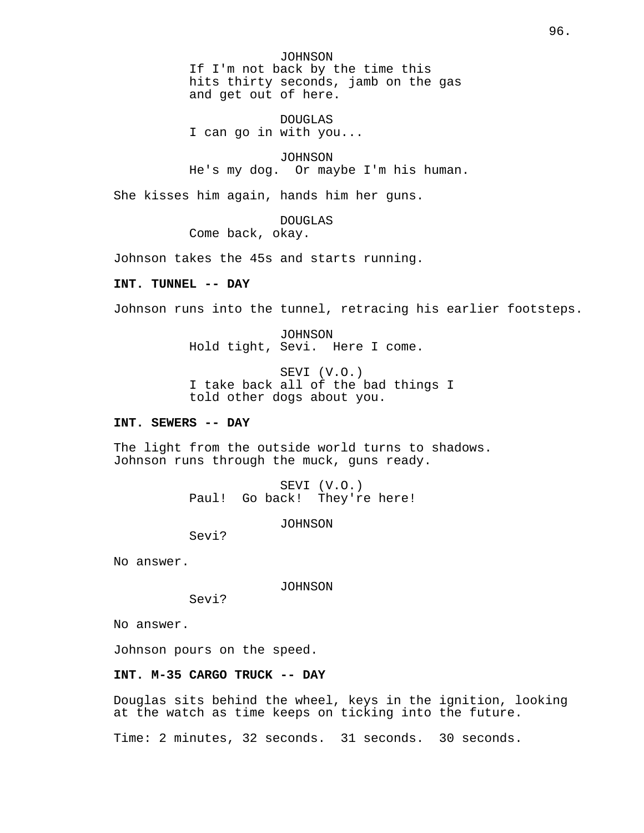JOHNSON If I'm not back by the time this hits thirty seconds, jamb on the gas and get out of here.

DOUGLAS I can go in with you...

JOHNSON He's my dog. Or maybe I'm his human.

She kisses him again, hands him her guns.

DOUGLAS

Come back, okay.

Johnson takes the 45s and starts running.

# **INT. TUNNEL -- DAY**

Johnson runs into the tunnel, retracing his earlier footsteps.

JOHNSON Hold tight, Sevi. Here I come.

SEVI (V.O.) I take back all of the bad things I told other dogs about you.

# **INT. SEWERS -- DAY**

The light from the outside world turns to shadows. Johnson runs through the muck, guns ready.

> SEVI (V.O.) Paul! Go back! They're here!

> > JOHNSON

Sevi?

No answer.

JOHNSON

Sevi?

No answer.

Johnson pours on the speed.

# **INT. M-35 CARGO TRUCK -- DAY**

Douglas sits behind the wheel, keys in the ignition, looking at the watch as time keeps on ticking into the future.

Time: 2 minutes, 32 seconds. 31 seconds. 30 seconds.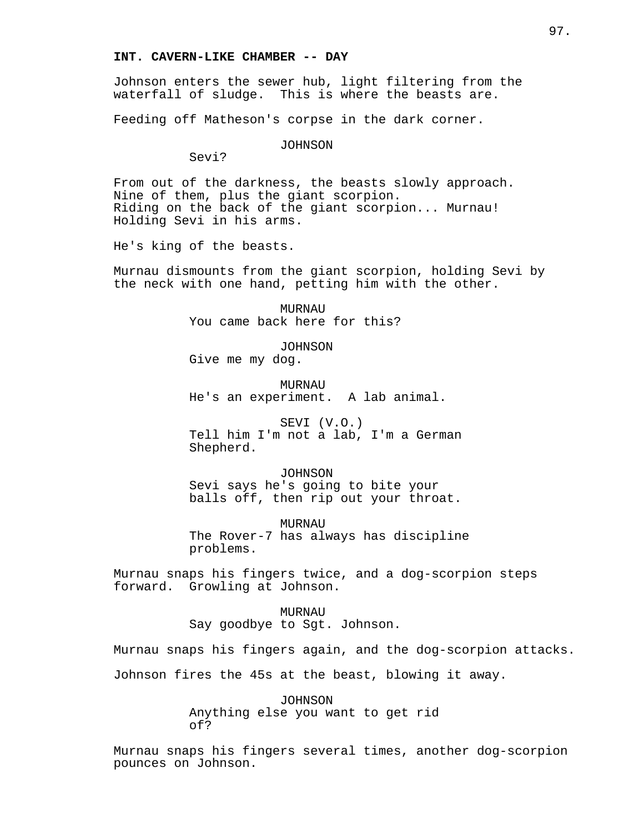Johnson enters the sewer hub, light filtering from the waterfall of sludge. This is where the beasts are.

Feeding off Matheson's corpse in the dark corner.

JOHNSON

Sevi?

From out of the darkness, the beasts slowly approach. Nine of them, plus the giant scorpion. Riding on the back of the giant scorpion... Murnau! Holding Sevi in his arms.

He's king of the beasts.

Murnau dismounts from the giant scorpion, holding Sevi by the neck with one hand, petting him with the other.

> **MURNAU** You came back here for this?

JOHNSON Give me my dog.

MURNAU He's an experiment. A lab animal.

SEVI (V.O.) Tell him I'm not a lab, I'm a German Shepherd.

JOHNSON Sevi says he's going to bite your balls off, then rip out your throat.

MURNAU The Rover-7 has always has discipline problems.

Murnau snaps his fingers twice, and a dog-scorpion steps forward. Growling at Johnson.

> MURNAU Say goodbye to Sgt. Johnson.

Murnau snaps his fingers again, and the dog-scorpion attacks.

Johnson fires the 45s at the beast, blowing it away.

JOHNSON Anything else you want to get rid of?

Murnau snaps his fingers several times, another dog-scorpion pounces on Johnson.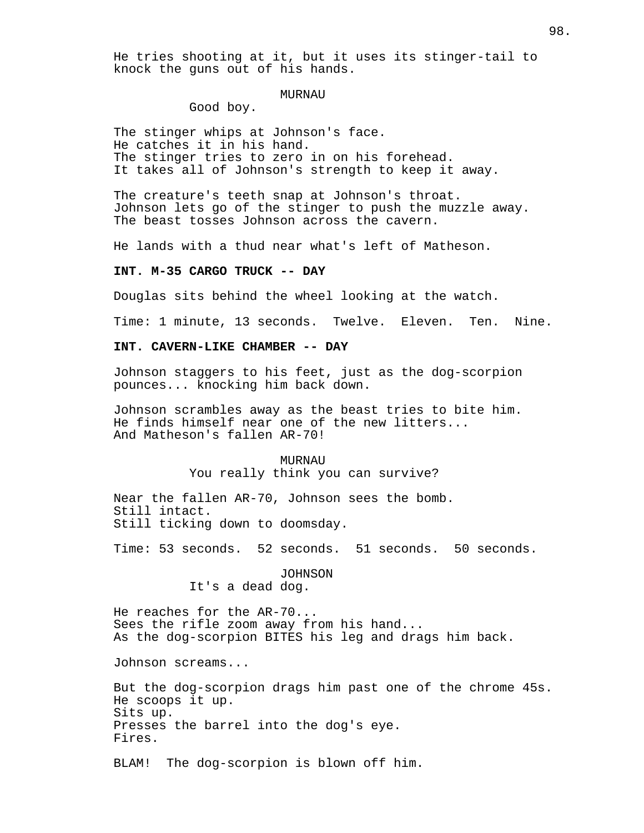He tries shooting at it, but it uses its stinger-tail to knock the guns out of his hands.

### MURNAU

Good boy.

The stinger whips at Johnson's face. He catches it in his hand. The stinger tries to zero in on his forehead. It takes all of Johnson's strength to keep it away.

The creature's teeth snap at Johnson's throat. Johnson lets go of the stinger to push the muzzle away. The beast tosses Johnson across the cavern.

He lands with a thud near what's left of Matheson.

# **INT. M-35 CARGO TRUCK -- DAY**

Douglas sits behind the wheel looking at the watch.

Time: 1 minute, 13 seconds. Twelve. Eleven. Ten. Nine.

# **INT. CAVERN-LIKE CHAMBER -- DAY**

Johnson staggers to his feet, just as the dog-scorpion pounces... knocking him back down.

Johnson scrambles away as the beast tries to bite him. He finds himself near one of the new litters... And Matheson's fallen AR-70!

> MURNAU You really think you can survive?

Near the fallen AR-70, Johnson sees the bomb. Still intact. Still ticking down to doomsday.

Time: 53 seconds. 52 seconds. 51 seconds. 50 seconds.

JOHNSON It's a dead dog.

He reaches for the AR-70... Sees the rifle zoom away from his hand... As the dog-scorpion BITES his leg and drags him back.

Johnson screams...

But the dog-scorpion drags him past one of the chrome 45s. He scoops it up. Sits up. Presses the barrel into the dog's eye. Fires.

BLAM! The dog-scorpion is blown off him.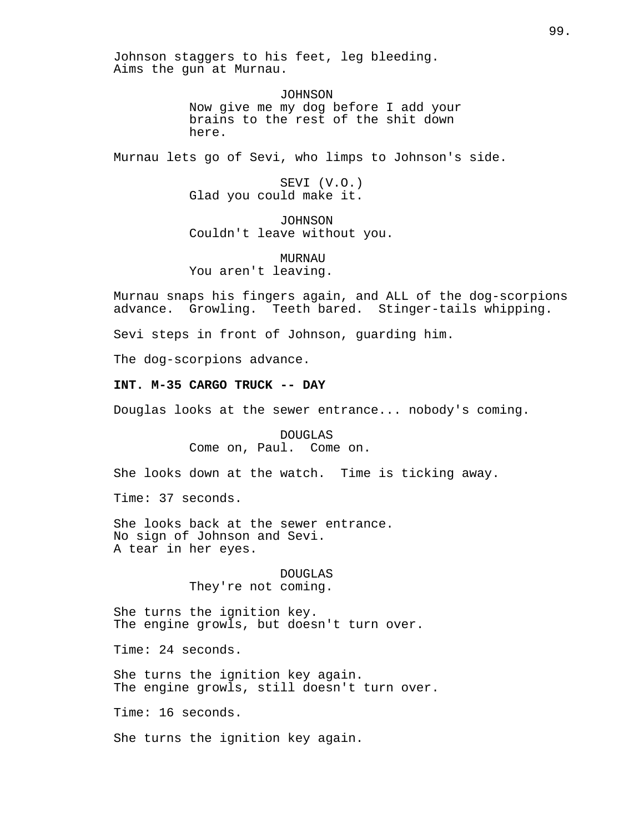Johnson staggers to his feet, leg bleeding. Aims the gun at Murnau.

> JOHNSON Now give me my dog before I add your brains to the rest of the shit down here.

Murnau lets go of Sevi, who limps to Johnson's side.

SEVI (V.O.) Glad you could make it.

JOHNSON Couldn't leave without you.

MURNAU You aren't leaving.

Murnau snaps his fingers again, and ALL of the dog-scorpions advance. Growling. Teeth bared. Stinger-tails whipping.

Sevi steps in front of Johnson, guarding him.

The dog-scorpions advance.

# **INT. M-35 CARGO TRUCK -- DAY**

Douglas looks at the sewer entrance... nobody's coming.

DOUGLAS Come on, Paul. Come on.

She looks down at the watch. Time is ticking away.

Time: 37 seconds.

She looks back at the sewer entrance. No sign of Johnson and Sevi. A tear in her eyes.

# DOUGLAS They're not coming.

She turns the ignition key. The engine growls, but doesn't turn over.

Time: 24 seconds.

She turns the ignition key again. The engine growls, still doesn't turn over.

Time: 16 seconds.

She turns the ignition key again.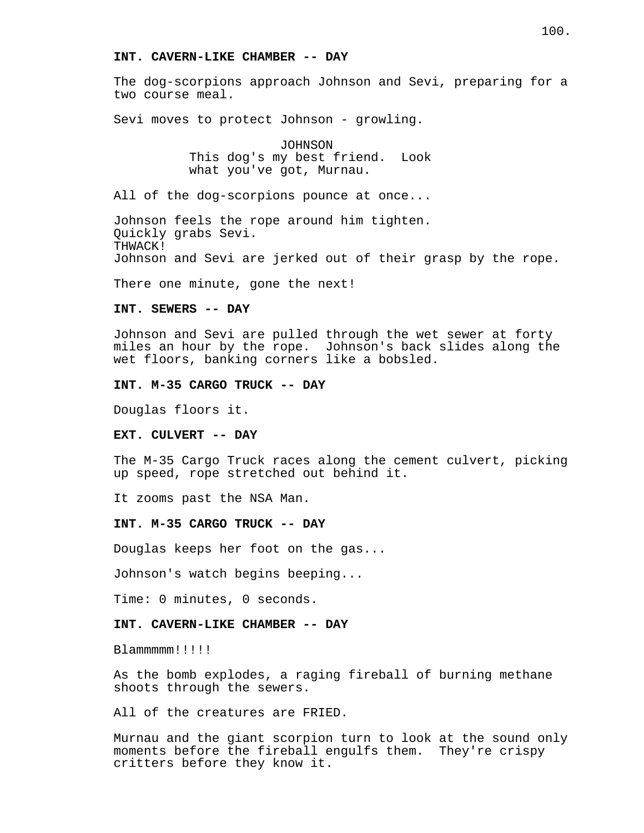### **INT. CAVERN-LIKE CHAMBER -- DAY**

The dog-scorpions approach Johnson and Sevi, preparing for a two course meal.

Sevi moves to protect Johnson - growling.

JOHNSON This dog's my best friend. Look what you've got, Murnau.

All of the dog-scorpions pounce at once...

Johnson feels the rope around him tighten. Quickly grabs Sevi. THWACK! Johnson and Sevi are jerked out of their grasp by the rope.

There one minute, gone the next!

### **INT. SEWERS -- DAY**

Johnson and Sevi are pulled through the wet sewer at forty miles an hour by the rope. Johnson's back slides along the wet floors, banking corners like a bobsled.

# **INT. M-35 CARGO TRUCK -- DAY**

Douglas floors it.

#### **EXT. CULVERT -- DAY**

The M-35 Cargo Truck races along the cement culvert, picking up speed, rope stretched out behind it.

It zooms past the NSA Man.

#### **INT. M-35 CARGO TRUCK -- DAY**

Douglas keeps her foot on the gas...

Johnson's watch begins beeping...

Time: 0 minutes, 0 seconds.

### **INT. CAVERN-LIKE CHAMBER -- DAY**

Blammmmm!!!!!

As the bomb explodes, a raging fireball of burning methane shoots through the sewers.

All of the creatures are FRIED.

Murnau and the giant scorpion turn to look at the sound only moments before the fireball engulfs them. They're crispy critters before they know it.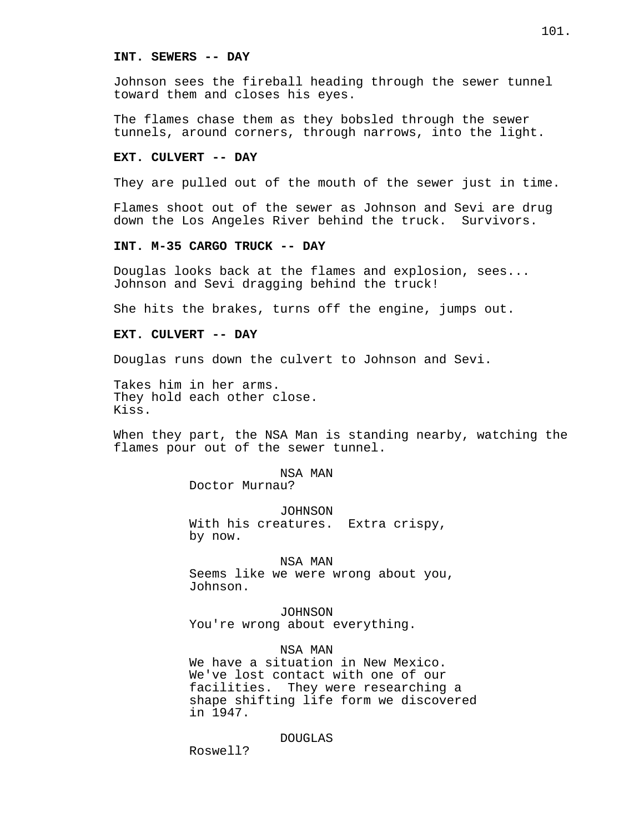### **INT. SEWERS -- DAY**

Johnson sees the fireball heading through the sewer tunnel toward them and closes his eyes.

The flames chase them as they bobsled through the sewer tunnels, around corners, through narrows, into the light.

### **EXT. CULVERT -- DAY**

They are pulled out of the mouth of the sewer just in time.

Flames shoot out of the sewer as Johnson and Sevi are drug down the Los Angeles River behind the truck. Survivors.

#### **INT. M-35 CARGO TRUCK -- DAY**

Douglas looks back at the flames and explosion, sees... Johnson and Sevi dragging behind the truck!

She hits the brakes, turns off the engine, jumps out.

### **EXT. CULVERT -- DAY**

Douglas runs down the culvert to Johnson and Sevi.

Takes him in her arms. They hold each other close. Kiss.

When they part, the NSA Man is standing nearby, watching the flames pour out of the sewer tunnel.

### NSA MAN

Doctor Murnau?

JOHNSON With his creatures. Extra crispy, by now.

# NSA MAN

Seems like we were wrong about you, Johnson.

JOHNSON You're wrong about everything.

NSA MAN We have a situation in New Mexico. We've lost contact with one of our facilities. They were researching a shape shifting life form we discovered

DOUGLAS

Roswell?

in 1947.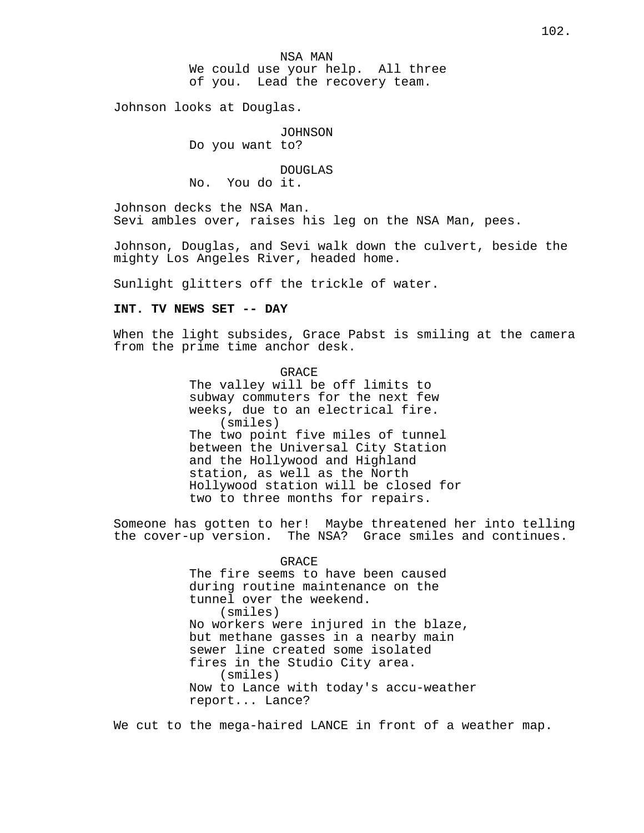NSA MAN We could use your help. All three of you. Lead the recovery team.

Johnson looks at Douglas.

JOHNSON

Do you want to?

DOUGLAS No. You do it.

Johnson decks the NSA Man. Sevi ambles over, raises his leg on the NSA Man, pees.

Johnson, Douglas, and Sevi walk down the culvert, beside the mighty Los Angeles River, headed home.

Sunlight glitters off the trickle of water.

# **INT. TV NEWS SET -- DAY**

When the light subsides, Grace Pabst is smiling at the camera from the prime time anchor desk.

> **GRACE** The valley will be off limits to subway commuters for the next few weeks, due to an electrical fire. (smiles) The two point five miles of tunnel between the Universal City Station and the Hollywood and Highland station, as well as the North Hollywood station will be closed for two to three months for repairs.

Someone has gotten to her! Maybe threatened her into telling the cover-up version. The NSA? Grace smiles and continues.

> GRACE The fire seems to have been caused during routine maintenance on the tunnel over the weekend. (smiles) No workers were injured in the blaze, but methane gasses in a nearby main sewer line created some isolated fires in the Studio City area. (smiles) Now to Lance with today's accu-weather report... Lance?

We cut to the mega-haired LANCE in front of a weather map.